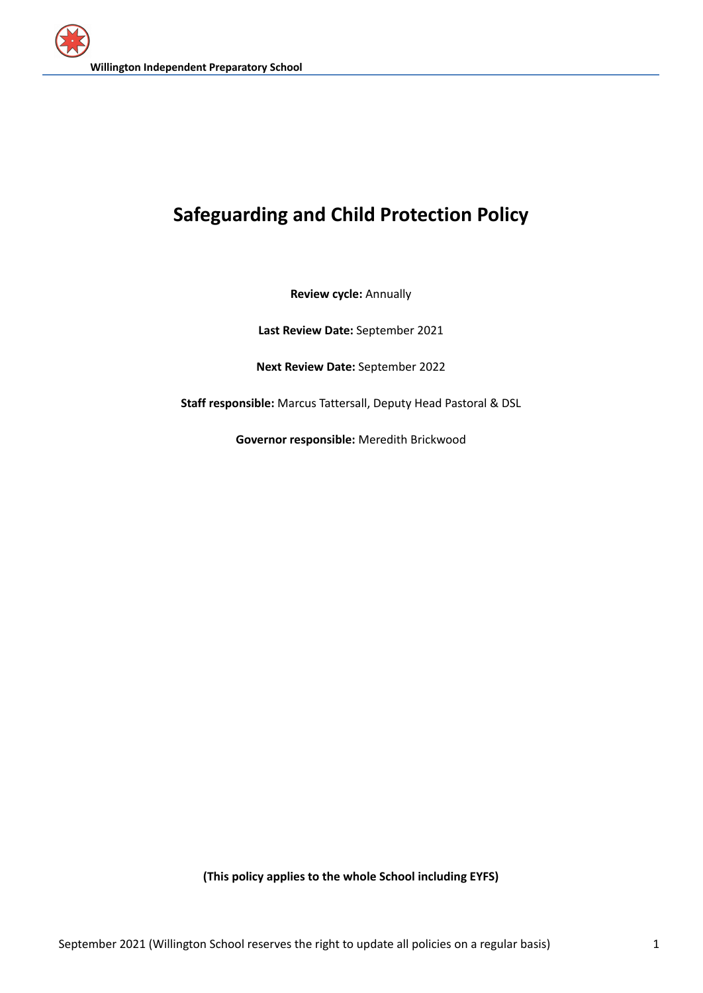# **Safeguarding and Child Protection Policy**

**Review cycle:** Annually

**Last Review Date:** September 2021

**Next Review Date:** September 2022

**Staff responsible:** Marcus Tattersall, Deputy Head Pastoral & DSL

**Governor responsible:** Meredith Brickwood

**(This policy applies to the whole School including EYFS)**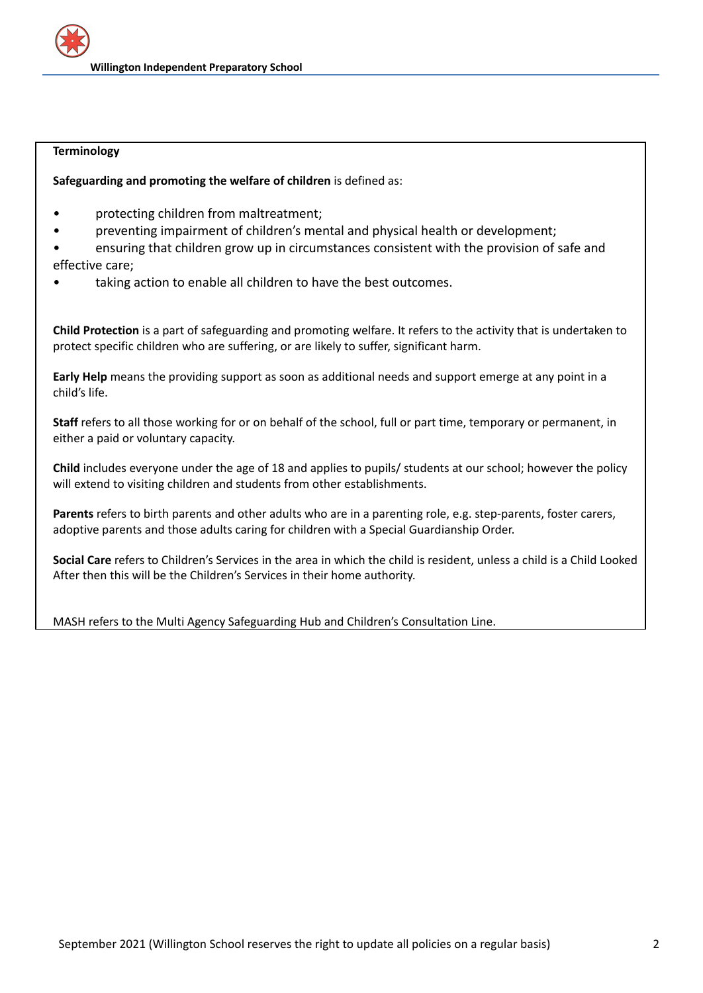## **Terminology**

**Safeguarding and promoting the welfare of children** is defined as:

- protecting children from maltreatment;
- preventing impairment of children's mental and physical health or development;
- ensuring that children grow up in circumstances consistent with the provision of safe and effective care;
- taking action to enable all children to have the best outcomes.

**Child Protection** is a part of safeguarding and promoting welfare. It refers to the activity that is undertaken to protect specific children who are suffering, or are likely to suffer, significant harm.

**Early Help** means the providing support as soon as additional needs and support emerge at any point in a child's life.

**Staff** refers to all those working for or on behalf of the school, full or part time, temporary or permanent, in either a paid or voluntary capacity.

**Child** includes everyone under the age of 18 and applies to pupils/ students at our school; however the policy will extend to visiting children and students from other establishments.

**Parents** refers to birth parents and other adults who are in a parenting role, e.g. step-parents, foster carers, adoptive parents and those adults caring for children with a Special Guardianship Order.

**Social Care** refers to Children's Services in the area in which the child is resident, unless a child is a Child Looked After then this will be the Children's Services in their home authority.

MASH refers to the Multi Agency Safeguarding Hub and Children's Consultation Line.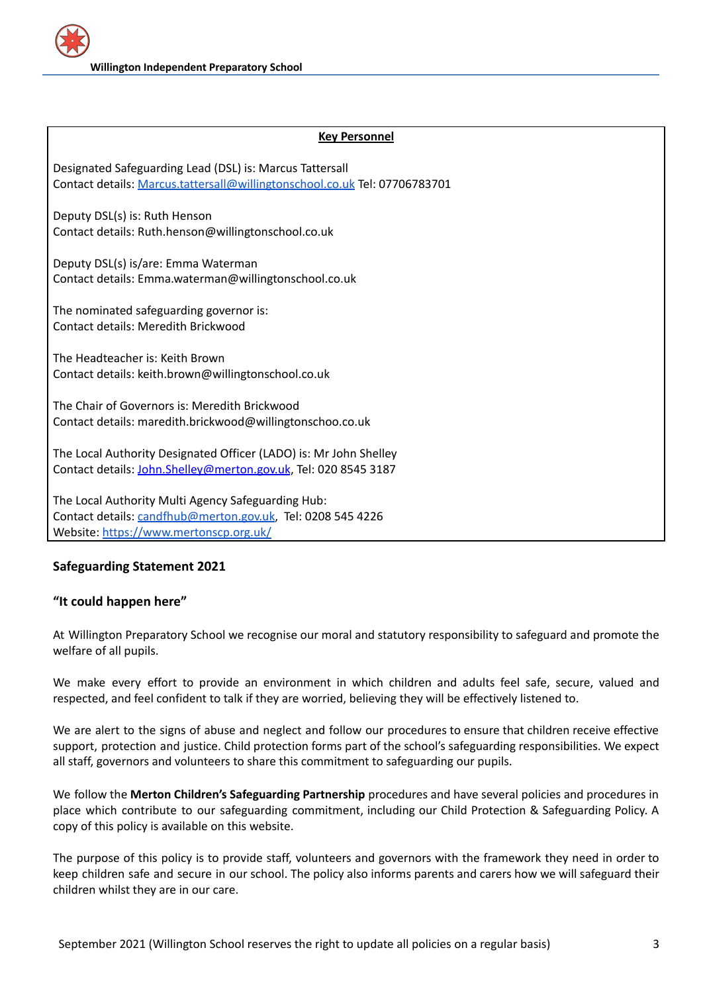## **Key Personnel**

Designated Safeguarding Lead (DSL) is: Marcus Tattersall Contact details: [Marcus.tattersall@willingtonschool.co.uk](mailto:Marcus.tattersall@willingtonschool.co.uk) Tel: 07706783701

Deputy DSL(s) is: Ruth Henson Contact details: Ruth.henson@willingtonschool.co.uk

Deputy DSL(s) is/are: Emma Waterman Contact details: Emma.waterman@willingtonschool.co.uk

The nominated safeguarding governor is: Contact details: Meredith Brickwood

The Headteacher is: Keith Brown Contact details: keith.brown@willingtonschool.co.uk

The Chair of Governors is: Meredith Brickwood Contact details: maredith.brickwood@willingtonschoo.co.uk

The Local Authority Designated Officer (LADO) is: Mr John Shelley Contact details: [John.Shelley@merton.gov.uk](mailto:John.Shelley@merton.gov.uk), Tel: 020 8545 3187

The Local Authority Multi Agency Safeguarding Hub: Contact details: [candfhub@merton.gov.uk](mailto:candfhub@merton.gov.uk), Tel: 0208 545 4226 Website: <https://www.mertonscp.org.uk/>

## **Safeguarding Statement 2021**

## **"It could happen here"**

At Willington Preparatory School we recognise our moral and statutory responsibility to safeguard and promote the welfare of all pupils.

We make every effort to provide an environment in which children and adults feel safe, secure, valued and respected, and feel confident to talk if they are worried, believing they will be effectively listened to.

We are alert to the signs of abuse and neglect and follow our procedures to ensure that children receive effective support, protection and justice. Child protection forms part of the school's safeguarding responsibilities. We expect all staff, governors and volunteers to share this commitment to safeguarding our pupils.

We follow the **Merton Children's Safeguarding Partnership** procedures and have several policies and procedures in place which contribute to our safeguarding commitment, including our Child Protection & Safeguarding Policy. A copy of this policy is available on this website.

The purpose of this policy is to provide staff, volunteers and governors with the framework they need in order to keep children safe and secure in our school. The policy also informs parents and carers how we will safeguard their children whilst they are in our care.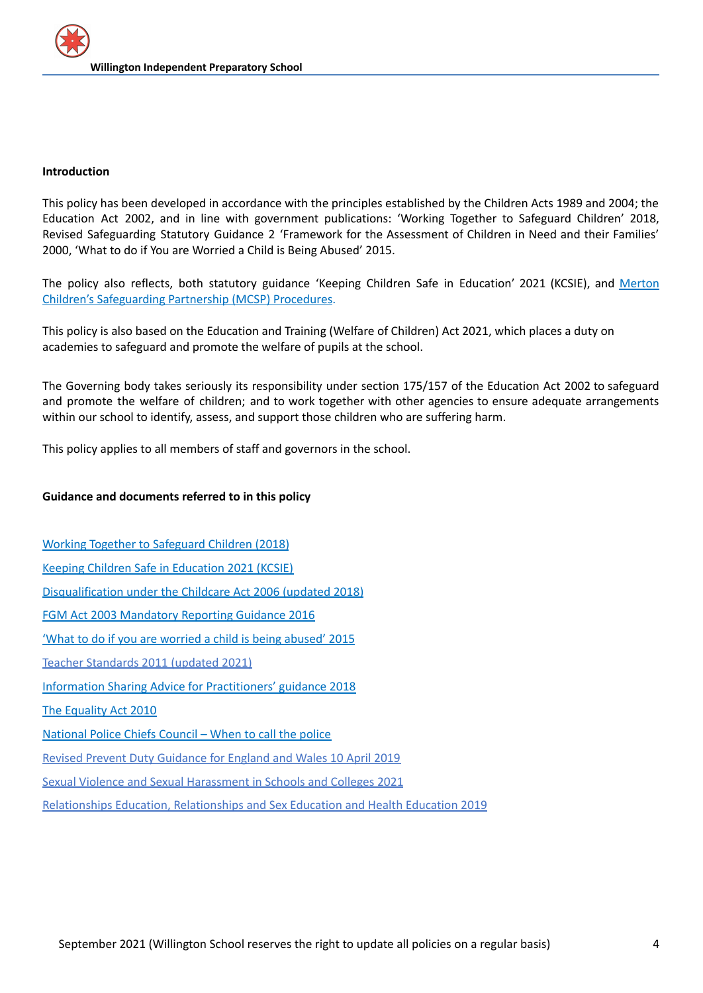#### **Introduction**

This policy has been developed in accordance with the principles established by the Children Acts 1989 and 2004; the Education Act 2002, and in line with government publications: 'Working Together to Safeguard Children' 2018, Revised Safeguarding Statutory Guidance 2 'Framework for the Assessment of Children in Need and their Families' 2000, 'What to do if You are Worried a Child is Being Abused' 2015.

The policy also reflects, both statutory guidance 'Keeping Children Safe in Education' 2021 (KCSIE), and [Merton](https://mertoncs.proceduresonline.com/) Children's [Safeguarding](https://mertoncs.proceduresonline.com/) Partnership (MCSP) Procedures.

This policy is also based on the Education and Training (Welfare of Children) Act 2021, which places a duty on academies to safeguard and promote the welfare of pupils at the school.

The Governing body takes seriously its responsibility under section 175/157 of the Education Act 2002 to safeguard and promote the welfare of children; and to work together with other agencies to ensure adequate arrangements within our school to identify, assess, and support those children who are suffering harm.

This policy applies to all members of staff and governors in the school.

#### **Guidance and documents referred to in this policy**

Working Together to [Safeguard](https://www.gov.uk/government/publications/working-together-to-safeguard-children--2) Children (2018) Keeping Children Safe in [Education](https://assets.publishing.service.gov.uk/government/uploads/system/uploads/attachment_data/file/999348/Keeping_children_safe_in_education_2021.pdf) 2021 (KCSIE) [Disqualification](https://www.gov.uk/government/publications/disqualification-under-the-childcare-act-2006/disqualification-under-the-childcare-act-2006) under the Childcare Act 2006 (updated 2018) FGM Act 2003 [Mandatory](https://www.gov.uk/government/publications/mandatory-reporting-of-female-genital-mutilation-procedural-information) Reporting Guidance 2016 'What to do if you are worried a child is being [abused'](https://assets.publishing.service.gov.uk/government/uploads/system/uploads/attachment_data/file/419604/What_to_do_if_you_re_worried_a_child_is_being_abused.pdf) 2015 Teacher [Standards](https://assets.publishing.service.gov.uk/government/uploads/system/uploads/attachment_data/file/1007716/Teachers__Standards_2021_update.pdf) 2011 (updated 2021) Information Sharing Advice for [Practitioners'](https://assets.publishing.service.gov.uk/government/uploads/system/uploads/attachment_data/file/721581/Information_sharing_advice_practitioners_safeguarding_services.pdf) guidance 2018 The [Equality](https://www.gov.uk/guidance/equality-act-2010-guidance) Act 2010 [National](https://www.npcc.police.uk/documents/Children%20and%20Young%20people/When%20to%20call%20the%20police%20guidance%20for%20schools%20and%20colleges.pdf) Police Chiefs Council – When to call the police Revised Prevent Duty [Guidance](https://www.gov.uk/government/publications/prevent-duty-guidance/revised-prevent-duty-guidance-for-england-and-wales) for England and Wales 10 April 2019 Sexual Violence and Sexual [Harassment](https://assets.publishing.service.gov.uk/government/uploads/system/uploads/attachment_data/file/999239/SVSH_2021.pdf) in Schools and Colleges 2021

[Relationships](https://assets.publishing.service.gov.uk/government/uploads/system/uploads/attachment_data/file/908013/Relationships_Education__Relationships_and_Sex_Education__RSE__and_Health_Education.pdf) Education, Relationships and Sex Education and Health Education 2019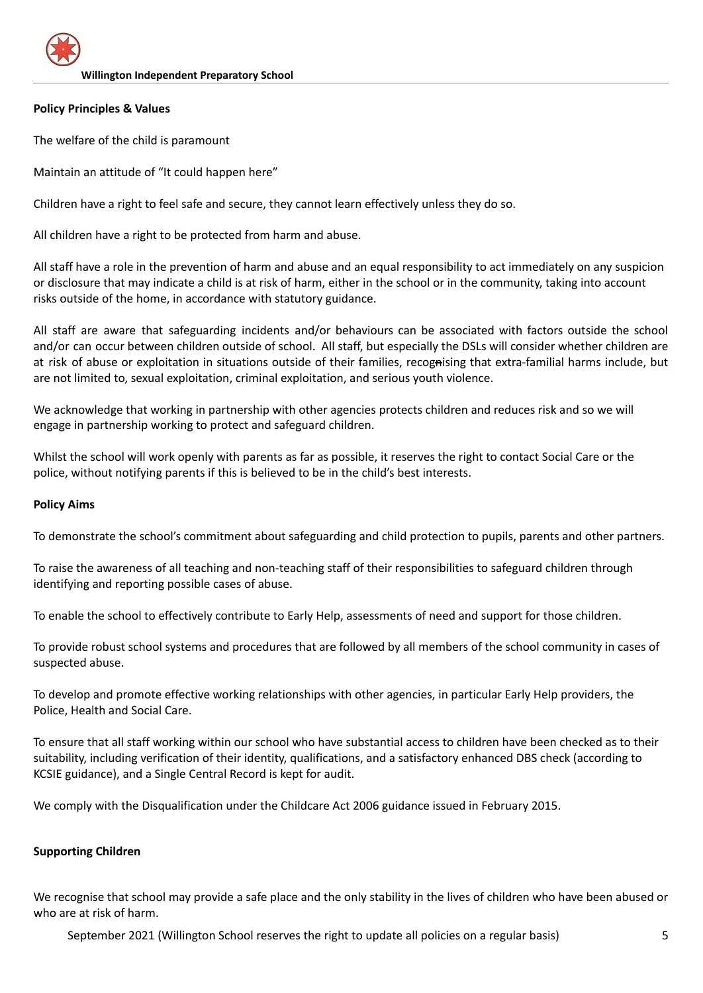## **Policy Principles & Values**

The welfare of the child is paramount

Maintain an attitude of "It could happen here"

Children have a right to feel safe and secure, they cannot learn effectively unless they do so.

All children have a right to be protected from harm and abuse.

All staff have a role in the prevention of harm and abuse and an equal responsibility to act immediately on any suspicion or disclosure that may indicate a child is at risk of harm, either in the school or in the community, taking into account risks outside of the home, in accordance with statutory guidance.

All staff are aware that safeguarding incidents and/or behaviours can be associated with factors outside the school and/or can occur between children outside of school. All staff, but especially the DSLs will consider whether children are at risk of abuse or exploitation in situations outside of their families, recognising that extra-familial harms include, but are not limited to, sexual exploitation, criminal exploitation, and serious youth violence.

We acknowledge that working in partnership with other agencies protects children and reduces risk and so we will engage in partnership working to protect and safeguard children.

Whilst the school will work openly with parents as far as possible, it reserves the right to contact Social Care or the police, without notifying parents if this is believed to be in the child's best interests.

## **Policy Aims**

To demonstrate the school's commitment about safeguarding and child protection to pupils, parents and other partners.

To raise the awareness of all teaching and non-teaching staff of their responsibilities to safeguard children through identifying and reporting possible cases of abuse.

To enable the school to effectively contribute to Early Help, assessments of need and support for those children.

To provide robust school systems and procedures that are followed by all members of the school community in cases of suspected abuse.

To develop and promote effective working relationships with other agencies, in particular Early Help providers, the Police, Health and Social Care.

To ensure that all staff working within our school who have substantial access to children have been checked as to their suitability, including verification of their identity, qualifications, and a satisfactory enhanced DBS check (according to KCSIE guidance), and a Single Central Record is kept for audit.

We comply with the [Disqualification](https://www.gov.uk/government/publications/disqualification-under-the-childcare-act-2006https:/www.gov.uk/government/publications/disqualification-under-the-childcare-act-2006) under the Childcare Act 2006 guidance issued in February 2015.

## **Supporting Children**

We recognise that school may provide a safe place and the only stability in the lives of children who have been abused or who are at risk of harm.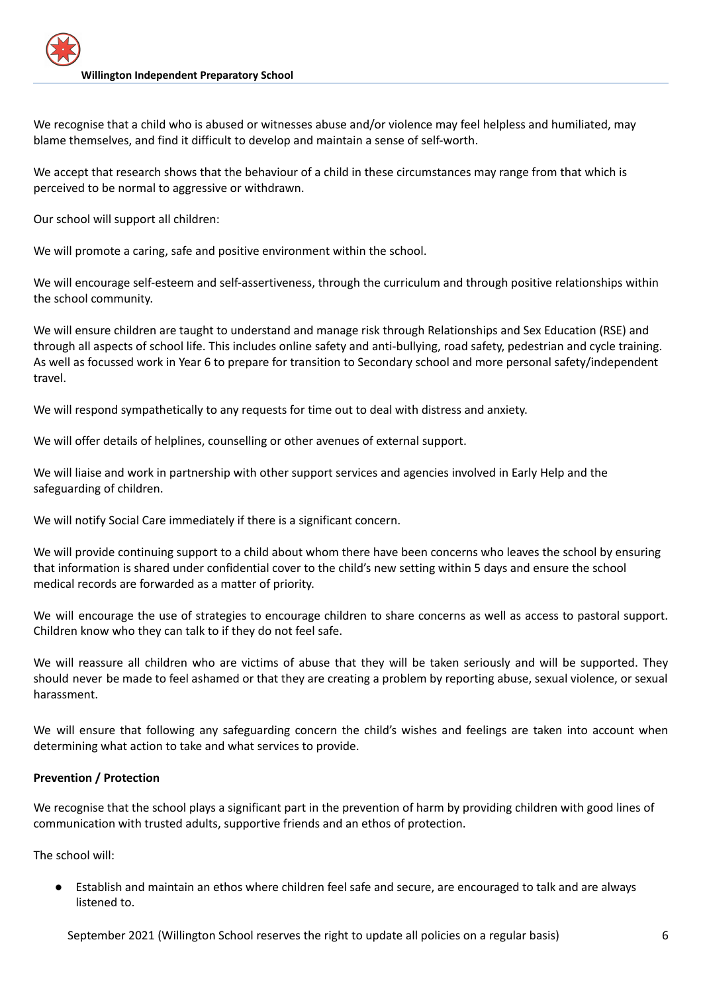We recognise that a child who is abused or witnesses abuse and/or violence may feel helpless and humiliated, may blame themselves, and find it difficult to develop and maintain a sense of self-worth.

We accept that research shows that the behaviour of a child in these circumstances may range from that which is perceived to be normal to aggressive or withdrawn.

Our school will support all children:

We will promote a caring, safe and positive environment within the school.

We will encourage self-esteem and self-assertiveness, through the curriculum and through positive relationships within the school community.

We will ensure children are taught to understand and manage risk through Relationships and Sex Education (RSE) and through all aspects of school life. This includes online safety and anti-bullying, road safety, pedestrian and cycle training. As well as focussed work in Year 6 to prepare for transition to Secondary school and more personal safety/independent travel.

We will respond sympathetically to any requests for time out to deal with distress and anxiety.

We will offer details of helplines, counselling or other avenues of external support.

We will liaise and work in partnership with other support services and agencies involved in Early Help and the safeguarding of children.

We will notify Social Care immediately if there is a significant concern.

We will provide continuing support to a child about whom there have been concerns who leaves the school by ensuring that information is shared under confidential cover to the child's new setting within 5 days and ensure the school medical records are forwarded as a matter of priority.

We will encourage the use of strategies to encourage children to share concerns as well as access to pastoral support. Children know who they can talk to if they do not feel safe.

We will reassure all children who are victims of abuse that they will be taken seriously and will be supported. They should never be made to feel ashamed or that they are creating a problem by reporting abuse, sexual violence, or sexual harassment.

We will ensure that following any safeguarding concern the child's wishes and feelings are taken into account when determining what action to take and what services to provide.

## **Prevention / Protection**

We recognise that the school plays a significant part in the prevention of harm by providing children with good lines of communication with trusted adults, supportive friends and an ethos of protection.

The school will:

Establish and maintain an ethos where children feel safe and secure, are encouraged to talk and are always listened to.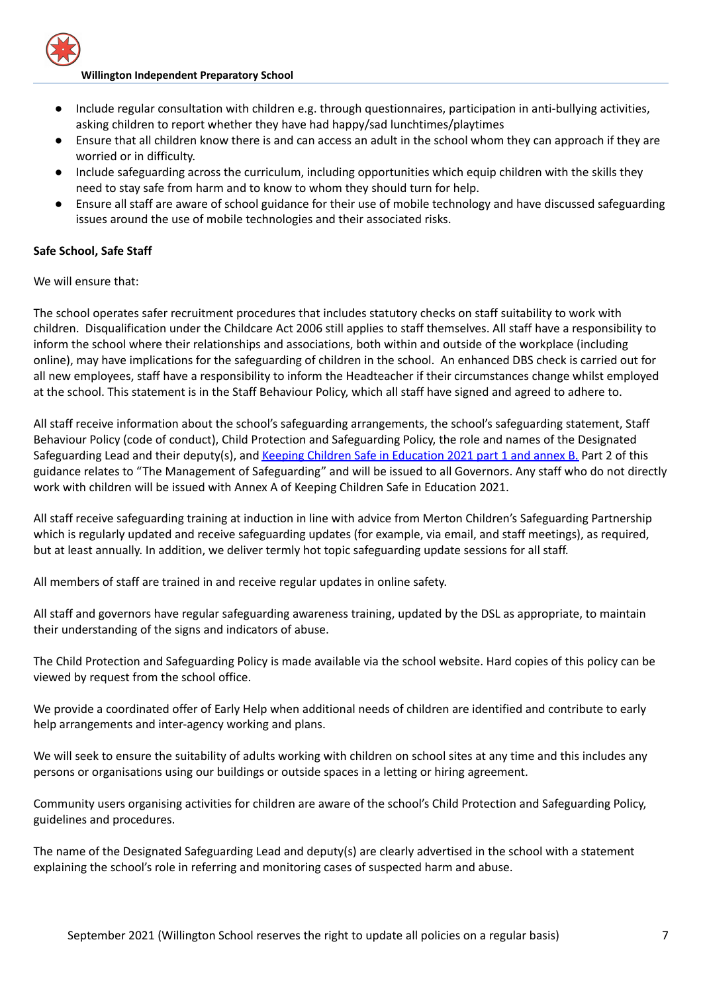

- Include regular consultation with children e.g. through questionnaires, participation in anti-bullying activities, asking children to report whether they have had happy/sad lunchtimes/playtimes
- Ensure that all children know there is and can access an adult in the school whom they can approach if they are worried or in difficulty.
- Include safeguarding across the curriculum, including opportunities which equip children with the skills they need to stay safe from harm and to know to whom they should turn for help.
- Ensure all staff are aware of school guidance for their use of mobile technology and have discussed safeguarding issues around the use of mobile technologies and their associated risks.

## **Safe School, Safe Staff**

We will ensure that:

The school operates safer recruitment procedures that includes statutory checks on staff suitability to work with children. Disqualification under the Childcare Act 2006 still applies to staff themselves. All staff have a responsibility to inform the school where their relationships and associations, both within and outside of the workplace (including online), may have implications for the safeguarding of children in the school. An enhanced DBS check is carried out for all new employees, staff have a responsibility to inform the Headteacher if their circumstances change whilst employed at the school. This statement is in the Staff Behaviour Policy, which all staff have signed and agreed to adhere to.

All staff receive information about the school's safeguarding arrangements, the school's safeguarding statement, Staff Behaviour Policy (code of conduct), Child Protection and Safeguarding Policy, the role and names of the Designated Safeguarding Lead and their deputy(s), and Keeping Children Safe in [Education](https://assets.publishing.service.gov.uk/government/uploads/system/uploads/attachment_data/file/999348/Keeping_children_safe_in_education_2021.pdf) 2021 part 1 and annex B. Part 2 of this guidance relates to "The Management of Safeguarding" and will be issued to all Governors. Any staff who do not directly work with children will be issued with Annex A of Keeping Children Safe in Education 2021.

All staff receive safeguarding training at induction in line with advice from Merton Children's Safeguarding Partnership which is regularly updated and receive safeguarding updates (for example, via email, and staff meetings), as required, but at least annually. In addition, we deliver termly hot topic safeguarding update sessions for all staff.

All members of staff are trained in and receive regular updates in online safety.

All staff and governors have regular safeguarding awareness training, updated by the DSL as appropriate, to maintain their understanding of the signs and indicators of abuse.

The Child Protection and Safeguarding Policy is made available via the school website. Hard copies of this policy can be viewed by request from the school office.

We provide a coordinated offer of Early Help when additional needs of children are identified and contribute to early help arrangements and inter-agency working and plans.

We will seek to ensure the suitability of adults working with children on school sites at any time and this includes any persons or organisations using our buildings or outside spaces in a letting or hiring agreement.

Community users organising activities for children are aware of the school's Child Protection and Safeguarding Policy, guidelines and procedures.

The name of the Designated Safeguarding Lead and deputy(s) are clearly advertised in the school with a statement explaining the school's role in referring and monitoring cases of suspected harm and abuse.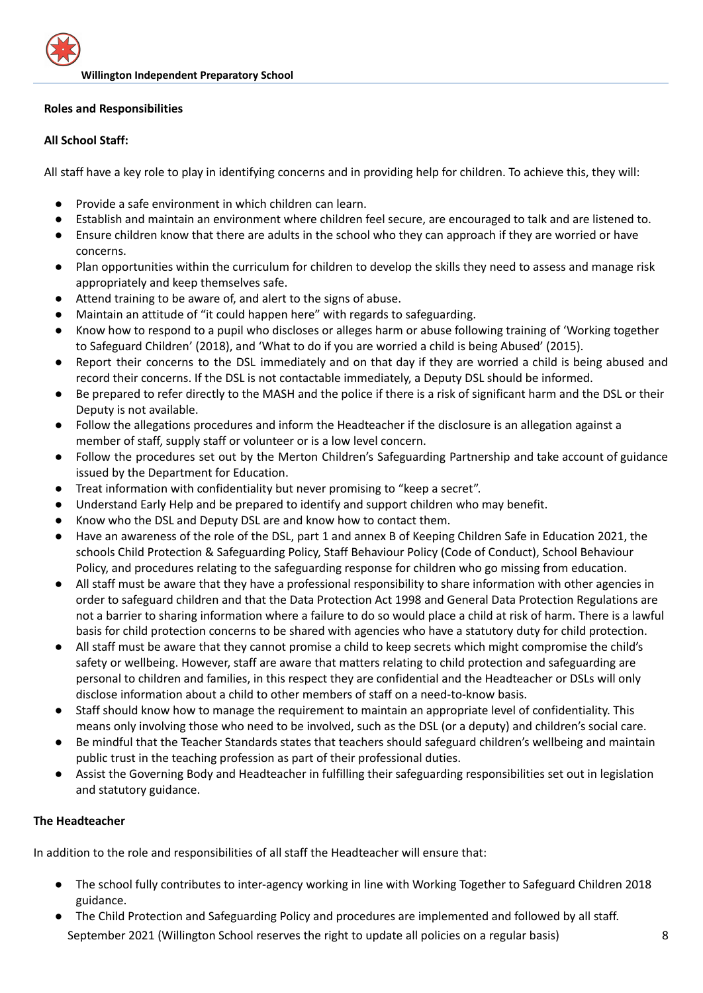## **Roles and Responsibilities**

## **All School Staff:**

All staff have a key role to play in identifying concerns and in providing help for children. To achieve this, they will:

- Provide a safe environment in which children can learn.
- Establish and maintain an environment where children feel secure, are encouraged to talk and are listened to.
- Ensure children know that there are adults in the school who they can approach if they are worried or have concerns.
- Plan opportunities within the curriculum for children to develop the skills they need to assess and manage risk appropriately and keep themselves safe.
- Attend training to be aware of, and alert to the signs of abuse.
- Maintain an attitude of "it could happen here" with regards to safeguarding.
- Know how to respond to a pupil who discloses or alleges harm or abuse following training of 'Working together to Safeguard Children' (2018), and 'What to do if you are worried a child is being Abused' (2015).
- Report their concerns to the DSL immediately and on that day if they are worried a child is being abused and record their concerns. If the DSL is not contactable immediately, a Deputy DSL should be informed.
- Be prepared to refer directly to the MASH and the police if there is a risk of significant harm and the DSL or their Deputy is not available.
- Follow the allegations procedures and inform the Headteacher if the disclosure is an allegation against a member of staff, supply staff or volunteer or is a low level concern.
- Follow the procedures set out by the Merton Children's Safeguarding Partnership and take account of guidance issued by the Department for Education.
- Treat information with confidentiality but never promising to "keep a secret".
- Understand Early Help and be prepared to identify and support children who may benefit.
- Know who the DSL and Deputy DSL are and know how to contact them.
- Have an awareness of the role of the DSL, part 1 and annex B of Keeping Children Safe in Education 2021, the schools Child Protection & Safeguarding Policy, Staff Behaviour Policy (Code of Conduct), School Behaviour Policy, and procedures relating to the safeguarding response for children who go missing from education.
- All staff must be aware that they have a professional responsibility to share information with other agencies in order to safeguard children and that the Data Protection Act 1998 and General Data Protection Regulations are not a barrier to sharing information where a failure to do so would place a child at risk of harm. There is a lawful basis for child protection concerns to be shared with agencies who have a statutory duty for child protection.
- All staff must be aware that they cannot promise a child to keep secrets which might compromise the child's safety or wellbeing. However, staff are aware that matters relating to child protection and safeguarding are personal to children and families, in this respect they are confidential and the Headteacher or DSLs will only disclose information about a child to other members of staff on a need-to-know basis.
- Staff should know how to manage the requirement to maintain an appropriate level of confidentiality. This means only involving those who need to be involved, such as the DSL (or a deputy) and children's social care.
- Be mindful that the Teacher Standards states that teachers should safeguard children's wellbeing and maintain public trust in the teaching profession as part of their professional duties.
- Assist the Governing Body and Headteacher in fulfilling their safeguarding responsibilities set out in legislation and statutory guidance.

## **The Headteacher**

In addition to the role and responsibilities of all staff the Headteacher will ensure that:

- The school fully contributes to inter-agency working in line with Working Together to Safeguard Children 2018 guidance.
- The Child Protection and Safeguarding Policy and procedures are implemented and followed by all staff. September 2021 (Willington School reserves the right to update all policies on a regular basis) 8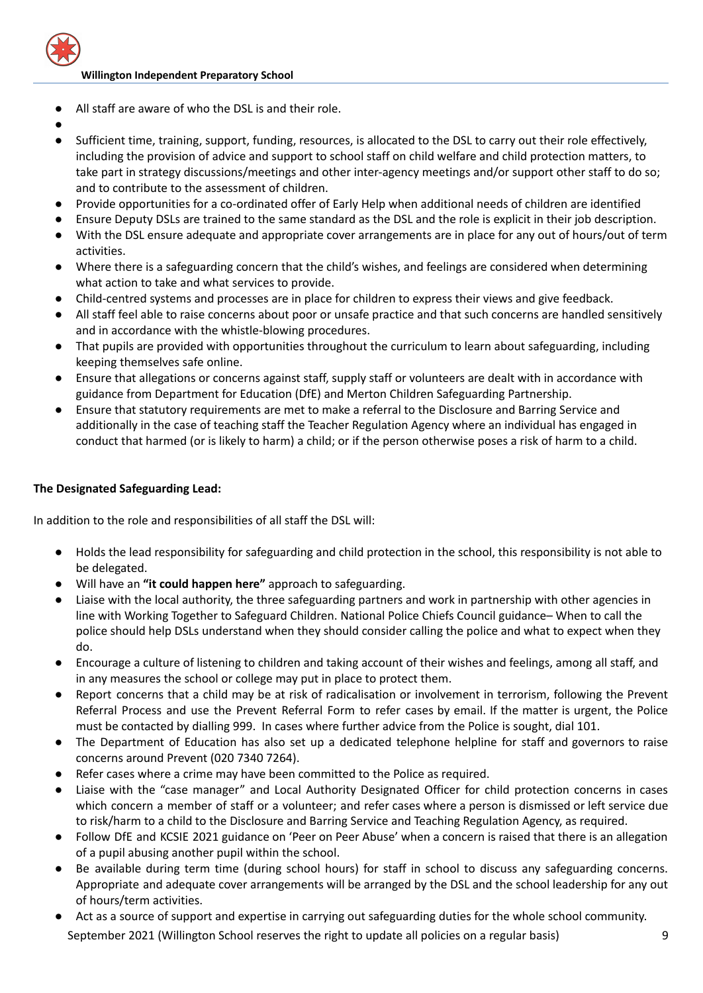

- All staff are aware of who the DSL is and their role.
- ●
- Sufficient time, training, support, funding, resources, is allocated to the DSL to carry out their role effectively, including the provision of advice and support to school staff on child welfare and child protection matters, to take part in strategy discussions/meetings and other inter-agency meetings and/or support other staff to do so; and to contribute to the assessment of children.
- Provide opportunities for a co-ordinated offer of Early Help when additional needs of children are identified
- Ensure Deputy DSLs are trained to the same standard as the DSL and the role is explicit in their job description.
- With the DSL ensure adequate and appropriate cover arrangements are in place for any out of hours/out of term activities.
- Where there is a safeguarding concern that the child's wishes, and feelings are considered when determining what action to take and what services to provide.
- Child-centred systems and processes are in place for children to express their views and give feedback.
- All staff feel able to raise concerns about poor or unsafe practice and that such concerns are handled sensitively and in accordance with the whistle-blowing procedures.
- That pupils are provided with opportunities throughout the curriculum to learn about safeguarding, including keeping themselves safe online.
- Ensure that allegations or concerns against staff, supply staff or volunteers are dealt with in accordance with guidance from Department for Education (DfE) and Merton Children Safeguarding Partnership.
- Ensure that statutory requirements are met to make a referral to the Disclosure and Barring Service and additionally in the case of teaching staff the Teacher Regulation Agency where an individual has engaged in conduct that harmed (or is likely to harm) a child; or if the person otherwise poses a risk of harm to a child.

## **The Designated Safeguarding Lead:**

In addition to the role and responsibilities of all staff the DSL will:

- Holds the lead responsibility for safeguarding and child protection in the school, this responsibility is not able to be delegated.
- Will have an **"it could happen here"** approach to safeguarding.
- Liaise with the local authority, the three safeguarding partners and work in partnership with other agencies in line with Working Together to Safeguard Children. National Police Chiefs Council guidance– When to call the police should help DSLs understand when they should consider calling the police and what to expect when they do.
- Encourage a culture of listening to children and taking account of their wishes and feelings, among all staff, and in any measures the school or college may put in place to protect them.
- Report concerns that a child may be at risk of radicalisation or involvement in terrorism, following the Prevent Referral Process and use the Prevent Referral Form to refer cases by email. If the matter is urgent, the Police must be contacted by dialling 999. In cases where further advice from the Police is sought, dial 101.
- The Department of Education has also set up a dedicated telephone helpline for staff and governors to raise concerns around Prevent (020 7340 7264).
- Refer cases where a crime may have been committed to the Police as required.
- Liaise with the "case manager" and Local Authority Designated Officer for child protection concerns in cases which concern a member of staff or a volunteer; and refer cases where a person is dismissed or left service due to risk/harm to a child to the Disclosure and Barring Service and Teaching Regulation Agency, as required.
- Follow DfE and KCSIE 2021 guidance on 'Peer on Peer Abuse' when a concern is raised that there is an allegation of a pupil abusing another pupil within the school.
- Be available during term time (during school hours) for staff in school to discuss any safeguarding concerns. Appropriate and adequate cover arrangements will be arranged by the DSL and the school leadership for any out of hours/term activities.
- Act as a source of support and expertise in carrying out safeguarding duties for the whole school community. September 2021 (Willington School reserves the right to update all policies on a regular basis) 9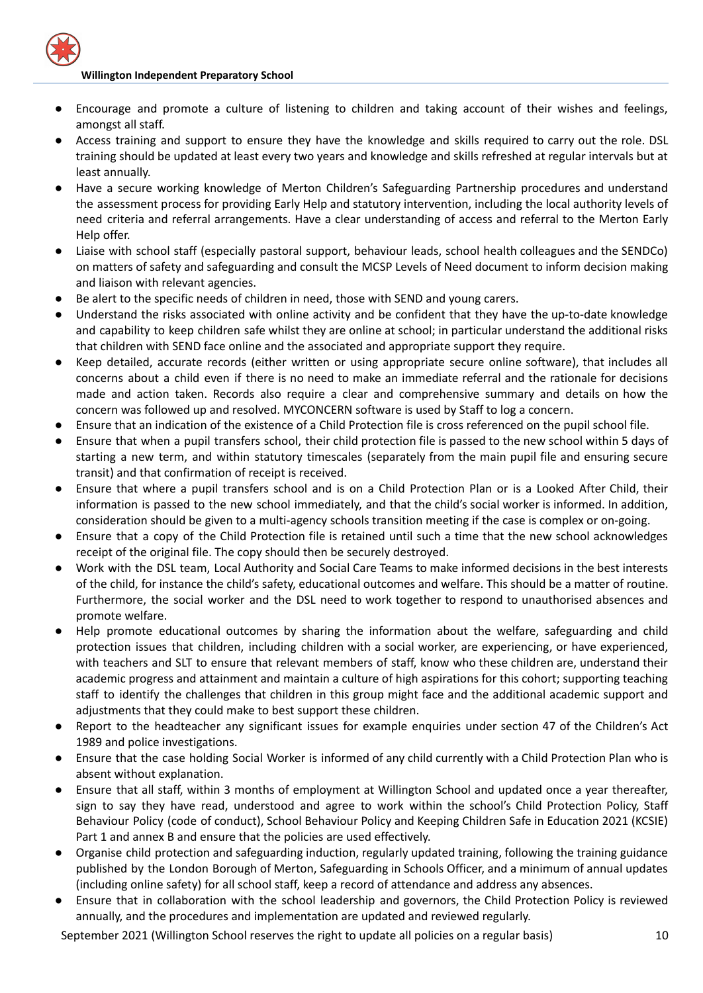- Encourage and promote a culture of listening to children and taking account of their wishes and feelings, amongst all staff.
- Access training and support to ensure they have the knowledge and skills required to carry out the role. DSL training should be updated at least every two years and knowledge and skills refreshed at regular intervals but at least annually.
- Have a secure working knowledge of Merton Children's Safeguarding Partnership procedures and understand the assessment process for providing Early Help and statutory intervention, including the local authority levels of need criteria and referral arrangements. Have a clear understanding of access and referral to the Merton Early Help offer.
- Liaise with school staff (especially pastoral support, behaviour leads, school health colleagues and the SENDCo) on matters of safety and safeguarding and consult the MCSP Levels of Need document to inform decision making and liaison with relevant agencies.
- Be alert to the specific needs of children in need, those with SEND and young carers.
- Understand the risks associated with online activity and be confident that they have the up-to-date knowledge and capability to keep children safe whilst they are online at school; in particular understand the additional risks that children with SEND face online and the associated and appropriate support they require.
- Keep detailed, accurate records (either written or using appropriate secure online software), that includes all concerns about a child even if there is no need to make an immediate referral and the rationale for decisions made and action taken. Records also require a clear and comprehensive summary and details on how the concern was followed up and resolved. MYCONCERN software is used by Staff to log a concern.
- Ensure that an indication of the existence of a Child Protection file is cross referenced on the pupil school file.
- Ensure that when a pupil transfers school, their child protection file is passed to the new school within 5 days of starting a new term, and within statutory timescales (separately from the main pupil file and ensuring secure transit) and that confirmation of receipt is received.
- Ensure that where a pupil transfers school and is on a Child Protection Plan or is a Looked After Child, their information is passed to the new school immediately, and that the child's social worker is informed. In addition, consideration should be given to a multi-agency schools transition meeting if the case is complex or on-going.
- Ensure that a copy of the Child Protection file is retained until such a time that the new school acknowledges receipt of the original file. The copy should then be securely destroyed.
- Work with the DSL team, Local Authority and Social Care Teams to make informed decisions in the best interests of the child, for instance the child's safety, educational outcomes and welfare. This should be a matter of routine. Furthermore, the social worker and the DSL need to work together to respond to unauthorised absences and promote welfare.
- Help promote educational outcomes by sharing the information about the welfare, safeguarding and child protection issues that children, including children with a social worker, are experiencing, or have experienced, with teachers and SLT to ensure that relevant members of staff, know who these children are, understand their academic progress and attainment and maintain a culture of high aspirations for this cohort; supporting teaching staff to identify the challenges that children in this group might face and the additional academic support and adjustments that they could make to best support these children.
- Report to the headteacher any significant issues for example enquiries under section 47 of the Children's Act 1989 and police investigations.
- Ensure that the case holding Social Worker is informed of any child currently with a Child Protection Plan who is absent without explanation.
- Ensure that all staff, within 3 months of employment at Willington School and updated once a year thereafter, sign to say they have read, understood and agree to work within the school's Child Protection Policy, Staff Behaviour Policy (code of conduct), School Behaviour Policy and Keeping Children Safe in Education 2021 (KCSIE) Part 1 and annex B and ensure that the policies are used effectively.
- Organise child protection and safeguarding induction, regularly updated training, following the training guidance published by the London Borough of Merton, Safeguarding in Schools Officer, and a minimum of annual updates (including online safety) for all school staff, keep a record of attendance and address any absences.
- Ensure that in collaboration with the school leadership and governors, the Child Protection Policy is reviewed annually, and the procedures and implementation are updated and reviewed regularly.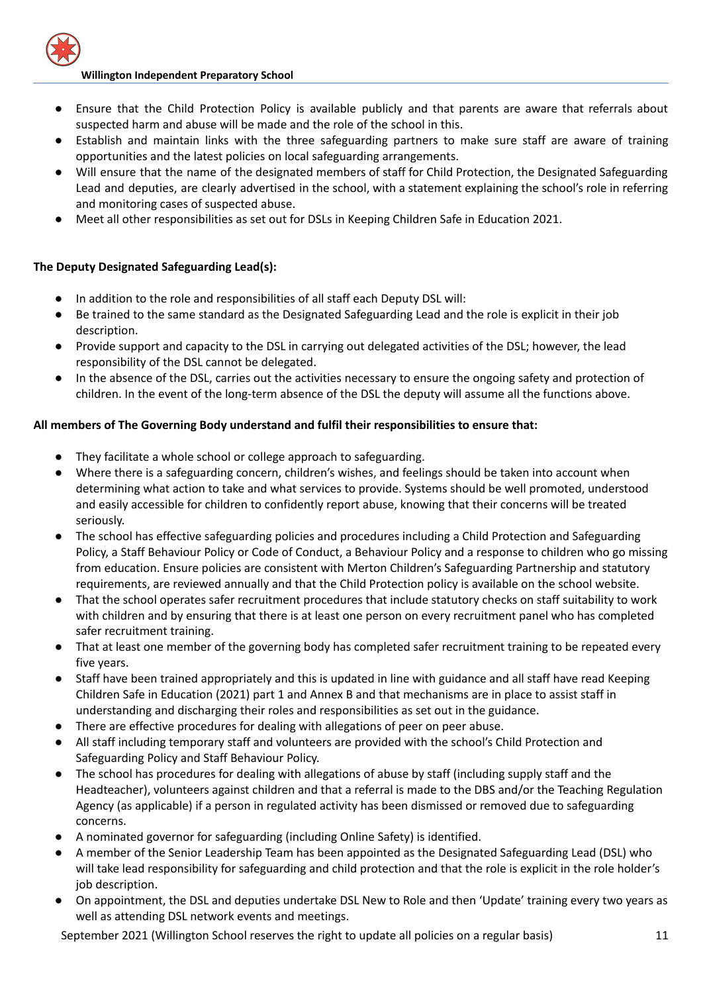- Ensure that the Child Protection Policy is available publicly and that parents are aware that referrals about suspected harm and abuse will be made and the role of the school in this.
- Establish and maintain links with the three safeguarding partners to make sure staff are aware of training opportunities and the latest policies on local safeguarding arrangements.
- Will ensure that the name of the designated members of staff for Child Protection, the Designated Safeguarding Lead and deputies, are clearly advertised in the school, with a statement explaining the school's role in referring and monitoring cases of suspected abuse.
- Meet all other responsibilities as set out for DSLs in Keeping Children Safe in Education 2021.

# **The Deputy Designated Safeguarding Lead(s):**

- In addition to the role and responsibilities of all staff each Deputy DSL will:
- Be trained to the same standard as the Designated Safeguarding Lead and the role is explicit in their job description.
- Provide support and capacity to the DSL in carrying out delegated activities of the DSL; however, the lead responsibility of the DSL cannot be delegated.
- In the absence of the DSL, carries out the activities necessary to ensure the ongoing safety and protection of children. In the event of the long-term absence of the DSL the deputy will assume all the functions above.

# **All members of The Governing Body understand and fulfil their responsibilities to ensure that:**

- They facilitate a whole school or college approach to safeguarding.
- Where there is a safeguarding concern, children's wishes, and feelings should be taken into account when determining what action to take and what services to provide. Systems should be well promoted, understood and easily accessible for children to confidently report abuse, knowing that their concerns will be treated seriously.
- The school has effective safeguarding policies and procedures including a Child Protection and Safeguarding Policy, a Staff Behaviour Policy or Code of Conduct, a Behaviour Policy and a response to children who go missing from education. Ensure policies are consistent with Merton Children's Safeguarding Partnership and statutory requirements, are reviewed annually and that the Child Protection policy is available on the school website.
- That the school operates safer recruitment procedures that include statutory checks on staff suitability to work with children and by ensuring that there is at least one person on every recruitment panel who has completed safer recruitment training.
- That at least one member of the governing body has completed safer recruitment training to be repeated every five years.
- Staff have been trained appropriately and this is updated in line with guidance and all staff have read Keeping Children Safe in Education (2021) part 1 and Annex B and that mechanisms are in place to assist staff in understanding and discharging their roles and responsibilities as set out in the guidance.
- There are effective procedures for dealing with allegations of peer on peer abuse.
- All staff including temporary staff and volunteers are provided with the school's Child Protection and Safeguarding Policy and Staff Behaviour Policy.
- The school has procedures for dealing with allegations of abuse by staff (including supply staff and the Headteacher), volunteers against children and that a referral is made to the DBS and/or the Teaching Regulation Agency (as applicable) if a person in regulated activity has been dismissed or removed due to safeguarding concerns.
- A nominated governor for safeguarding (including Online Safety) is identified.
- A member of the Senior Leadership Team has been appointed as the Designated Safeguarding Lead (DSL) who will take lead responsibility for safeguarding and child protection and that the role is explicit in the role holder's job description.
- On appointment, the DSL and deputies undertake DSL New to Role and then 'Update' training every two years as well as attending DSL network events and meetings.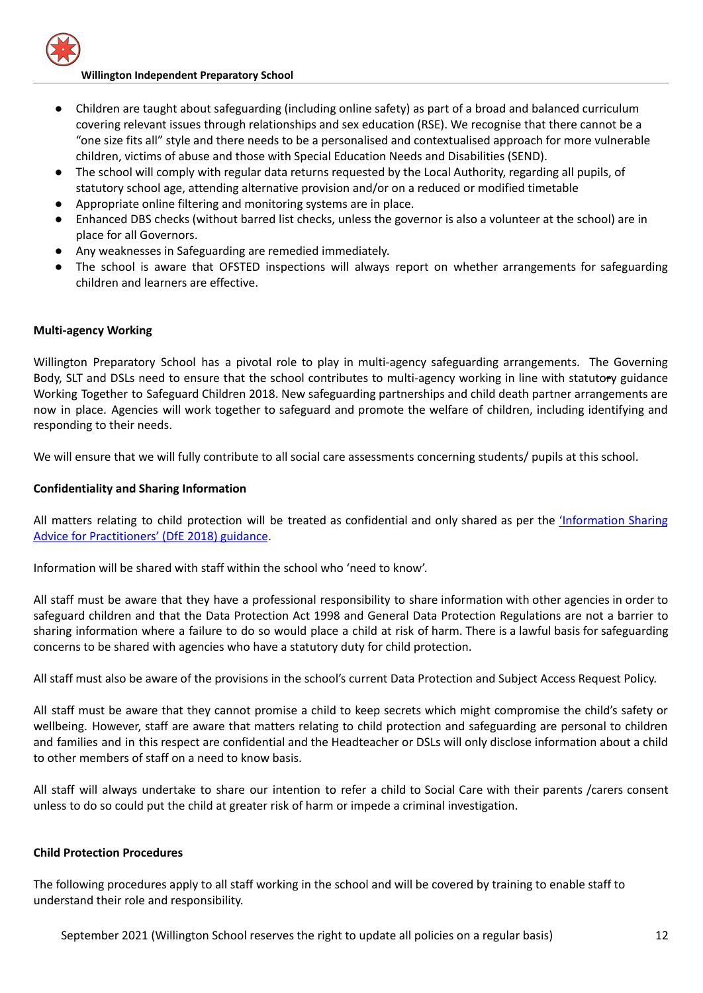- Children are taught about safeguarding (including online safety) as part of a broad and balanced curriculum covering relevant issues through relationships and sex education (RSE). We recognise that there cannot be a "one size fits all" style and there needs to be a personalised and contextualised approach for more vulnerable children, victims of abuse and those with Special Education Needs and Disabilities (SEND).
- The school will comply with regular data returns requested by the Local Authority, regarding all pupils, of statutory school age, attending alternative provision and/or on a reduced or modified timetable
- Appropriate online filtering and monitoring systems are in place.
- Enhanced DBS checks (without barred list checks, unless the governor is also a volunteer at the school) are in place for all Governors.
- Any weaknesses in Safeguarding are remedied immediately.
- The school is aware that OFSTED inspections will always report on whether arrangements for safeguarding children and learners are effective.

## **Multi-agency Working**

Willington Preparatory School has a pivotal role to play in multi-agency safeguarding arrangements. The Governing Body, SLT and DSLs need to ensure that the school contributes to multi-agency working in line with statutory guidance Working Together to Safeguard Children 2018. New safeguarding partnerships and child death partner arrangements are now in place. Agencies will work together to safeguard and promote the welfare of children, including identifying and responding to their needs.

We will ensure that we will fully contribute to all social care assessments concerning students/ pupils at this school.

## **Confidentiality and Sharing Information**

All matters relating to child protection will be treated as confidential and only shared as per the ['Information](https://www.gov.uk/government/publications/safeguarding-practitioners-information-sharing-advice) Sharing Advice for [Practitioners'](https://www.gov.uk/government/publications/safeguarding-practitioners-information-sharing-advice) (DfE 2018) guidance.

Information will be shared with staff within the school who 'need to know'.

All staff must be aware that they have a professional responsibility to share information with other agencies in order to safeguard children and that the Data Protection Act 1998 and General Data Protection Regulations are not a barrier to sharing information where a failure to do so would place a child at risk of harm. There is a lawful basis for safeguarding concerns to be shared with agencies who have a statutory duty for child protection.

All staff must also be aware of the provisions in the school's current Data Protection and Subject Access Request Policy.

All staff must be aware that they cannot promise a child to keep secrets which might compromise the child's safety or wellbeing. However, staff are aware that matters relating to child protection and safeguarding are personal to children and families and in this respect are confidential and the Headteacher or DSLs will only disclose information about a child to other members of staff on a need to know basis.

All staff will always undertake to share our intention to refer a child to Social Care with their parents /carers consent unless to do so could put the child at greater risk of harm or impede a criminal investigation.

#### **Child Protection Procedures**

The following procedures apply to all staff working in the school and will be covered by training to enable staff to understand their role and responsibility.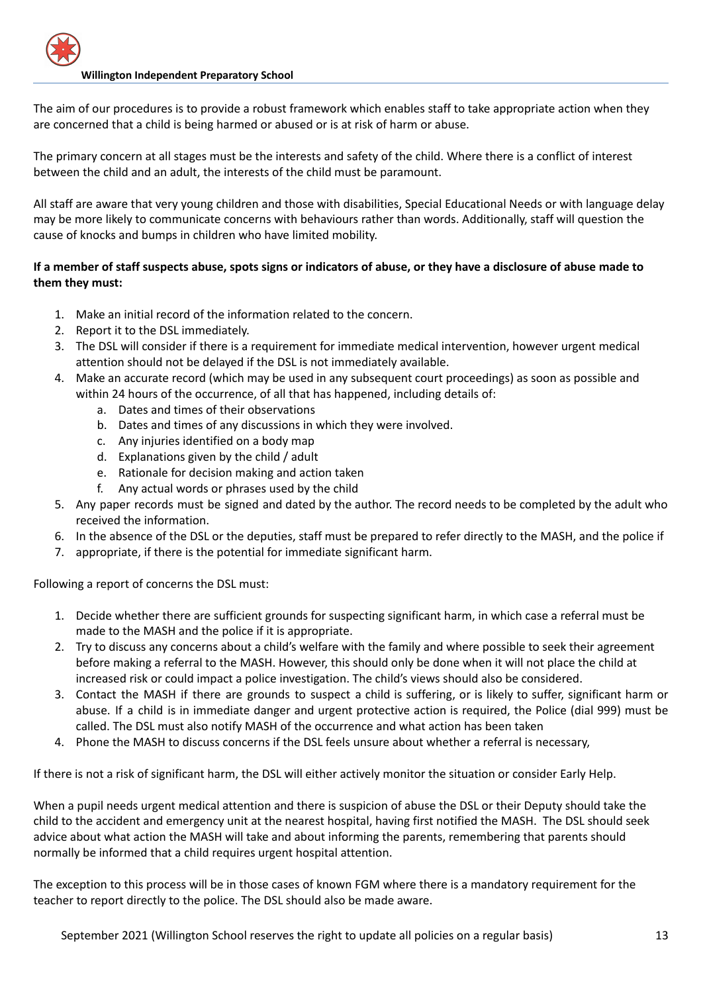The aim of our procedures is to provide a robust framework which enables staff to take appropriate action when they are concerned that a child is being harmed or abused or is at risk of harm or abuse.

The primary concern at all stages must be the interests and safety of the child. Where there is a conflict of interest between the child and an adult, the interests of the child must be paramount.

All staff are aware that very young children and those with disabilities, Special Educational Needs or with language delay may be more likely to communicate concerns with behaviours rather than words. Additionally, staff will question the cause of knocks and bumps in children who have limited mobility.

# If a member of staff suspects abuse, spots signs or indicators of abuse, or they have a disclosure of abuse made to **them they must:**

- 1. Make an initial record of the information related to the concern.
- 2. Report it to the DSL immediately.
- 3. The DSL will consider if there is a requirement for immediate medical intervention, however urgent medical attention should not be delayed if the DSL is not immediately available.
- 4. Make an accurate record (which may be used in any subsequent court proceedings) as soon as possible and within 24 hours of the occurrence, of all that has happened, including details of:
	- a. Dates and times of their observations
	- b. Dates and times of any discussions in which they were involved.
	- c. Any injuries identified on a body map
	- d. Explanations given by the child / adult
	- e. Rationale for decision making and action taken
	- f. Any actual words or phrases used by the child
- 5. Any paper records must be signed and dated by the author. The record needs to be completed by the adult who received the information.
- 6. In the absence of the DSL or the deputies, staff must be prepared to refer directly to the MASH, and the police if
- 7. appropriate, if there is the potential for immediate significant harm.

Following a report of concerns the DSL must:

- 1. Decide whether there are sufficient grounds for suspecting significant harm, in which case a referral must be made to the MASH and the police if it is appropriate.
- 2. Try to discuss any concerns about a child's welfare with the family and where possible to seek their agreement before making a referral to the MASH. However, this should only be done when it will not place the child at increased risk or could impact a police investigation. The child's views should also be considered.
- 3. Contact the MASH if there are grounds to suspect a child is suffering, or is likely to suffer, significant harm or abuse. If a child is in immediate danger and urgent protective action is required, the Police (dial 999) must be called. The DSL must also notify MASH of the occurrence and what action has been taken
- 4. Phone the MASH to discuss concerns if the DSL feels unsure about whether a referral is necessary,

If there is not a risk of significant harm, the DSL will either actively monitor the situation or consider Early Help.

When a pupil needs urgent medical attention and there is suspicion of abuse the DSL or their Deputy should take the child to the accident and emergency unit at the nearest hospital, having first notified the MASH. The DSL should seek advice about what action the MASH will take and about informing the parents, remembering that parents should normally be informed that a child requires urgent hospital attention.

The exception to this process will be in those cases of known FGM where there is a mandatory requirement for the teacher to report directly to the police. The DSL should also be made aware.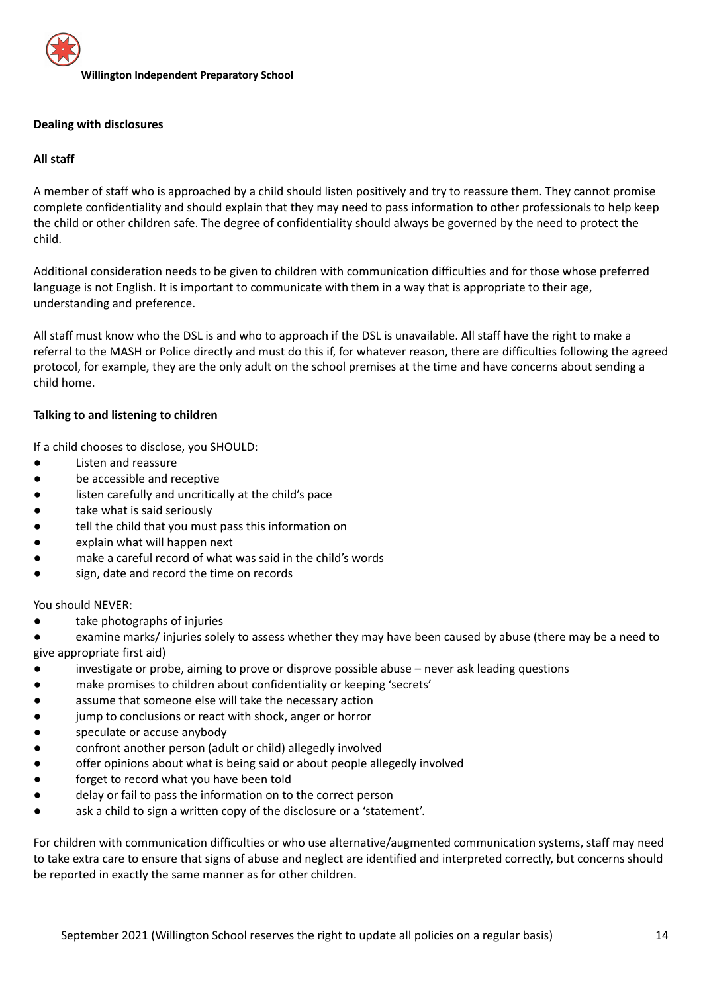## **Dealing with disclosures**

## **All staff**

A member of staff who is approached by a child should listen positively and try to reassure them. They cannot promise complete confidentiality and should explain that they may need to pass information to other professionals to help keep the child or other children safe. The degree of confidentiality should always be governed by the need to protect the child.

Additional consideration needs to be given to children with communication difficulties and for those whose preferred language is not English. It is important to communicate with them in a way that is appropriate to their age, understanding and preference.

All staff must know who the DSL is and who to approach if the DSL is unavailable. All staff have the right to make a referral to the MASH or Police directly and must do this if, for whatever reason, there are difficulties following the agreed protocol, for example, they are the only adult on the school premises at the time and have concerns about sending a child home.

## **Talking to and listening to children**

If a child chooses to disclose, you SHOULD:

- Listen and reassure
- be accessible and receptive
- listen carefully and uncritically at the child's pace
- take what is said seriously
- tell the child that you must pass this information on
- explain what will happen next
- make a careful record of what was said in the child's words
- sign, date and record the time on records

You should NEVER:

take photographs of injuries

examine marks/ injuries solely to assess whether they may have been caused by abuse (there may be a need to give appropriate first aid)

- investigate or probe, aiming to prove or disprove possible abuse never ask leading questions
- make promises to children about confidentiality or keeping 'secrets'
- assume that someone else will take the necessary action
- jump to conclusions or react with shock, anger or horror
- speculate or accuse anybody
- confront another person (adult or child) allegedly involved
- offer opinions about what is being said or about people allegedly involved
- forget to record what you have been told
- delay or fail to pass the information on to the correct person
- ask a child to sign a written copy of the disclosure or a 'statement'.

For children with communication difficulties or who use alternative/augmented communication systems, staff may need to take extra care to ensure that signs of abuse and neglect are identified and interpreted correctly, but concerns should be reported in exactly the same manner as for other children.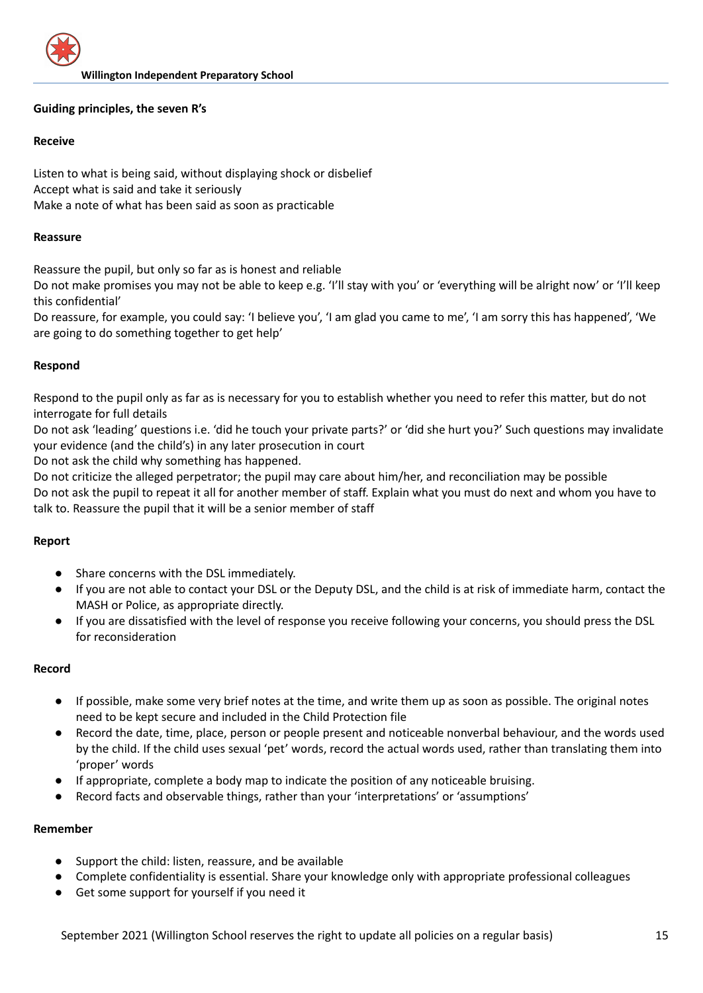## **Guiding principles, the seven R's**

## **Receive**

Listen to what is being said, without displaying shock or disbelief Accept what is said and take it seriously Make a note of what has been said as soon as practicable

#### **Reassure**

Reassure the pupil, but only so far as is honest and reliable

Do not make promises you may not be able to keep e.g. 'I'll stay with you' or 'everything will be alright now' or 'I'll keep this confidential'

Do reassure, for example, you could say: 'I believe you', 'I am glad you came to me', 'I am sorry this has happened', 'We are going to do something together to get help'

## **Respond**

Respond to the pupil only as far as is necessary for you to establish whether you need to refer this matter, but do not interrogate for full details

Do not ask 'leading' questions i.e. 'did he touch your private parts?' or 'did she hurt you?' Such questions may invalidate your evidence (and the child's) in any later prosecution in court

Do not ask the child why something has happened.

Do not criticize the alleged perpetrator; the pupil may care about him/her, and reconciliation may be possible Do not ask the pupil to repeat it all for another member of staff. Explain what you must do next and whom you have to talk to. Reassure the pupil that it will be a senior member of staff

## **Report**

- Share concerns with the DSL immediately.
- If you are not able to contact your DSL or the Deputy DSL, and the child is at risk of immediate harm, contact the MASH or Police, as appropriate directly.
- If you are dissatisfied with the level of response you receive following your concerns, you should press the DSL for reconsideration

## **Record**

- If possible, make some very brief notes at the time, and write them up as soon as possible. The original notes need to be kept secure and included in the Child Protection file
- Record the date, time, place, person or people present and noticeable nonverbal behaviour, and the words used by the child. If the child uses sexual 'pet' words, record the actual words used, rather than translating them into 'proper' words
- If appropriate, complete a body map to indicate the position of any noticeable bruising.
- Record facts and observable things, rather than your 'interpretations' or 'assumptions'

## **Remember**

- Support the child: listen, reassure, and be available
- Complete confidentiality is essential. Share your knowledge only with appropriate professional colleagues
- Get some support for yourself if you need it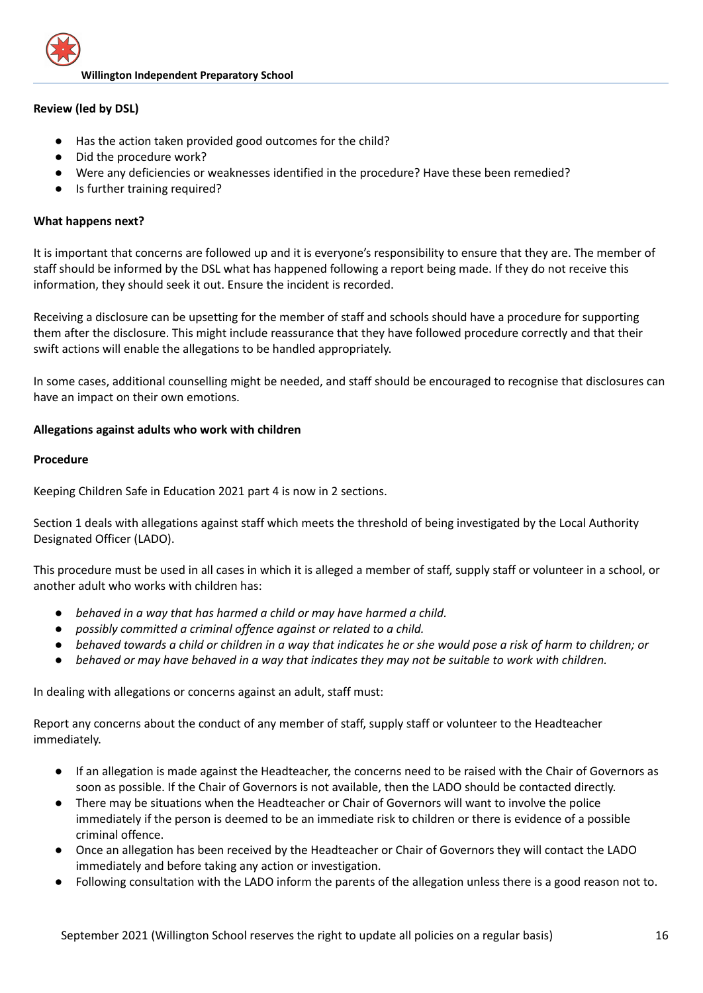

## **Review (led by DSL)**

- Has the action taken provided good outcomes for the child?
- Did the procedure work?
- Were any deficiencies or weaknesses identified in the procedure? Have these been remedied?
- Is further training required?

## **What happens next?**

It is important that concerns are followed up and it is everyone's responsibility to ensure that they are. The member of staff should be informed by the DSL what has happened following a report being made. If they do not receive this information, they should seek it out. Ensure the incident is recorded.

Receiving a disclosure can be upsetting for the member of staff and schools should have a procedure for supporting them after the disclosure. This might include reassurance that they have followed procedure correctly and that their swift actions will enable the allegations to be handled appropriately.

In some cases, additional counselling might be needed, and staff should be encouraged to recognise that disclosures can have an impact on their own emotions.

## **Allegations against adults who work with children**

## **Procedure**

Keeping Children Safe in Education 2021 part 4 is now in 2 sections.

Section 1 deals with allegations against staff which meets the threshold of being investigated by the Local Authority Designated Officer (LADO).

This procedure must be used in all cases in which it is alleged a member of staff, supply staff or volunteer in a school, or another adult who works with children has:

- *● behaved in a way that has harmed a child or may have harmed a child.*
- *● possibly committed a criminal offence against or related to a child.*
- behaved towards a child or children in a way that indicates he or she would pose a risk of harm to children; or
- behaved or may have behaved in a way that indicates they may not be suitable to work with children.

In dealing with allegations or concerns against an adult, staff must:

Report any concerns about the conduct of any member of staff, supply staff or volunteer to the Headteacher immediately.

- If an allegation is made against the Headteacher, the concerns need to be raised with the Chair of Governors as soon as possible. If the Chair of Governors is not available, then the LADO should be contacted directly.
- There may be situations when the Headteacher or Chair of Governors will want to involve the police immediately if the person is deemed to be an immediate risk to children or there is evidence of a possible criminal offence.
- Once an allegation has been received by the Headteacher or Chair of Governors they will contact the LADO immediately and before taking any action or investigation.
- Following consultation with the LADO inform the parents of the allegation unless there is a good reason not to.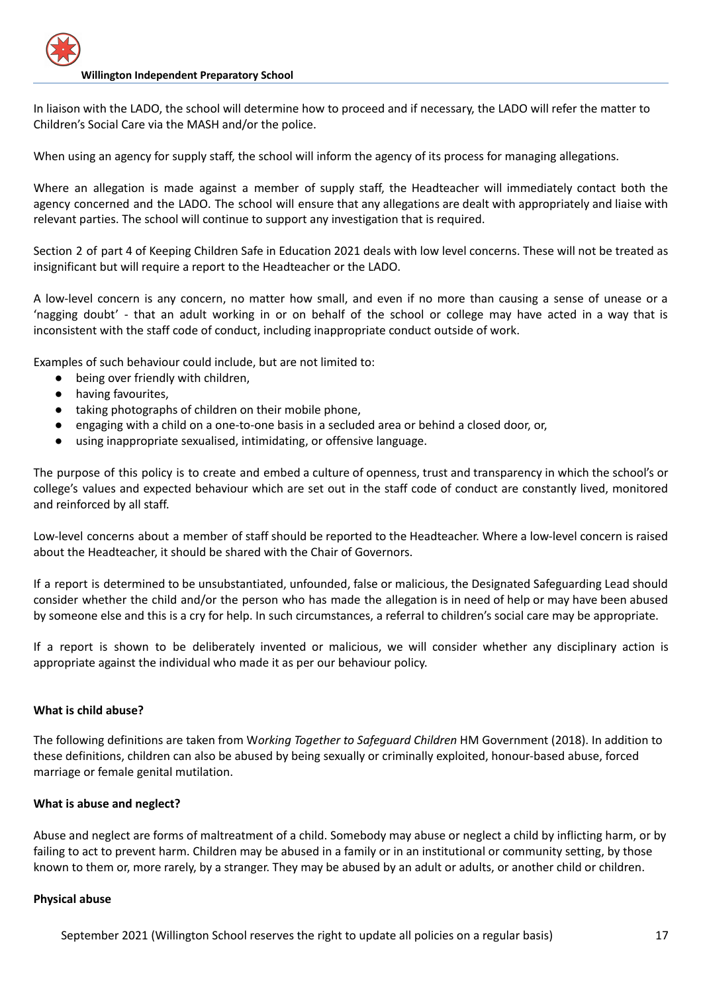In liaison with the LADO, the school will determine how to proceed and if necessary, the LADO will refer the matter to Children's Social Care via the MASH and/or the police.

When using an agency for supply staff, the school will inform the agency of its process for managing allegations.

Where an allegation is made against a member of supply staff, the Headteacher will immediately contact both the agency concerned and the LADO. The school will ensure that any allegations are dealt with appropriately and liaise with relevant parties. The school will continue to support any investigation that is required.

Section 2 of part 4 of Keeping Children Safe in Education 2021 deals with low level concerns. These will not be treated as insignificant but will require a report to the Headteacher or the LADO.

A low-level concern is any concern, no matter how small, and even if no more than causing a sense of unease or a 'nagging doubt' - that an adult working in or on behalf of the school or college may have acted in a way that is inconsistent with the staff code of conduct, including inappropriate conduct outside of work.

Examples of such behaviour could include, but are not limited to:

- being over friendly with children,
- having favourites,
- taking photographs of children on their mobile phone,
- engaging with a child on a one-to-one basis in a secluded area or behind a closed door, or,
- using inappropriate sexualised, intimidating, or offensive language.

The purpose of this policy is to create and embed a culture of openness, trust and transparency in which the school's or college's values and expected behaviour which are set out in the staff code of conduct are constantly lived, monitored and reinforced by all staff.

Low-level concerns about a member of staff should be reported to the Headteacher. Where a low-level concern is raised about the Headteacher, it should be shared with the Chair of Governors.

If a report is determined to be unsubstantiated, unfounded, false or malicious, the Designated Safeguarding Lead should consider whether the child and/or the person who has made the allegation is in need of help or may have been abused by someone else and this is a cry for help. In such circumstances, a referral to children's social care may be appropriate.

If a report is shown to be deliberately invented or malicious, we will consider whether any disciplinary action is appropriate against the individual who made it as per our behaviour policy.

## **What is child abuse?**

The following definitions are taken from W*orking Together to Safeguard Children* HM Government (2018). In addition to these definitions, children can also be abused by being sexually or criminally exploited, honour-based abuse, forced marriage or female genital mutilation.

## **What is abuse and neglect?**

Abuse and neglect are forms of maltreatment of a child. Somebody may abuse or neglect a child by inflicting harm, or by failing to act to prevent harm. Children may be abused in a family or in an institutional or community setting, by those known to them or, more rarely, by a stranger. They may be abused by an adult or adults, or another child or children.

## **Physical abuse**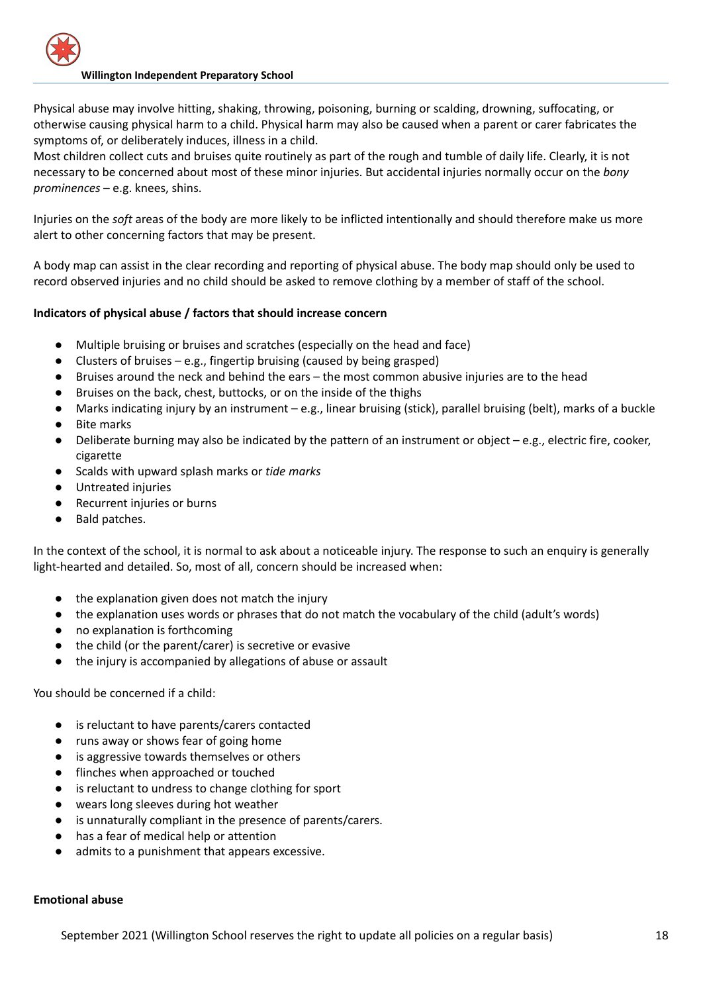Physical abuse may involve hitting, shaking, throwing, poisoning, burning or scalding, drowning, suffocating, or otherwise causing physical harm to a child. Physical harm may also be caused when a parent or carer fabricates the symptoms of, or deliberately induces, illness in a child.

Most children collect cuts and bruises quite routinely as part of the rough and tumble of daily life. Clearly, it is not necessary to be concerned about most of these minor injuries. But accidental injuries normally occur on the *bony prominences* – e.g. knees, shins.

Injuries on the *soft* areas of the body are more likely to be inflicted intentionally and should therefore make us more alert to other concerning factors that may be present.

A body map can assist in the clear recording and reporting of physical abuse. The body map should only be used to record observed injuries and no child should be asked to remove clothing by a member of staff of the school.

## **Indicators of physical abuse / factors that should increase concern**

- Multiple bruising or bruises and scratches (especially on the head and face)
- Clusters of bruises e.g., fingertip bruising (caused by being grasped)
- Bruises around the neck and behind the ears the most common abusive injuries are to the head
- Bruises on the back, chest, buttocks, or on the inside of the thighs
- Marks indicating injury by an instrument e.g., linear bruising (stick), parallel bruising (belt), marks of a buckle
- Bite marks
- Deliberate burning may also be indicated by the pattern of an instrument or object e.g., electric fire, cooker, cigarette
- Scalds with upward splash marks or *tide marks*
- Untreated injuries
- Recurrent injuries or burns
- Bald patches.

In the context of the school, it is normal to ask about a noticeable injury. The response to such an enquiry is generally light-hearted and detailed. So, most of all, concern should be increased when:

- the explanation given does not match the injury
- the explanation uses words or phrases that do not match the vocabulary of the child (adult's words)
- no explanation is forthcoming
- the child (or the parent/carer) is secretive or evasive
- the injury is accompanied by allegations of abuse or assault

You should be concerned if a child:

- is reluctant to have parents/carers contacted
- runs away or shows fear of going home
- is aggressive towards themselves or others
- flinches when approached or touched
- is reluctant to undress to change clothing for sport
- wears long sleeves during hot weather
- is unnaturally compliant in the presence of parents/carers.
- has a fear of medical help or attention
- admits to a punishment that appears excessive.

# **Emotional abuse**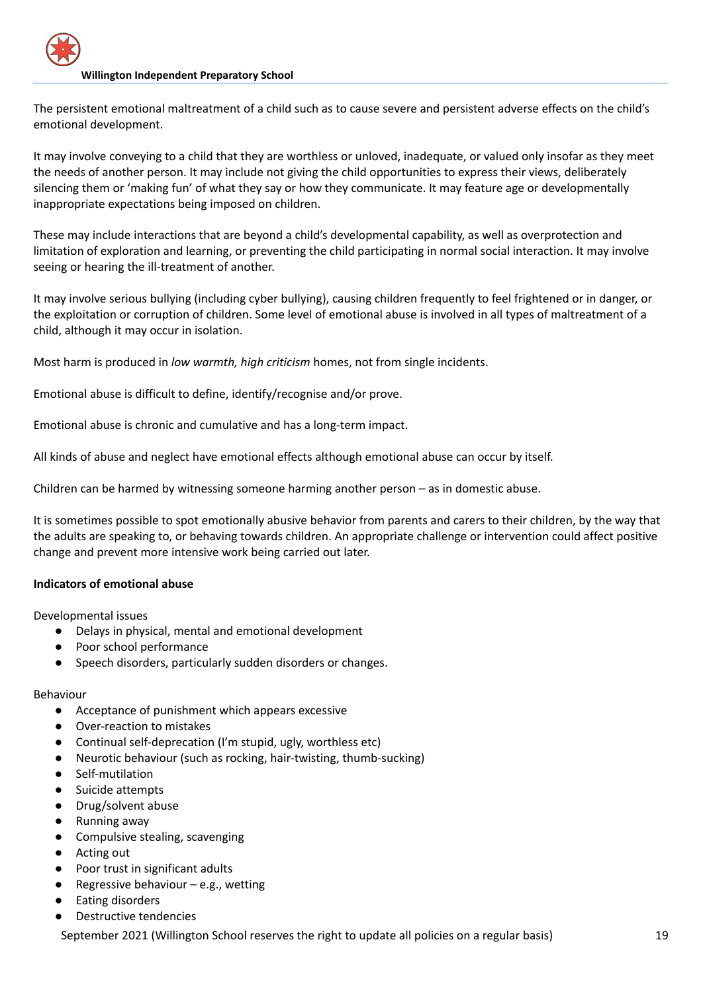The persistent emotional maltreatment of a child such as to cause severe and persistent adverse effects on the child's emotional development.

It may involve conveying to a child that they are worthless or unloved, inadequate, or valued only insofar as they meet the needs of another person. It may include not giving the child opportunities to express their views, deliberately silencing them or 'making fun' of what they say or how they communicate. It may feature age or developmentally inappropriate expectations being imposed on children.

These may include interactions that are beyond a child's developmental capability, as well as overprotection and limitation of exploration and learning, or preventing the child participating in normal social interaction. It may involve seeing or hearing the ill-treatment of another.

It may involve serious bullying (including cyber bullying), causing children frequently to feel frightened or in danger, or the exploitation or corruption of children. Some level of emotional abuse is involved in all types of maltreatment of a child, although it may occur in isolation.

Most harm is produced in *low warmth, high criticism* homes, not from single incidents.

Emotional abuse is difficult to define, identify/recognise and/or prove.

Emotional abuse is chronic and cumulative and has a long-term impact.

All kinds of abuse and neglect have emotional effects although emotional abuse can occur by itself.

Children can be harmed by witnessing someone harming another person – as in domestic abuse.

It is sometimes possible to spot emotionally abusive behavior from parents and carers to their children, by the way that the adults are speaking to, or behaving towards children. An appropriate challenge or intervention could affect positive change and prevent more intensive work being carried out later.

## **Indicators of emotional abuse**

Developmental issues

- Delays in physical, mental and emotional development
- Poor school performance
- Speech disorders, particularly sudden disorders or changes.

## Behaviour

- Acceptance of punishment which appears excessive
- Over-reaction to mistakes
- Continual self-deprecation (I'm stupid, ugly, worthless etc)
- Neurotic behaviour (such as rocking, hair-twisting, thumb-sucking)
- Self-mutilation
- Suicide attempts
- Drug/solvent abuse
- Running away
- Compulsive stealing, scavenging
- Acting out
- Poor trust in significant adults
- Regressive behaviour e.g., wetting
- **Eating disorders**
- Destructive tendencies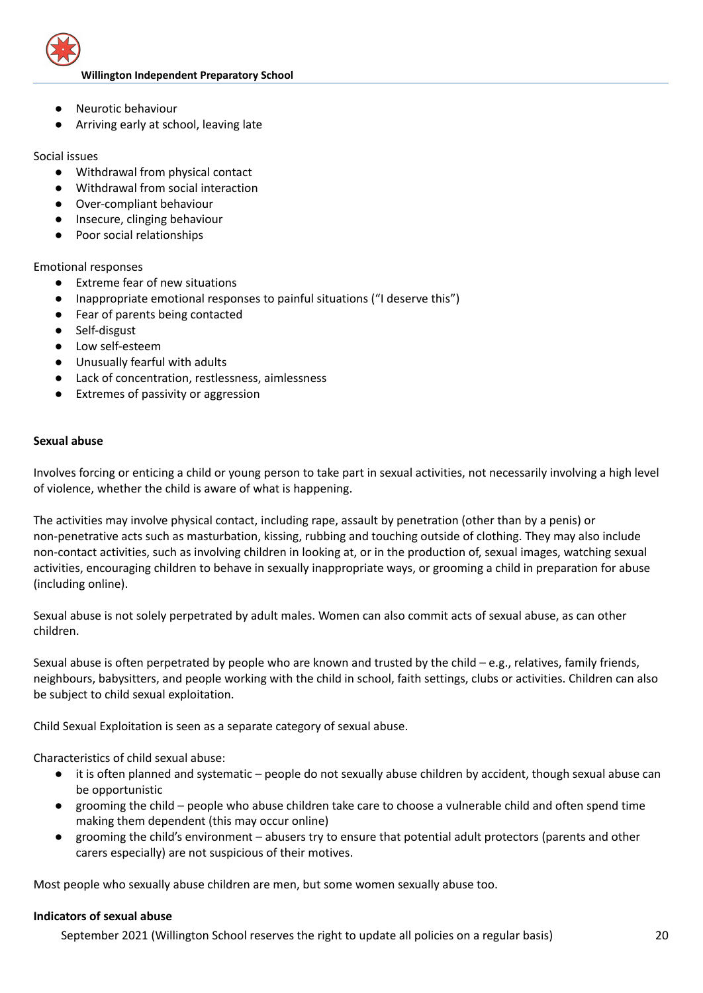

- Neurotic behaviour
- Arriving early at school, leaving late

## Social issues

- Withdrawal from physical contact
- Withdrawal from social interaction
- Over-compliant behaviour
- Insecure, clinging behaviour
- Poor social relationships

## Emotional responses

- Extreme fear of new situations
- Inappropriate emotional responses to painful situations ("I deserve this")
- Fear of parents being contacted
- Self-disgust
- Low self-esteem
- Unusually fearful with adults
- Lack of concentration, restlessness, aimlessness
- Extremes of passivity or aggression

## **Sexual abuse**

Involves forcing or enticing a child or young person to take part in sexual activities, not necessarily involving a high level of violence, whether the child is aware of what is happening.

The activities may involve physical contact, including rape, assault by penetration (other than by a penis) or non-penetrative acts such as masturbation, kissing, rubbing and touching outside of clothing. They may also include non-contact activities, such as involving children in looking at, or in the production of, sexual images, watching sexual activities, encouraging children to behave in sexually inappropriate ways, or grooming a child in preparation for abuse (including online).

Sexual abuse is not solely perpetrated by adult males. Women can also commit acts of sexual abuse, as can other children.

Sexual abuse is often perpetrated by people who are known and trusted by the child  $-e.g.,$  relatives, family friends, neighbours, babysitters, and people working with the child in school, faith settings, clubs or activities. Children can also be subject to child sexual exploitation.

Child Sexual Exploitation is seen as a separate category of sexual abuse.

Characteristics of child sexual abuse:

- it is often planned and systematic people do not sexually abuse children by accident, though sexual abuse can be opportunistic
- grooming the child people who abuse children take care to choose a vulnerable child and often spend time making them dependent (this may occur online)
- grooming the child's environment abusers try to ensure that potential adult protectors (parents and other carers especially) are not suspicious of their motives.

Most people who sexually abuse children are men, but some women sexually abuse too.

## **Indicators of sexual abuse**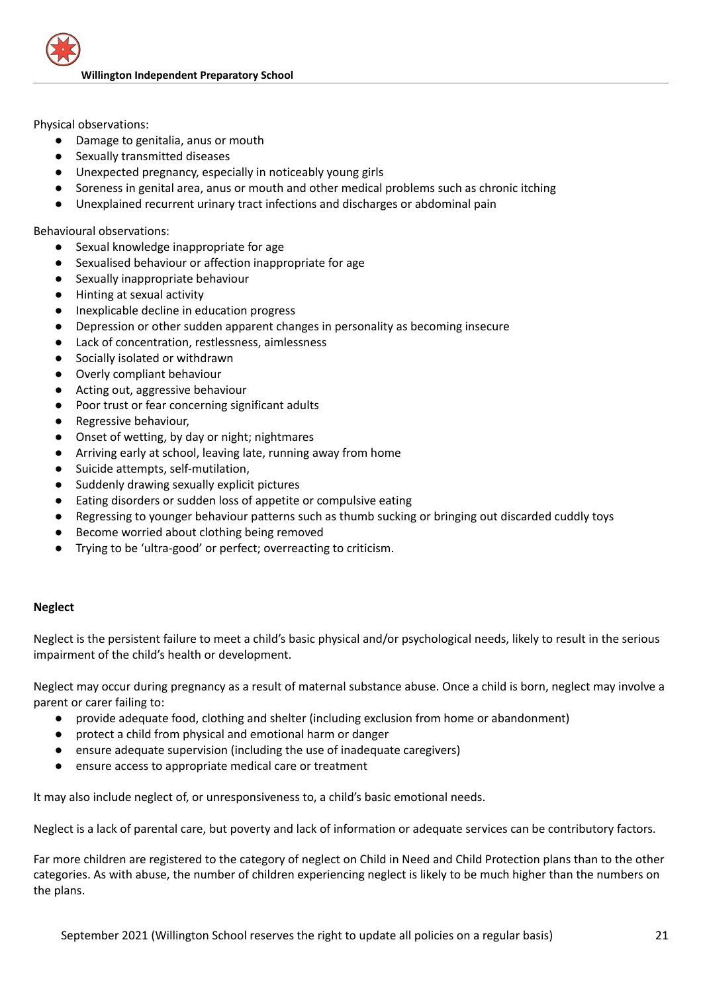

Physical observations:

- Damage to genitalia, anus or mouth
- Sexually transmitted diseases
- Unexpected pregnancy, especially in noticeably young girls
- Soreness in genital area, anus or mouth and other medical problems such as chronic itching
- Unexplained recurrent urinary tract infections and discharges or abdominal pain

Behavioural observations:

- Sexual knowledge inappropriate for age
- Sexualised behaviour or affection inappropriate for age
- Sexually inappropriate behaviour
- Hinting at sexual activity
- Inexplicable decline in education progress
- Depression or other sudden apparent changes in personality as becoming insecure
- Lack of concentration, restlessness, aimlessness
- Socially isolated or withdrawn
- Overly compliant behaviour
- Acting out, aggressive behaviour
- Poor trust or fear concerning significant adults
- Regressive behaviour.
- Onset of wetting, by day or night; nightmares
- Arriving early at school, leaving late, running away from home
- Suicide attempts, self-mutilation,
- Suddenly drawing sexually explicit pictures
- Eating disorders or sudden loss of appetite or compulsive eating
- Regressing to younger behaviour patterns such as thumb sucking or bringing out discarded cuddly toys
- Become worried about clothing being removed
- Trying to be 'ultra-good' or perfect; overreacting to criticism.

## **Neglect**

Neglect is the persistent failure to meet a child's basic physical and/or psychological needs, likely to result in the serious impairment of the child's health or development.

Neglect may occur during pregnancy as a result of maternal substance abuse. Once a child is born, neglect may involve a parent or carer failing to:

- provide adequate food, clothing and shelter (including exclusion from home or abandonment)
- protect a child from physical and emotional harm or danger
- ensure adequate supervision (including the use of inadequate caregivers)
- ensure access to appropriate medical care or treatment

It may also include neglect of, or unresponsiveness to, a child's basic emotional needs.

Neglect is a lack of parental care, but poverty and lack of information or adequate services can be contributory factors.

Far more children are registered to the category of neglect on Child in Need and Child Protection plans than to the other categories. As with abuse, the number of children experiencing neglect is likely to be much higher than the numbers on the plans.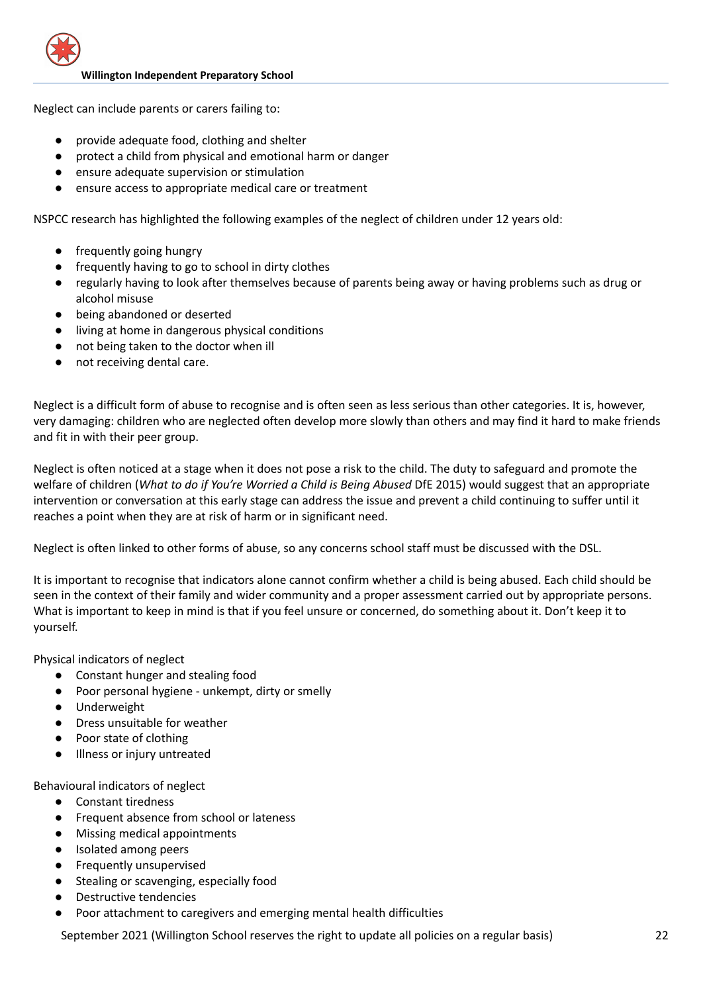

Neglect can include parents or carers failing to:

- provide adequate food, clothing and shelter
- protect a child from physical and emotional harm or danger
- ensure adequate supervision or stimulation
- ensure access to appropriate medical care or treatment

NSPCC research has highlighted the following examples of the neglect of children under 12 years old:

- frequently going hungry
- frequently having to go to school in dirty clothes
- regularly having to look after themselves because of parents being away or having problems such as drug or alcohol misuse
- being abandoned or deserted
- living at home in dangerous physical conditions
- not being taken to the doctor when ill
- not receiving dental care.

Neglect is a difficult form of abuse to recognise and is often seen as less serious than other categories. It is, however, very damaging: children who are neglected often develop more slowly than others and may find it hard to make friends and fit in with their peer group.

Neglect is often noticed at a stage when it does not pose a risk to the child. The duty to safeguard and promote the welfare of children (*What to do if You're Worried a Child is Being Abused* DfE 2015) would suggest that an appropriate intervention or conversation at this early stage can address the issue and prevent a child continuing to suffer until it reaches a point when they are at risk of harm or in significant need.

Neglect is often linked to other forms of abuse, so any concerns school staff must be discussed with the DSL.

It is important to recognise that indicators alone cannot confirm whether a child is being abused. Each child should be seen in the context of their family and wider community and a proper assessment carried out by appropriate persons. What is important to keep in mind is that if you feel unsure or concerned, do something about it. Don't keep it to yourself.

Physical indicators of neglect

- Constant hunger and stealing food
- Poor personal hygiene unkempt, dirty or smelly
- Underweight
- Dress unsuitable for weather
- Poor state of clothing
- Illness or injury untreated

Behavioural indicators of neglect

- Constant tiredness
- Frequent absence from school or lateness
- Missing medical appointments
- Isolated among peers
- Frequently unsupervised
- Stealing or scavenging, especially food
- Destructive tendencies
- Poor attachment to caregivers and emerging mental health difficulties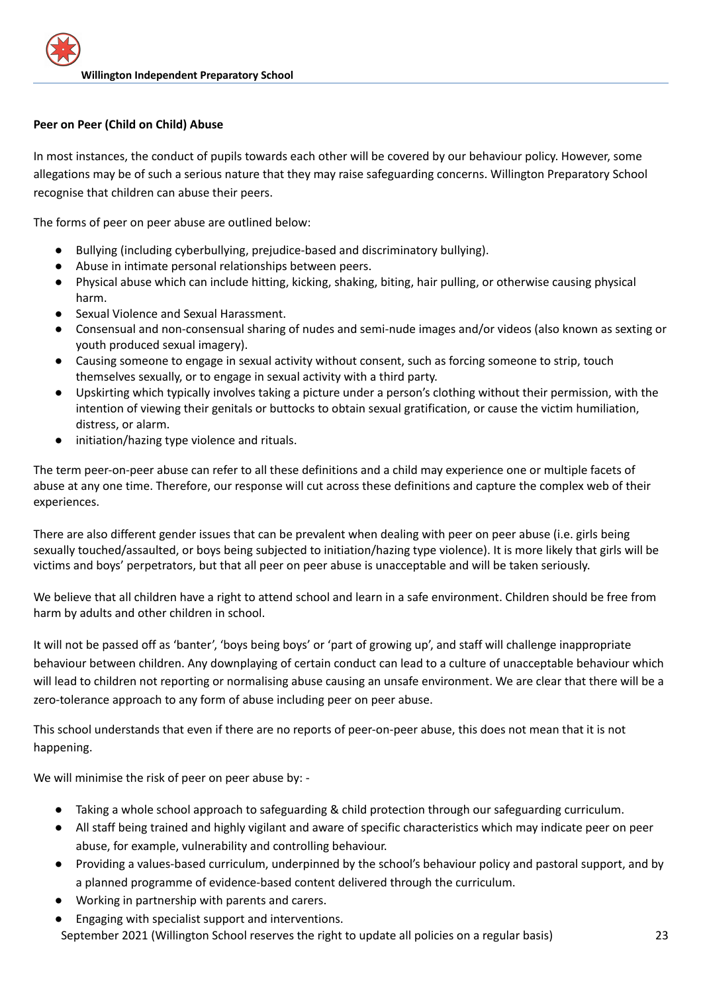## **Peer on Peer (Child on Child) Abuse**

In most instances, the conduct of pupils towards each other will be covered by our behaviour policy. However, some allegations may be of such a serious nature that they may raise safeguarding concerns. Willington Preparatory School recognise that children can abuse their peers.

The forms of peer on peer abuse are outlined below:

- Bullying (including cyberbullying, prejudice-based and discriminatory bullying).
- Abuse in intimate personal relationships between peers.
- Physical abuse which can include hitting, kicking, shaking, biting, hair pulling, or otherwise causing physical harm.
- Sexual Violence and Sexual Harassment.
- Consensual and non-consensual sharing of nudes and semi-nude images and/or videos (also known as sexting or youth produced sexual imagery).
- Causing someone to engage in sexual activity without consent, such as forcing someone to strip, touch themselves sexually, or to engage in sexual activity with a third party.
- Upskirting which typically involves taking a picture under a person's clothing without their permission, with the intention of viewing their genitals or buttocks to obtain sexual gratification, or cause the victim humiliation, distress, or alarm.
- initiation/hazing type violence and rituals.

The term peer-on-peer abuse can refer to all these definitions and a child may experience one or multiple facets of abuse at any one time. Therefore, our response will cut across these definitions and capture the complex web of their experiences.

There are also different gender issues that can be prevalent when dealing with peer on peer abuse (i.e. girls being sexually touched/assaulted, or boys being subjected to initiation/hazing type violence). It is more likely that girls will be victims and boys' perpetrators, but that all peer on peer abuse is unacceptable and will be taken seriously.

We believe that all children have a right to attend school and learn in a safe environment. Children should be free from harm by adults and other children in school.

It will not be passed off as 'banter', 'boys being boys' or 'part of growing up', and staff will challenge inappropriate behaviour between children. Any downplaying of certain conduct can lead to a culture of unacceptable behaviour which will lead to children not reporting or normalising abuse causing an unsafe environment. We are clear that there will be a zero-tolerance approach to any form of abuse including peer on peer abuse.

This school understands that even if there are no reports of peer-on-peer abuse, this does not mean that it is not happening.

We will minimise the risk of peer on peer abuse by: -

- Taking a whole school approach to safeguarding & child protection through our safeguarding curriculum.
- All staff being trained and highly vigilant and aware of specific characteristics which may indicate peer on peer abuse, for example, vulnerability and controlling behaviour.
- Providing a values-based curriculum, underpinned by the school's behaviour policy and pastoral support, and by a planned programme of evidence-based content delivered through the curriculum.
- Working in partnership with parents and carers.
- Engaging with specialist support and interventions. September 2021 (Willington School reserves the right to update all policies on a regular basis) 23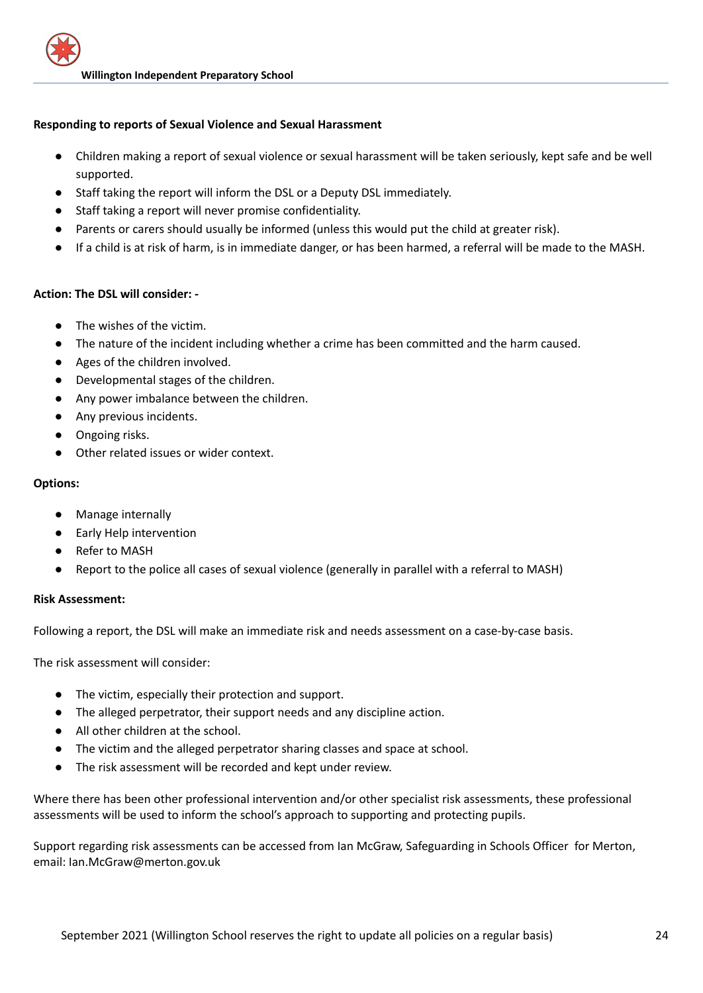## **Responding to reports of Sexual Violence and Sexual Harassment**

- Children making a report of sexual violence or sexual harassment will be taken seriously, kept safe and be well supported.
- Staff taking the report will inform the DSL or a Deputy DSL immediately.
- Staff taking a report will never promise confidentiality.
- Parents or carers should usually be informed (unless this would put the child at greater risk).
- If a child is at risk of harm, is in immediate danger, or has been harmed, a referral will be made to the MASH.

## **Action: The DSL will consider: -**

- The wishes of the victim.
- The nature of the incident including whether a crime has been committed and the harm caused.
- Ages of the children involved.
- Developmental stages of the children.
- Any power imbalance between the children.
- Any previous incidents.
- Ongoing risks.
- Other related issues or wider context.

## **Options:**

- Manage internally
- Early Help intervention
- Refer to MASH
- Report to the police all cases of sexual violence (generally in parallel with a referral to MASH)

## **Risk Assessment:**

Following a report, the DSL will make an immediate risk and needs assessment on a case-by-case basis.

The risk assessment will consider:

- The victim, especially their protection and support.
- The alleged perpetrator, their support needs and any discipline action.
- All other children at the school.
- The victim and the alleged perpetrator sharing classes and space at school.
- The risk assessment will be recorded and kept under review.

Where there has been other professional intervention and/or other specialist risk assessments, these professional assessments will be used to inform the school's approach to supporting and protecting pupils.

Support regarding risk assessments can be accessed from Ian McGraw, Safeguarding in Schools Officer for Merton, email: Ian.McGraw@merton.gov.uk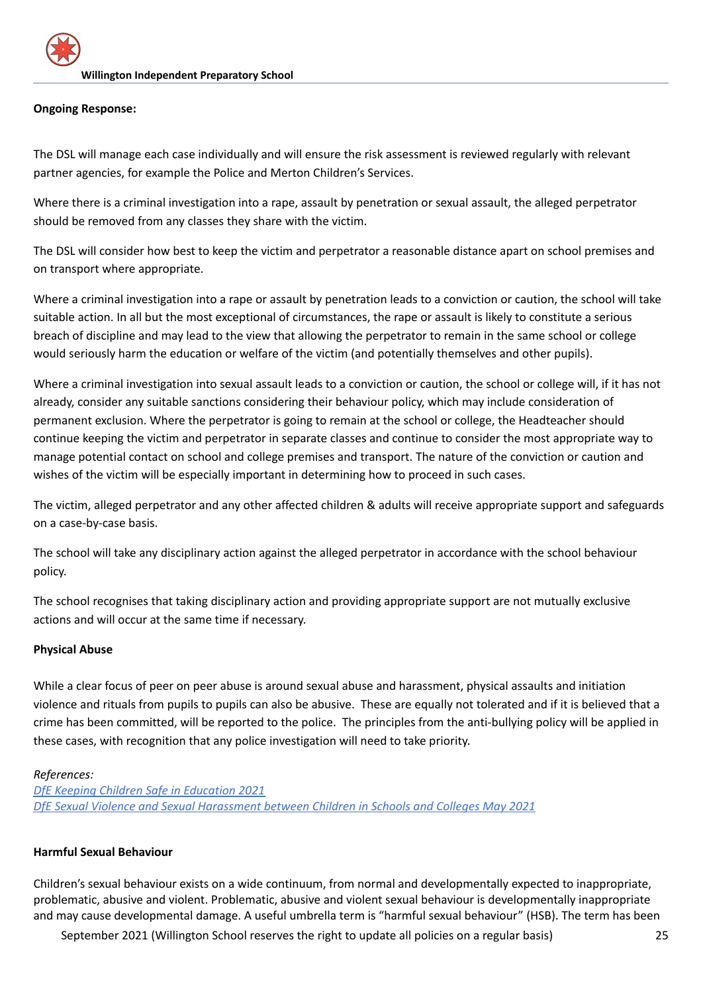## **Ongoing Response:**

The DSL will manage each case individually and will ensure the risk assessment is reviewed regularly with relevant partner agencies, for example the Police and Merton Children's Services.

Where there is a criminal investigation into a rape, assault by penetration or sexual assault, the alleged perpetrator should be removed from any classes they share with the victim.

The DSL will consider how best to keep the victim and perpetrator a reasonable distance apart on school premises and on transport where appropriate.

Where a criminal investigation into a rape or assault by penetration leads to a conviction or caution, the school will take suitable action. In all but the most exceptional of circumstances, the rape or assault is likely to constitute a serious breach of discipline and may lead to the view that allowing the perpetrator to remain in the same school or college would seriously harm the education or welfare of the victim (and potentially themselves and other pupils).

Where a criminal investigation into sexual assault leads to a conviction or caution, the school or college will, if it has not already, consider any suitable sanctions considering their behaviour policy, which may include consideration of permanent exclusion. Where the perpetrator is going to remain at the school or college, the Headteacher should continue keeping the victim and perpetrator in separate classes and continue to consider the most appropriate way to manage potential contact on school and college premises and transport. The nature of the conviction or caution and wishes of the victim will be especially important in determining how to proceed in such cases.

The victim, alleged perpetrator and any other affected children & adults will receive appropriate support and safeguards on a case-by-case basis.

The school will take any disciplinary action against the alleged perpetrator in accordance with the school behaviour policy.

The school recognises that taking disciplinary action and providing appropriate support are not mutually exclusive actions and will occur at the same time if necessary.

## **Physical Abuse**

While a clear focus of peer on peer abuse is around sexual abuse and harassment, physical assaults and initiation violence and rituals from pupils to pupils can also be abusive. These are equally not tolerated and if it is believed that a crime has been committed, will be reported to the police. The principles from the anti-bullying policy will be applied in these cases, with recognition that any police investigation will need to take priority.

## *References:*

*DfE Keeping Children Safe in [Education](https://assets.publishing.service.gov.uk/government/uploads/system/uploads/attachment_data/file/999348/Keeping_children_safe_in_education_2021.pdf) 2021 DfE Sexual Violence and Sexual [Harassment](https://assets.publishing.service.gov.uk/government/uploads/system/uploads/attachment_data/file/999239/SVSH_2021.pdf) between Children in Schools and Colleges May 2021*

## **Harmful Sexual Behaviour**

Children's sexual behaviour exists on a wide continuum, from normal and developmentally expected to inappropriate, problematic, abusive and violent. Problematic, abusive and violent sexual behaviour is developmentally inappropriate and may cause developmental damage. A useful umbrella term is "harmful sexual behaviour" (HSB). The term has been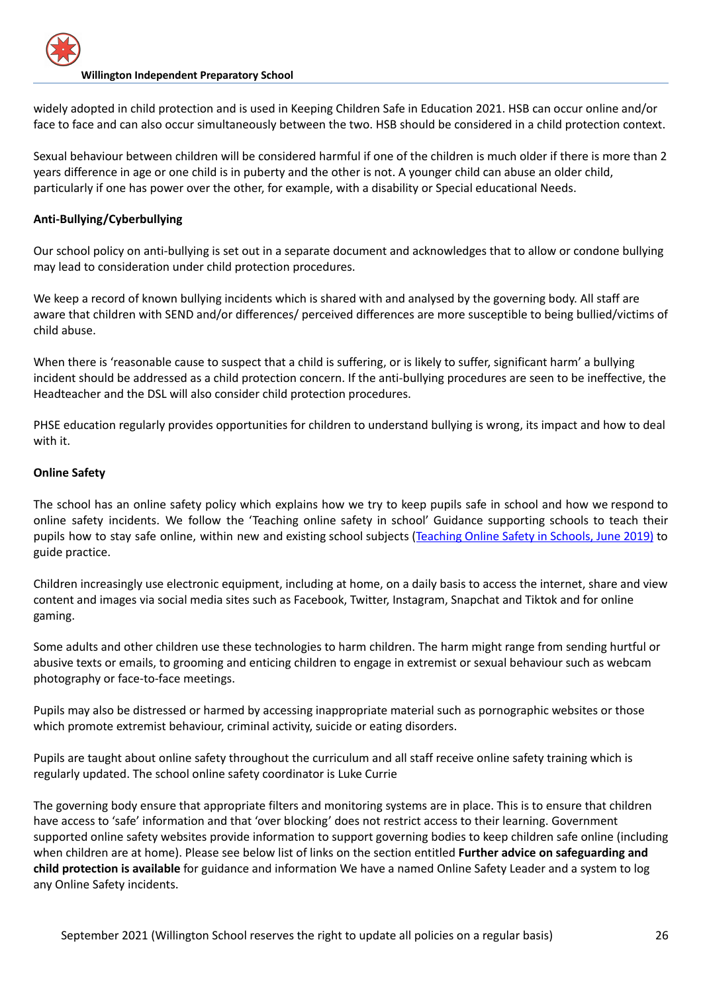widely adopted in child protection and is used in Keeping Children Safe in Education 2021. HSB can occur online and/or face to face and can also occur simultaneously between the two. HSB should be considered in a child protection context.

Sexual behaviour between children will be considered harmful if one of the children is much older if there is more than 2 years difference in age or one child is in puberty and the other is not. A younger child can abuse an older child, particularly if one has power over the other, for example, with a disability or Special educational Needs.

## **Anti-Bullying/Cyberbullying**

Our school policy on anti-bullying is set out in a separate document and acknowledges that to allow or condone bullying may lead to consideration under child protection procedures.

We keep a record of known bullying incidents which is shared with and analysed by the governing body. All staff are aware that children with SEND and/or differences/ perceived differences are more susceptible to being bullied/victims of child abuse.

When there is 'reasonable cause to suspect that a child is suffering, or is likely to suffer, significant harm' a bullying incident should be addressed as a child protection concern. If the anti-bullying procedures are seen to be ineffective, the Headteacher and the DSL will also consider child protection procedures.

PHSE education regularly provides opportunities for children to understand bullying is wrong, its impact and how to deal with it.

## **Online Safety**

The school has an online safety policy which explains how we try to keep pupils safe in school and how we respond to online safety incidents. We follow the 'Teaching online safety in school' Guidance supporting schools to teach their pupils how to stay safe online, within new and existing school subjects ([Teaching](https://assets.publishing.service.gov.uk/government/uploads/system/uploads/attachment_data/file/811796/Teaching_online_safety_in_school.pdf) Online Safety in Schools, June 2019) to guide practice.

Children increasingly use electronic equipment, including at home, on a daily basis to access the internet, share and view content and images via social media sites such as Facebook, Twitter, Instagram, Snapchat and Tiktok and for online gaming.

Some adults and other children use these technologies to harm children. The harm might range from sending hurtful or abusive texts or emails, to grooming and enticing children to engage in extremist or sexual behaviour such as webcam photography or face-to-face meetings.

Pupils may also be distressed or harmed by accessing inappropriate material such as pornographic websites or those which promote extremist behaviour, criminal activity, suicide or eating disorders.

Pupils are taught about online safety throughout the curriculum and all staff receive online safety training which is regularly updated. The school online safety coordinator is Luke Currie

The governing body ensure that appropriate filters and monitoring systems are in place. This is to ensure that children have access to 'safe' information and that 'over blocking' does not restrict access to their learning. Government supported online safety websites provide information to support governing bodies to keep children safe online (including when children are at home). Please see below list of links on the section entitled **Further advice on safeguarding and child protection is available** for guidance and information We have a named Online Safety Leader and a system to log any Online Safety incidents.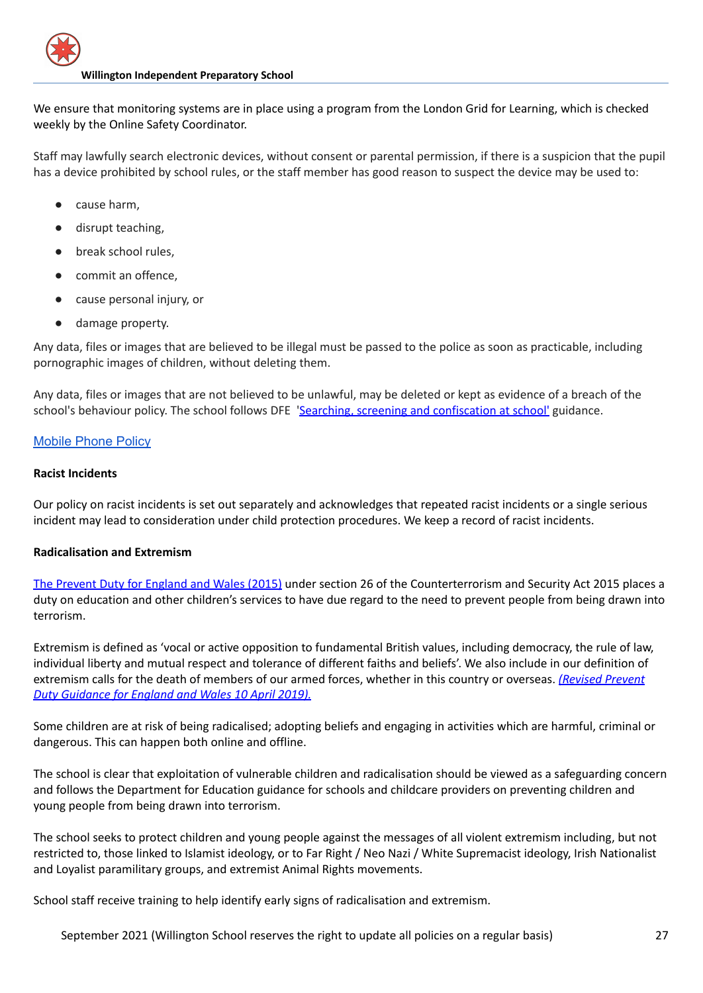We ensure that monitoring systems are in place using a program from the London Grid for Learning, which is checked weekly by the Online Safety Coordinator.

Staff may lawfully search electronic devices, without consent or parental permission, if there is a suspicion that the pupil has a device prohibited by school rules, or the staff member has good reason to suspect the device may be used to:

- cause harm,
- disrupt teaching,
- break school rules,
- commit an offence.
- cause personal injury, or
- damage property.

Any data, files or images that are believed to be illegal must be passed to the police as soon as practicable, including pornographic images of children, without deleting them.

Any data, files or images that are not believed to be unlawful, may be deleted or kept as evidence of a breach of the school's behaviour policy. The school follows DFE 'Searching, screening and [confiscation](https://assets.publishing.service.gov.uk/government/uploads/system/uploads/attachment_data/file/674416/Searching_screening_and_confiscation.pdf) at school' guidance.

# [Mobile](https://docs.google.com/document/d/1eH9RaJP1v-87QqiHEWOJZ_kAG0G3SCbH/edit) Phone Policy

## **Racist Incidents**

Our policy on racist incidents is set out separately and acknowledges that repeated racist incidents or a single serious incident may lead to consideration under child protection procedures. We keep a record of racist incidents.

## **Radicalisation and Extremism**

The Prevent Duty for [England](https://www.gov.uk/government/publications/protecting-children-from-radicalisation-the-prevent-duty) and Wales (2015) under section 26 of the Counterterrorism and Security Act 2015 places a duty on education and other children's services to have due regard to the need to prevent people from being drawn into terrorism.

Extremism is defined as 'vocal or active opposition to fundamental British values, including democracy, the rule of law, individual liberty and mutual respect and tolerance of different faiths and beliefs'. We also include in our definition of extremism calls for the death of members of our armed forces, whether in this country or overseas. *[\(Revised](https://www.gov.uk/government/publications/prevent-duty-guidance/revised-prevent-duty-guidance-for-england-and-wales) Prevent Duty [Guidance](https://www.gov.uk/government/publications/prevent-duty-guidance/revised-prevent-duty-guidance-for-england-and-wales) for England and Wales 10 April 2019).*

Some children are at risk of being radicalised; adopting beliefs and engaging in activities which are harmful, criminal or dangerous. This can happen both online and offline.

The school is clear that exploitation of vulnerable children and radicalisation should be viewed as a safeguarding concern and follows the Department for Education guidance for schools and childcare providers on preventing children and young people from being drawn into terrorism.

The school seeks to protect children and young people against the messages of all violent extremism including, but not restricted to, those linked to Islamist ideology, or to Far Right / Neo Nazi / White Supremacist ideology, Irish Nationalist and Loyalist paramilitary groups, and extremist Animal Rights movements.

School staff receive training to help identify early signs of radicalisation and extremism.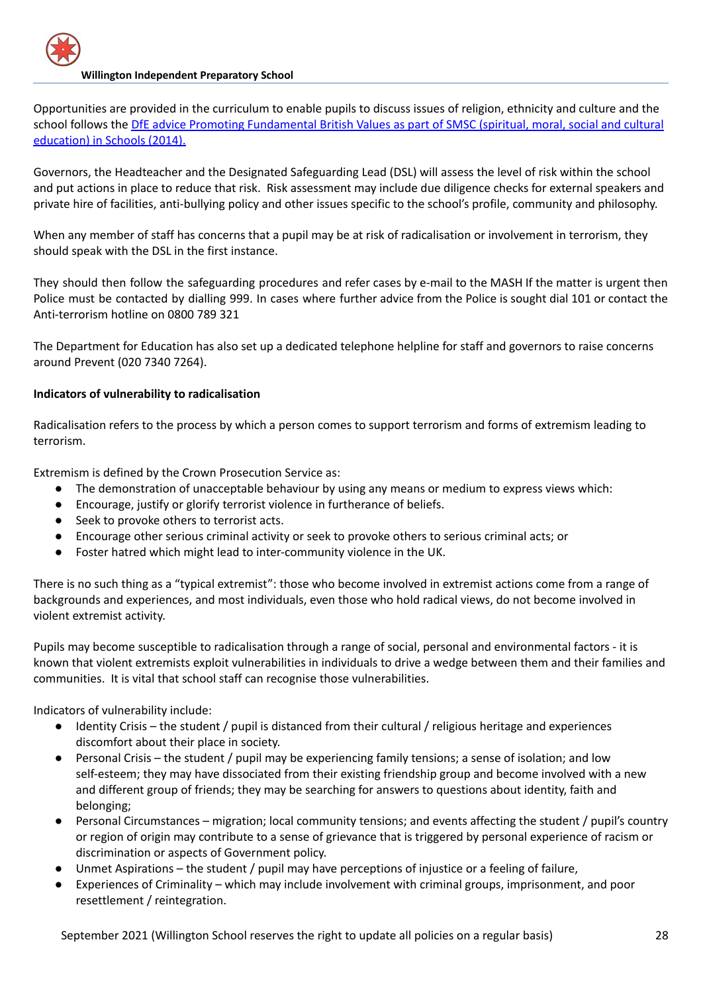Opportunities are provided in the curriculum to enable pupils to discuss issues of religion, ethnicity and culture and the school follows the DfE advice Promoting [Fundamental](https://www.gov.uk/government/news/guidance-on-promoting-british-values-in-schools-published) British Values as part of SMSC (spiritual, moral, social and cultural [education\)](https://www.gov.uk/government/news/guidance-on-promoting-british-values-in-schools-published) in Schools (2014).

Governors, the Headteacher and the Designated Safeguarding Lead (DSL) will assess the level of risk within the school and put actions in place to reduce that risk. Risk assessment may include due diligence checks for external speakers and private hire of facilities, anti-bullying policy and other issues specific to the school's profile, community and philosophy.

When any member of staff has concerns that a pupil may be at risk of radicalisation or involvement in terrorism, they should speak with the DSL in the first instance.

They should then follow the safeguarding procedures and refer cases by e-mail to [the](mailto:preventreferrals@surrey.pnn.police.uk) MASH If the matter is urgent then Police must be contacted by dialling 999. In cases where further advice from the Police is sought dial 101 or contact the Anti-terrorism hotline on 0800 789 321

The Department for Education has also set up a dedicated telephone helpline for staff and governors to raise concerns around Prevent (020 7340 7264).

# **Indicators of vulnerability to radicalisation**

Radicalisation refers to the process by which a person comes to support terrorism and forms of extremism leading to terrorism.

Extremism is defined by the Crown Prosecution Service as:

- The demonstration of unacceptable behaviour by using any means or medium to express views which:
- Encourage, justify or glorify terrorist violence in furtherance of beliefs.
- Seek to provoke others to terrorist acts.
- Encourage other serious criminal activity or seek to provoke others to serious criminal acts; or
- Foster hatred which might lead to inter-community violence in the UK.

There is no such thing as a "typical extremist": those who become involved in extremist actions come from a range of backgrounds and experiences, and most individuals, even those who hold radical views, do not become involved in violent extremist activity.

Pupils may become susceptible to radicalisation through a range of social, personal and environmental factors - it is known that violent extremists exploit vulnerabilities in individuals to drive a wedge between them and their families and communities. It is vital that school staff can recognise those vulnerabilities.

Indicators of vulnerability include:

- Identity Crisis the student / pupil is distanced from their cultural / religious heritage and experiences discomfort about their place in society.
- Personal Crisis the student / pupil may be experiencing family tensions; a sense of isolation; and low self-esteem; they may have dissociated from their existing friendship group and become involved with a new and different group of friends; they may be searching for answers to questions about identity, faith and belonging;
- Personal Circumstances migration; local community tensions; and events affecting the student / pupil's country or region of origin may contribute to a sense of grievance that is triggered by personal experience of racism or discrimination or aspects of Government policy.
- Unmet Aspirations the student / pupil may have perceptions of injustice or a feeling of failure,
- Experiences of Criminality which may include involvement with criminal groups, imprisonment, and poor resettlement / reintegration.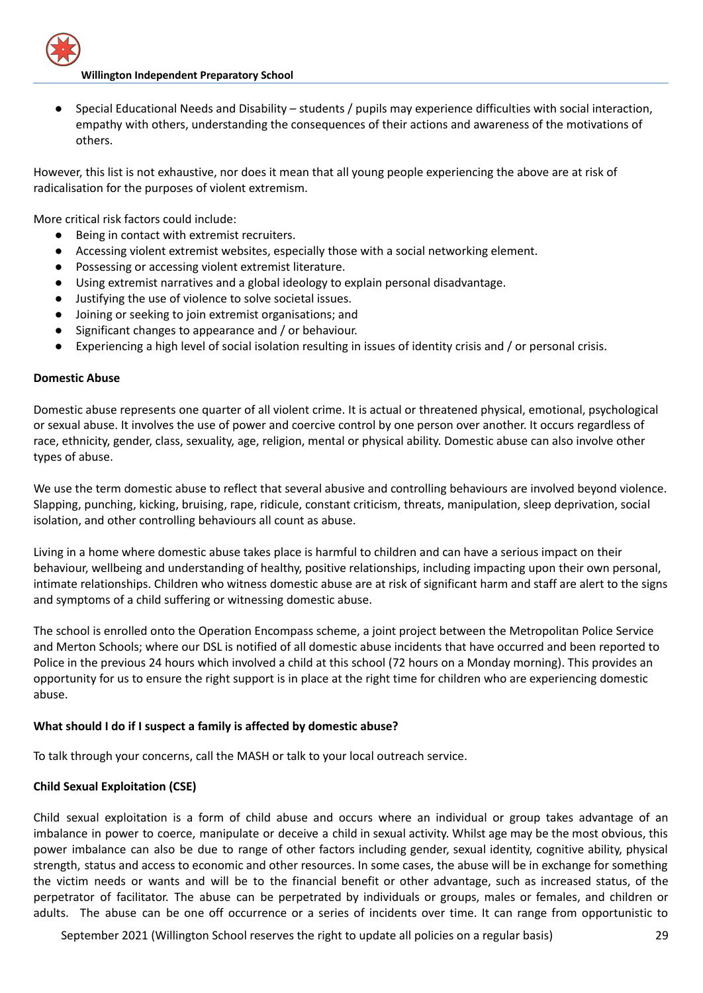● Special Educational Needs and Disability – students / pupils may experience difficulties with social interaction, empathy with others, understanding the consequences of their actions and awareness of the motivations of others.

However, this list is not exhaustive, nor does it mean that all young people experiencing the above are at risk of radicalisation for the purposes of violent extremism.

More critical risk factors could include:

- Being in contact with extremist recruiters.
- Accessing violent extremist websites, especially those with a social networking element.
- Possessing or accessing violent extremist literature.
- Using extremist narratives and a global ideology to explain personal disadvantage.
- Justifying the use of violence to solve societal issues.
- Joining or seeking to join extremist organisations; and
- Significant changes to appearance and / or behaviour.
- Experiencing a high level of social isolation resulting in issues of identity crisis and / or personal crisis.

#### **Domestic Abuse**

Domestic abuse represents one quarter of all violent crime. It is actual or threatened physical, emotional, psychological or sexual abuse. It involves the use of power and coercive control by one person over another. It occurs regardless of race, ethnicity, gender, class, sexuality, age, religion, mental or physical ability. Domestic abuse can also involve other types of abuse.

We use the term domestic abuse to reflect that several abusive and controlling behaviours are involved beyond violence. Slapping, punching, kicking, bruising, rape, ridicule, constant criticism, threats, manipulation, sleep deprivation, social isolation, and other controlling behaviours all count as abuse.

Living in a home where domestic abuse takes place is harmful to children and can have a serious impact on their behaviour, wellbeing and understanding of healthy, positive relationships, including impacting upon their own personal, intimate relationships. Children who witness domestic abuse are at risk of significant harm and staff are alert to the signs and symptoms of a child suffering or witnessing domestic abuse.

The school is enrolled onto the Operation Encompass scheme, a joint project between the Metropolitan Police Service and Merton Schools; where our DSL is notified of all domestic abuse incidents that have occurred and been reported to Police in the previous 24 hours which involved a child at this school (72 hours on a Monday morning). This provides an opportunity for us to ensure the right support is in place at the right time for children who are experiencing domestic abuse.

## **What should I do if I suspect a family is affected by domestic abuse?**

To talk through your concerns, call the MASH or talk to your local outreach service.

#### **Child Sexual Exploitation (CSE)**

Child sexual exploitation is a form of child abuse and occurs where an individual or group takes advantage of an imbalance in power to coerce, manipulate or deceive a child in sexual activity. Whilst age may be the most obvious, this power imbalance can also be due to range of other factors including gender, sexual identity, cognitive ability, physical strength, status and access to economic and other resources. In some cases, the abuse will be in exchange for something the victim needs or wants and will be to the financial benefit or other advantage, such as increased status, of the perpetrator of facilitator. The abuse can be perpetrated by individuals or groups, males or females, and children or adults. The abuse can be one off occurrence or a series of incidents over time. It can range from opportunistic to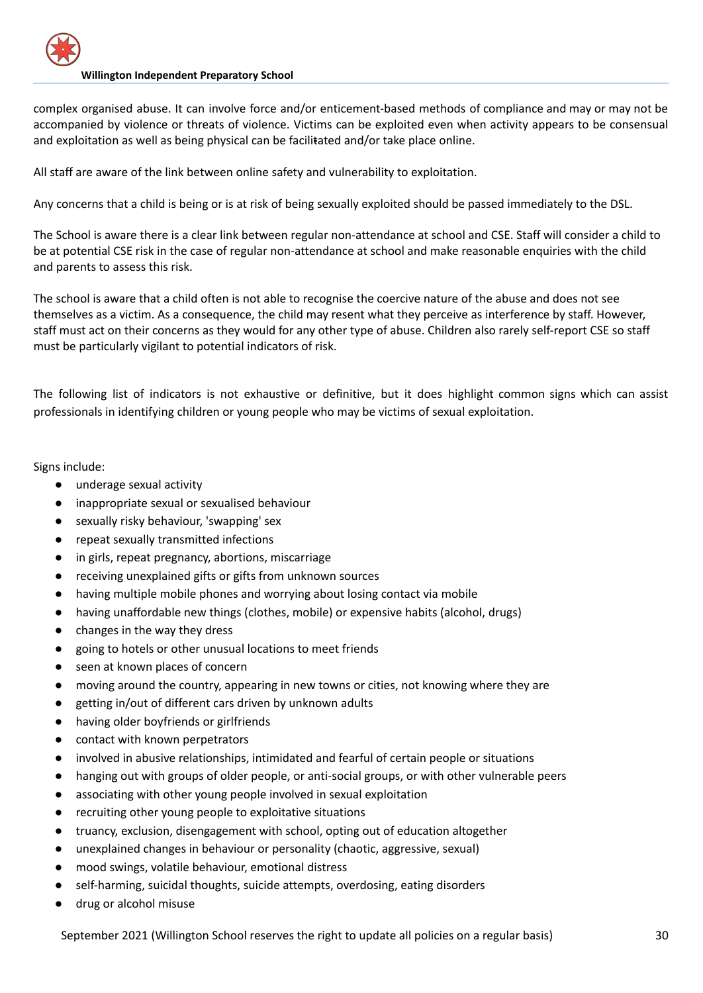complex organised abuse. It can involve force and/or enticement-based methods of compliance and may or may not be accompanied by violence or threats of violence. Victims can be exploited even when activity appears to be consensual and exploitation as well as being physical can be facilitated and/or take place online.

All staff are aware of the link between online safety and vulnerability to exploitation.

Any concerns that a child is being or is at risk of being sexually exploited should be passed immediately to the DSL.

The School is aware there is a clear link between regular non-attendance at school and CSE. Staff will consider a child to be at potential CSE risk in the case of regular non-attendance at school and make reasonable enquiries with the child and parents to assess this risk.

The school is aware that a child often is not able to recognise the coercive nature of the abuse and does not see themselves as a victim. As a consequence, the child may resent what they perceive as interference by staff. However, staff must act on their concerns as they would for any other type of abuse. Children also rarely self-report CSE so staff must be particularly vigilant to potential indicators of risk.

The following list of indicators is not exhaustive or definitive, but it does highlight common signs which can assist professionals in identifying children or young people who may be victims of sexual exploitation.

Signs include:

- underage sexual activity
- inappropriate sexual or sexualised behaviour
- sexually risky behaviour, 'swapping' sex
- repeat sexually transmitted infections
- in girls, repeat pregnancy, abortions, miscarriage
- receiving unexplained gifts or gifts from unknown sources
- having multiple mobile phones and worrying about losing contact via mobile
- having unaffordable new things (clothes, mobile) or expensive habits (alcohol, drugs)
- changes in the way they dress
- going to hotels or other unusual locations to meet friends
- seen at known places of concern
- moving around the country, appearing in new towns or cities, not knowing where they are
- getting in/out of different cars driven by unknown adults
- having older boyfriends or girlfriends
- contact with known perpetrators
- involved in abusive relationships, intimidated and fearful of certain people or situations
- hanging out with groups of older people, or anti-social groups, or with other vulnerable peers
- associating with other young people involved in sexual exploitation
- recruiting other young people to exploitative situations
- truancy, exclusion, disengagement with school, opting out of education altogether
- unexplained changes in behaviour or personality (chaotic, aggressive, sexual)
- mood swings, volatile behaviour, emotional distress
- self-harming, suicidal thoughts, suicide attempts, overdosing, eating disorders
- drug or alcohol misuse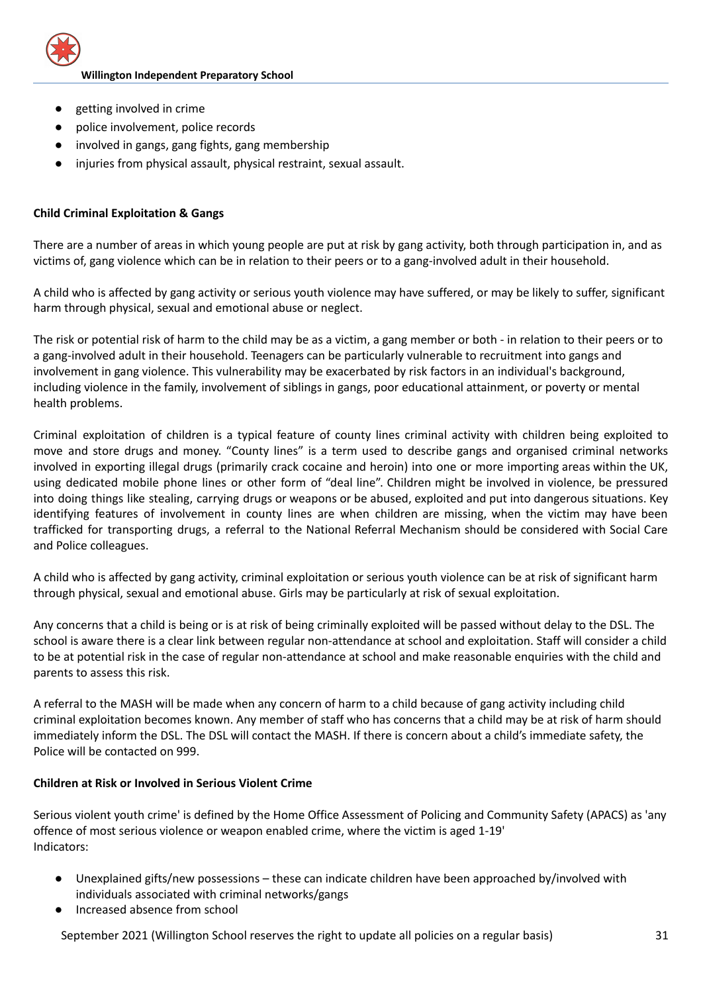

- getting involved in crime
- police involvement, police records
- involved in gangs, gang fights, gang membership
- injuries from physical assault, physical restraint, sexual assault.

# **Child Criminal Exploitation & Gangs**

There are a number of areas in which young people are put at risk by gang activity, both through participation in, and as victims of, gang violence which can be in relation to their peers or to a gang-involved adult in their household.

A child who is affected by gang activity or serious youth violence may have suffered, or may be likely to suffer, significant harm through physical, sexual and emotional abuse or neglect.

The risk or potential risk of harm to the child may be as a victim, a gang member or both - in relation to their peers or to a gang-involved adult in their household. Teenagers can be particularly vulnerable to recruitment into gangs and involvement in gang violence. This vulnerability may be exacerbated by risk factors in an individual's background, including violence in the family, involvement of siblings in gangs, poor educational attainment, or poverty or mental health problems.

Criminal exploitation of children is a typical feature of county lines criminal activity with children being exploited to move and store drugs and money. "County lines" is a term used to describe gangs and organised criminal networks involved in exporting illegal drugs (primarily crack cocaine and heroin) into one or more importing areas within the UK, using dedicated mobile phone lines or other form of "deal line". Children might be involved in violence, be pressured into doing things like stealing, carrying drugs or weapons or be abused, exploited and put into dangerous situations. Key identifying features of involvement in county lines are when children are missing, when the victim may have been trafficked for transporting drugs, a referral to the National Referral Mechanism should be considered with Social Care and Police colleagues.

A child who is affected by gang activity, criminal exploitation or serious youth violence can be at risk of significant harm through physical, sexual and emotional abuse. Girls may be particularly at risk of sexual exploitation.

Any concerns that a child is being or is at risk of being criminally exploited will be passed without delay to the DSL. The school is aware there is a clear link between regular non-attendance at school and exploitation. Staff will consider a child to be at potential risk in the case of regular non-attendance at school and make reasonable enquiries with the child and parents to assess this risk.

A referral to the MASH will be made when any concern of harm to a child because of gang activity including child criminal exploitation becomes known. Any member of staff who has concerns that a child may be at risk of harm should immediately inform the DSL. The DSL will contact the MASH. If there is concern about a child's immediate safety, the Police will be contacted on 999.

## **Children at Risk or Involved in Serious Violent Crime**

Serious violent youth crime' is defined by the Home Office Assessment of Policing and Community Safety (APACS) as 'any offence of most serious violence or weapon enabled crime, where the victim is aged 1-19' Indicators:

- Unexplained gifts/new possessions these can indicate children have been approached by/involved with individuals associated with criminal networks/gangs
- Increased absence from school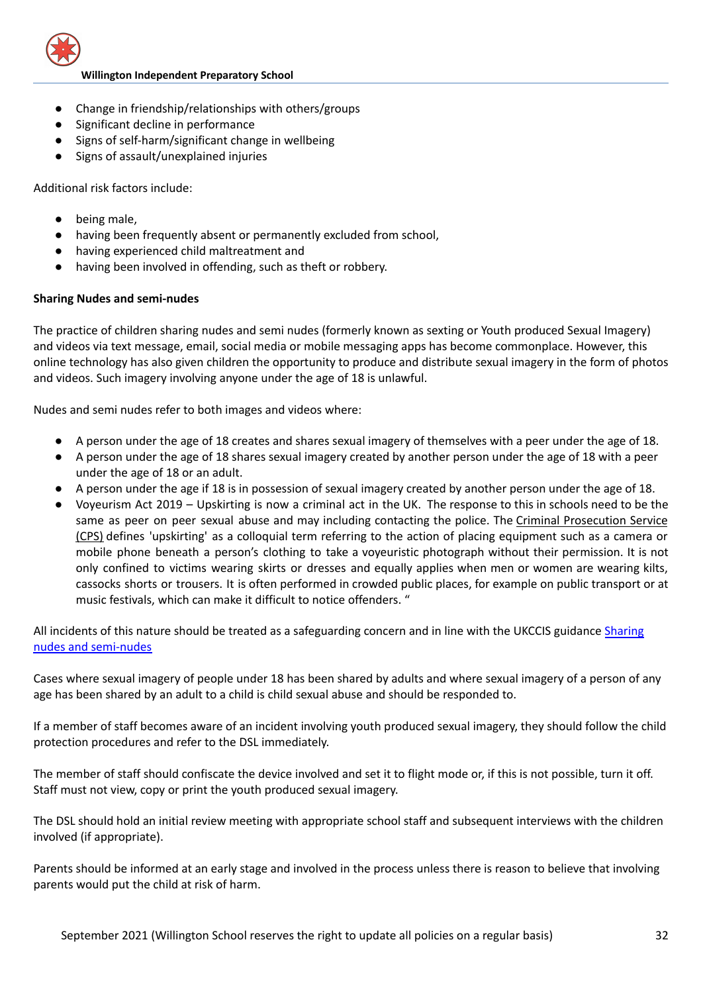

- Change in friendship/relationships with others/groups
- Significant decline in performance
- Signs of self-harm/significant change in wellbeing
- Signs of assault/unexplained injuries

Additional risk factors include:

- being male,
- having been frequently absent or permanently excluded from school,
- having experienced child maltreatment and
- having been involved in offending, such as theft or robbery.

#### **Sharing Nudes and semi-nudes**

The practice of children sharing nudes and semi nudes (formerly known as sexting or Youth produced Sexual Imagery) and videos via text message, email, social media or mobile messaging apps has become commonplace. However, this online technology has also given children the opportunity to produce and distribute sexual imagery in the form of photos and videos. Such imagery involving anyone under the age of 18 is unlawful.

Nudes and semi nudes refer to both images and videos where:

- A person under the age of 18 creates and shares sexual imagery of themselves with a peer under the age of 18.
- A person under the age of 18 shares sexual imagery created by another person under the age of 18 with a peer under the age of 18 or an adult.
- A person under the age if 18 is in possession of sexual imagery created by another person under the age of 18.
- Voyeurism Act 2019 Upskirting is now a criminal act in the UK. The response to this in schools need to be the same as peer on peer sexual abuse and may including contacting the police. The Criminal [Prosecution](https://www.cps.gov.uk/legal-guidance/voyeurism) Service [\(CPS\)](https://www.cps.gov.uk/legal-guidance/voyeurism) defines 'upskirting' as a colloquial term referring to the action of placing equipment such as a camera or mobile phone beneath a person's clothing to take a voyeuristic photograph without their permission. It is not only confined to victims wearing skirts or dresses and equally applies when men or women are wearing kilts, cassocks shorts or trousers. It is often performed in crowded public places, for example on public transport or at music festivals, which can make it difficult to notice offenders. "

All incidents of this nature should be treated as a safeguarding concern and in line with the UKCCIS guidance [Sharing](https://assets.publishing.service.gov.uk/government/uploads/system/uploads/attachment_data/file/759007/6_2939_SP_NCA_Sexting_In_Schools_FINAL_Update_Jan17.pdf) nudes and [semi-nudes](https://assets.publishing.service.gov.uk/government/uploads/system/uploads/attachment_data/file/759007/6_2939_SP_NCA_Sexting_In_Schools_FINAL_Update_Jan17.pdf)

Cases where sexual imagery of people under 18 has been shared by adults and where sexual imagery of a person of any age has been shared by an adult to a child is child sexual abuse and should be responded to.

If a member of staff becomes aware of an incident involving youth produced sexual imagery, they should follow the child protection procedures and refer to the DSL immediately.

The member of staff should confiscate the device involved and set it to flight mode or, if this is not possible, turn it off. Staff must not view, copy or print the youth produced sexual imagery.

The DSL should hold an initial review meeting with appropriate school staff and subsequent interviews with the children involved (if appropriate).

Parents should be informed at an early stage and involved in the process unless there is reason to believe that involving parents would put the child at risk of harm.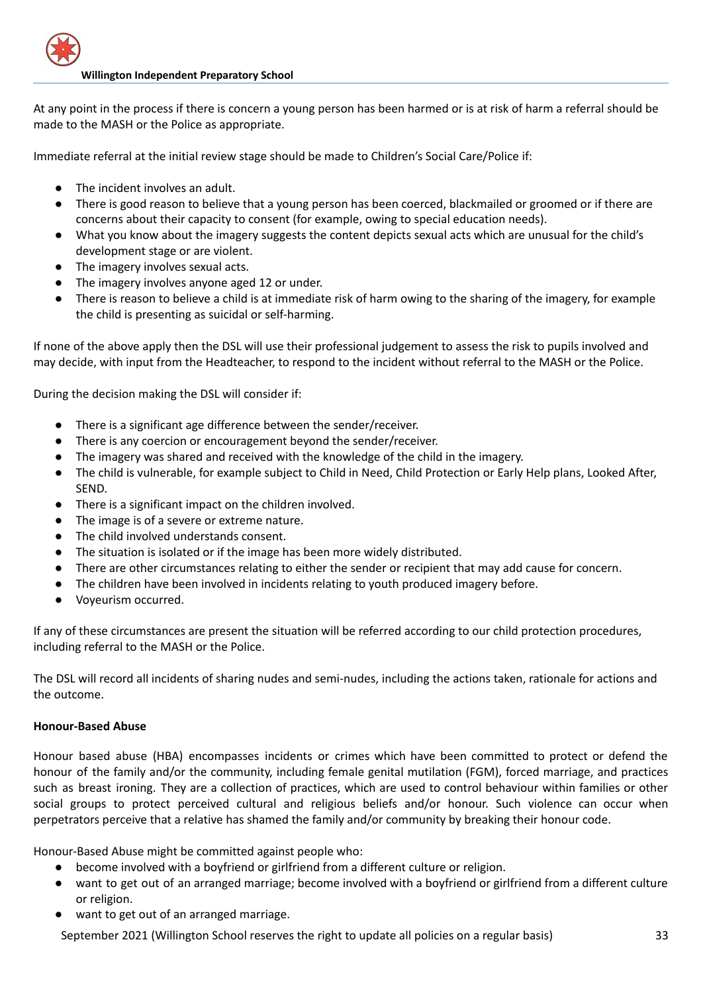

At any point in the process if there is concern a young person has been harmed or is at risk of harm a referral should be made to the MASH or the Police as appropriate.

Immediate referral at the initial review stage should be made to Children's Social Care/Police if:

- The incident involves an adult.
- There is good reason to believe that a young person has been coerced, blackmailed or groomed or if there are concerns about their capacity to consent (for example, owing to special education needs).
- What you know about the imagery suggests the content depicts sexual acts which are unusual for the child's development stage or are violent.
- The imagery involves sexual acts.
- The imagery involves anyone aged 12 or under.
- There is reason to believe a child is at immediate risk of harm owing to the sharing of the imagery, for example the child is presenting as suicidal or self-harming.

If none of the above apply then the DSL will use their professional judgement to assess the risk to pupils involved and may decide, with input from the Headteacher, to respond to the incident without referral to the MASH or the Police.

During the decision making the DSL will consider if:

- There is a significant age difference between the sender/receiver.
- There is any coercion or encouragement beyond the sender/receiver.
- The imagery was shared and received with the knowledge of the child in the imagery.
- The child is vulnerable, for example subject to Child in Need, Child Protection or Early Help plans, Looked After, SEND.
- There is a significant impact on the children involved.
- The image is of a severe or extreme nature.
- The child involved understands consent.
- The situation is isolated or if the image has been more widely distributed.
- There are other circumstances relating to either the sender or recipient that may add cause for concern.
- The children have been involved in incidents relating to youth produced imagery before.
- Voyeurism occurred.

If any of these circumstances are present the situation will be referred according to our child protection procedures, including referral to the MASH or the Police.

The DSL will record all incidents of sharing nudes and semi-nudes, including the actions taken, rationale for actions and the outcome.

## **Honour-Based Abuse**

Honour based abuse (HBA) encompasses incidents or crimes which have been committed to protect or defend the honour of the family and/or the community, including female genital mutilation (FGM), forced marriage, and practices such as breast ironing. They are a collection of practices, which are used to control behaviour within families or other social groups to protect perceived cultural and religious beliefs and/or honour. Such violence can occur when perpetrators perceive that a relative has shamed the family and/or community by breaking their honour code.

Honour-Based Abuse might be committed against people who:

- become involved with a boyfriend or girlfriend from a different culture or religion.
- want to get out of an arranged marriage; become involved with a boyfriend or girlfriend from a different culture or religion.
- want to get out of an arranged marriage.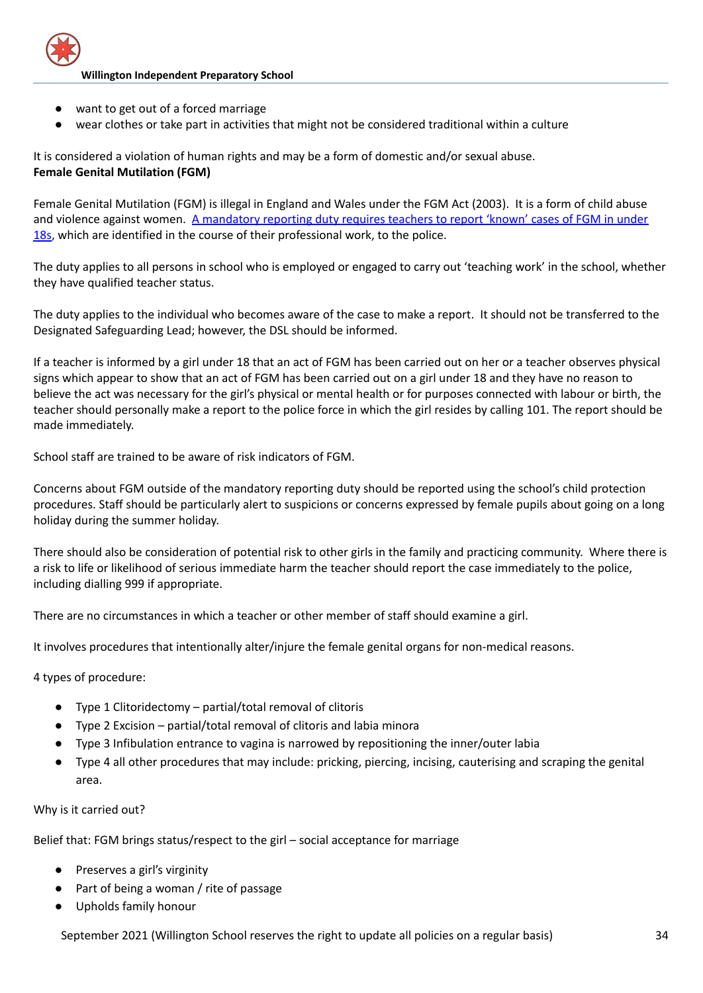

- want to get out of a forced marriage
- wear clothes or take part in activities that might not be considered traditional within a culture

It is considered a violation of human rights and may be a form of domestic and/or sexual abuse. **Female Genital Mutilation (FGM)**

Female Genital Mutilation (FGM) is illegal in England and Wales under the FGM Act (2003). It is a form of child abuse and violence against women. A [mandatory](https://www.gov.uk/government/publications/mandatory-reporting-of-female-genital-mutilation-procedural-information) reporting duty requires teachers to report 'known' cases of FGM in under [18s,](https://www.gov.uk/government/publications/mandatory-reporting-of-female-genital-mutilation-procedural-information) which are identified in the course of their professional work, to the police.

The duty applies to all persons in school who is employed or engaged to carry out 'teaching work' in the school, whether they have qualified teacher status.

The duty applies to the individual who becomes aware of the case to make a report. It should not be transferred to the Designated Safeguarding Lead; however, the DSL should be informed.

If a teacher is informed by a girl under 18 that an act of FGM has been carried out on her or a teacher observes physical signs which appear to show that an act of FGM has been carried out on a girl under 18 and they have no reason to believe the act was necessary for the girl's physical or mental health or for purposes connected with labour or birth, the teacher should personally make a report to the police force in which the girl resides by calling 101. The report should be made immediately.

School staff are trained to be aware of risk indicators of FGM.

Concerns about FGM outside of the mandatory reporting duty should be reported using the school's child protection procedures. Staff should be particularly alert to suspicions or concerns expressed by female pupils about going on a long holiday during the summer holiday.

There should also be consideration of potential risk to other girls in the family and practicing community. Where there is a risk to life or likelihood of serious immediate harm the teacher should report the case immediately to the police, including dialling 999 if appropriate.

There are no circumstances in which a teacher or other member of staff should examine a girl.

It involves procedures that intentionally alter/injure the female genital organs for non-medical reasons.

4 types of procedure:

- Type 1 Clitoridectomy partial/total removal of clitoris
- Type 2 Excision partial/total removal of clitoris and labia minora
- Type 3 Infibulation entrance to vagina is narrowed by repositioning the inner/outer labia
- Type 4 all other procedures that may include: pricking, piercing, incising, cauterising and scraping the genital area.

## Why is it carried out?

Belief that: FGM brings status/respect to the girl – social acceptance for marriage

- Preserves a girl's virginity
- Part of being a woman / rite of passage
- Upholds family honour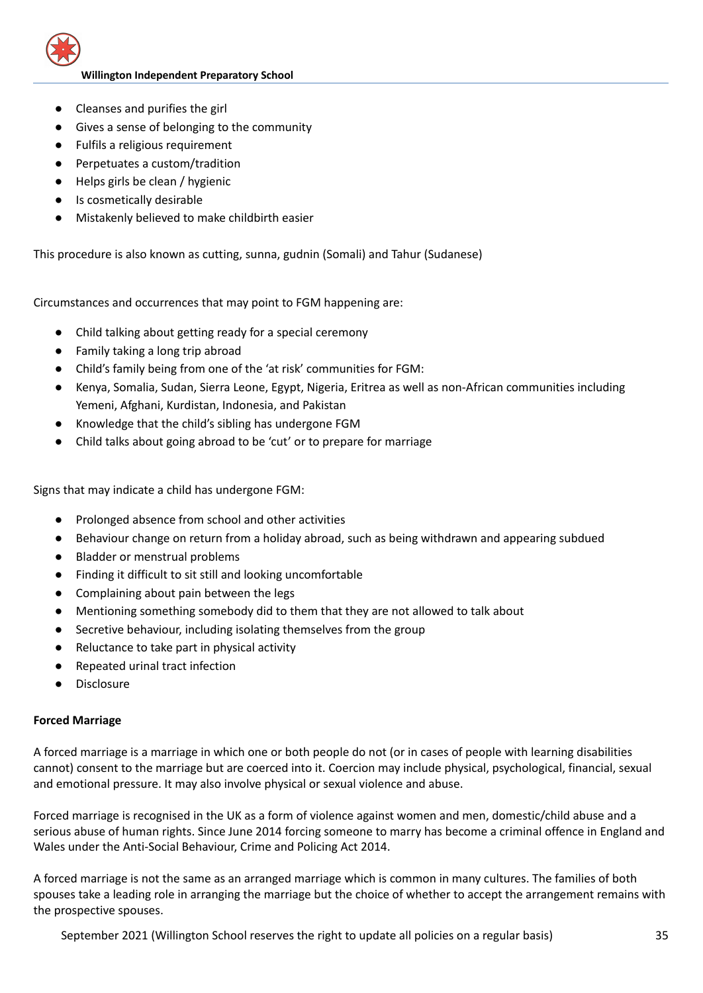

- Cleanses and purifies the girl
- Gives a sense of belonging to the community
- Fulfils a religious requirement
- Perpetuates a custom/tradition
- Helps girls be clean / hygienic
- Is cosmetically desirable
- Mistakenly believed to make childbirth easier

This procedure is also known as cutting, sunna, gudnin (Somali) and Tahur (Sudanese)

Circumstances and occurrences that may point to FGM happening are:

- Child talking about getting ready for a special ceremony
- Family taking a long trip abroad
- Child's family being from one of the 'at risk' communities for FGM:
- Kenya, Somalia, Sudan, Sierra Leone, Egypt, Nigeria, Eritrea as well as non-African communities including Yemeni, Afghani, Kurdistan, Indonesia, and Pakistan
- Knowledge that the child's sibling has undergone FGM
- Child talks about going abroad to be 'cut' or to prepare for marriage

Signs that may indicate a child has undergone FGM:

- Prolonged absence from school and other activities
- Behaviour change on return from a holiday abroad, such as being withdrawn and appearing subdued
- Bladder or menstrual problems
- Finding it difficult to sit still and looking uncomfortable
- Complaining about pain between the legs
- Mentioning something somebody did to them that they are not allowed to talk about
- Secretive behaviour, including isolating themselves from the group
- Reluctance to take part in physical activity
- Repeated urinal tract infection
- Disclosure

## **Forced Marriage**

A forced marriage is a marriage in which one or both people do not (or in cases of people with learning disabilities cannot) consent to the marriage but are coerced into it. Coercion may include physical, psychological, financial, sexual and emotional pressure. It may also involve physical or sexual violence and abuse.

Forced marriage is recognised in the UK as a form of violence against women and men, domestic/child abuse and a serious abuse of human rights. Since June 2014 forcing someone to marry has become a criminal offence in England and Wales under the Anti-Social Behaviour, Crime and Policing Act 2014.

A forced marriage is not the same as an arranged marriage which is common in many cultures. The families of both spouses take a leading role in arranging the marriage but the choice of whether to accept the arrangement remains with the prospective spouses.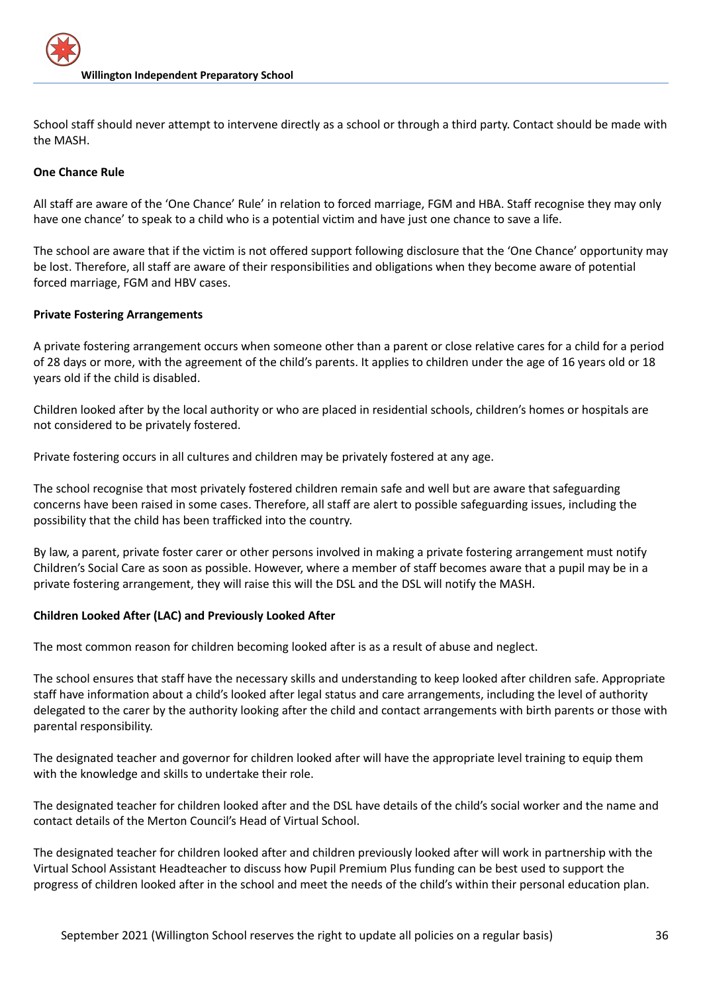School staff should never attempt to intervene directly as a school or through a third party. Contact should be made with the MASH.

## **One Chance Rule**

All staff are aware of the 'One Chance' Rule' in relation to forced marriage, FGM and HBA. Staff recognise they may only have one chance' to speak to a child who is a potential victim and have just one chance to save a life.

The school are aware that if the victim is not offered support following disclosure that the 'One Chance' opportunity may be lost. Therefore, all staff are aware of their responsibilities and obligations when they become aware of potential forced marriage, FGM and HBV cases.

## **Private Fostering Arrangements**

A private fostering arrangement occurs when someone other than a parent or close relative cares for a child for a period of 28 days or more, with the agreement of the child's parents. It applies to children under the age of 16 years old or 18 years old if the child is disabled.

Children looked after by the local authority or who are placed in residential schools, children's homes or hospitals are not considered to be privately fostered.

Private fostering occurs in all cultures and children may be privately fostered at any age.

The school recognise that most privately fostered children remain safe and well but are aware that safeguarding concerns have been raised in some cases. Therefore, all staff are alert to possible safeguarding issues, including the possibility that the child has been trafficked into the country.

By law, a parent, private foster carer or other persons involved in making a private fostering arrangement must notify Children's Social Care as soon as possible. However, where a member of staff becomes aware that a pupil may be in a private fostering arrangement, they will raise this will the DSL and the DSL will notify the MASH.

## **Children Looked After (LAC) and Previously Looked After**

The most common reason for children becoming looked after is as a result of abuse and neglect.

The school ensures that staff have the necessary skills and understanding to keep looked after children safe. Appropriate staff have information about a child's looked after legal status and care arrangements, including the level of authority delegated to the carer by the authority looking after the child and contact arrangements with birth parents or those with parental responsibility.

The designated teacher and governor for children looked after will have the appropriate level training to equip them with the knowledge and skills to undertake their role.

The designated teacher for children looked after and the DSL have details of the child's social worker and the name and contact details of the Merton Council's Head of Virtual School.

The designated teacher for children looked after and children previously looked after will work in partnership with the Virtual School Assistant Headteacher to discuss how Pupil Premium Plus funding can be best used to support the progress of children looked after in the school and meet the needs of the child's within their personal education plan.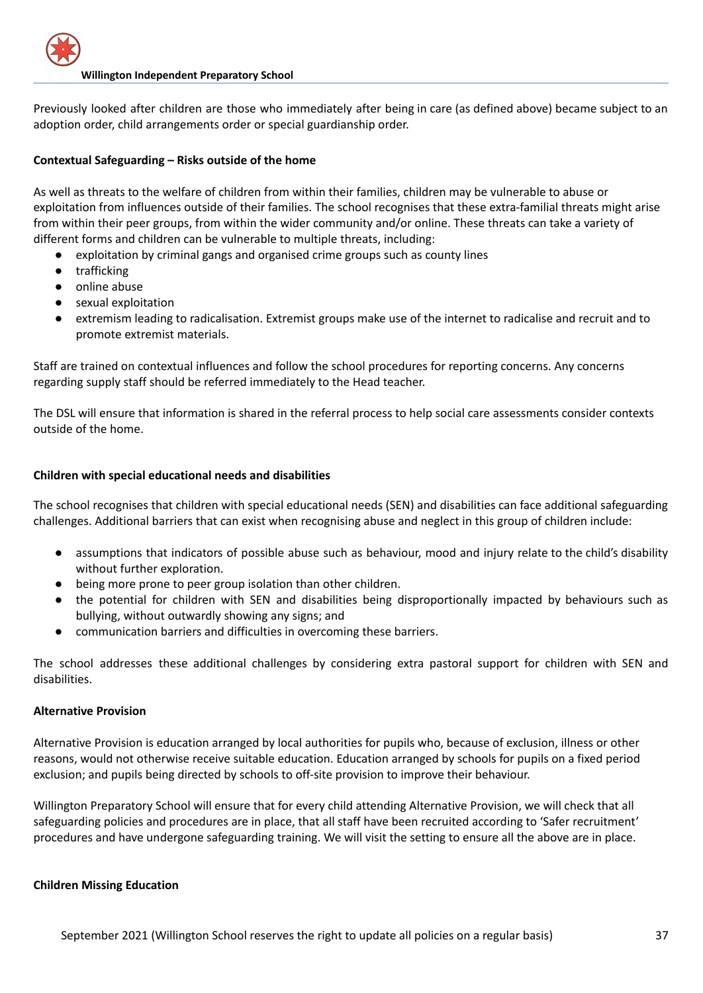Previously looked after children are those who immediately after being in care (as defined above) became subject to an adoption order, child arrangements order or special guardianship order.

## **Contextual Safeguarding – Risks outside of the home**

As well as threats to the welfare of children from within their families, children may be vulnerable to abuse or exploitation from influences outside of their families. The school recognises that these extra-familial threats might arise from within their peer groups, from within the wider community and/or online. These threats can take a variety of different forms and children can be vulnerable to multiple threats, including:

- exploitation by criminal gangs and organised crime groups such as county lines
- trafficking
- online abuse
- sexual exploitation
- extremism leading to radicalisation. Extremist groups make use of the internet to radicalise and recruit and to promote extremist materials.

Staff are trained on contextual influences and follow the school procedures for reporting concerns. Any concerns regarding supply staff should be referred immediately to the Head teacher.

The DSL will ensure that information is shared in the referral process to help social care assessments consider contexts outside of the home.

## **Children with special educational needs and disabilities**

The school recognises that children with special educational needs (SEN) and disabilities can face additional safeguarding challenges. Additional barriers that can exist when recognising abuse and neglect in this group of children include:

- assumptions that indicators of possible abuse such as behaviour, mood and injury relate to the child's disability without further exploration.
- being more prone to peer group isolation than other children.
- the potential for children with SEN and disabilities being disproportionally impacted by behaviours such as bullying, without outwardly showing any signs; and
- communication barriers and difficulties in overcoming these barriers.

The school addresses these additional challenges by considering extra pastoral support for children with SEN and disabilities.

## **Alternative Provision**

Alternative Provision is education arranged by local authorities for pupils who, because of exclusion, illness or other reasons, would not otherwise receive suitable education. Education arranged by schools for pupils on a fixed period exclusion; and pupils being directed by schools to off-site provision to improve their behaviour.

Willington Preparatory School will ensure that for every child attending Alternative Provision, we will check that all safeguarding policies and procedures are in place, that all staff have been recruited according to 'Safer recruitment' procedures and have undergone safeguarding training. We will visit the setting to ensure all the above are in place.

## **Children Missing Education**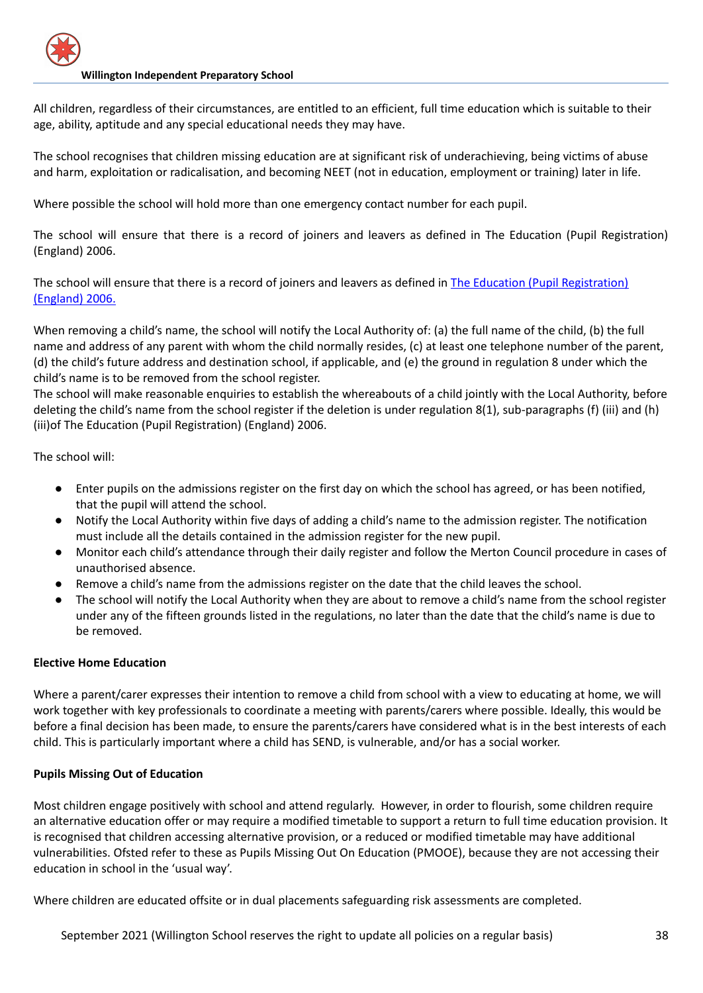All children, regardless of their circumstances, are entitled to an efficient, full time education which is suitable to their age, ability, aptitude and any special educational needs they may have.

The school recognises that children missing education are at significant risk of underachieving, being victims of abuse and harm, exploitation or radicalisation, and becoming NEET (not in education, employment or training) later in life.

Where possible the school will hold more than one emergency contact number for each pupil.

The school will ensure that there is a record of joiners and leavers as defined in The Education (Pupil Registration) (England) 2006.

The school will ensure that there is a record of joiners and leavers as defined in The Education (Pupil [Registration\)](https://www.kelsi.org.uk/news-and-events/news/primary/changes-to-the-education-pupil-registration-england-regulations-2006) [\(England\)](https://www.kelsi.org.uk/news-and-events/news/primary/changes-to-the-education-pupil-registration-england-regulations-2006) 2006.

When removing a child's name, the school will notify the Local Authority of: (a) the full name of the child, (b) the full name and address of any parent with whom the child normally resides, (c) at least one telephone number of the parent, (d) the child's future address and destination school, if applicable, and (e) the ground in regulation 8 under which the child's name is to be removed from the school register.

The school will make reasonable enquiries to establish the whereabouts of a child jointly with the Local Authority, before deleting the child's name from the school register if the deletion is under regulation 8(1), sub-paragraphs (f) (iii) and (h) (iii)of The Education (Pupil Registration) (England) 2006.

The school will:

- Enter pupils on the admissions register on the first day on which the school has agreed, or has been notified, that the pupil will attend the school.
- Notify the Local Authority within five days of adding a child's name to the admission register. The notification must include all the details contained in the admission register for the new pupil.
- Monitor each child's attendance through their daily register and follow the Merton Council procedure in cases of unauthorised absence.
- Remove a child's name from the admissions register on the date that the child leaves the school.
- The school will notify the Local Authority when they are about to remove a child's name from the school register under any of the fifteen grounds listed in the regulations, no later than the date that the child's name is due to be removed.

## **Elective Home Education**

Where a parent/carer expresses their intention to remove a child from school with a view to educating at home, we will work together with key professionals to coordinate a meeting with parents/carers where possible. Ideally, this would be before a final decision has been made, to ensure the parents/carers have considered what is in the best interests of each child. This is particularly important where a child has SEND, is vulnerable, and/or has a social worker.

## **Pupils Missing Out of Education**

Most children engage positively with school and attend regularly. However, in order to flourish, some children require an alternative education offer or may require a modified timetable to support a return to full time education provision. It is recognised that children accessing alternative provision, or a reduced or modified timetable may have additional vulnerabilities. Ofsted refer to these as Pupils Missing Out On Education (PMOOE), because they are not accessing their education in school in the 'usual way'.

Where children are educated offsite or in dual placements safeguarding risk assessments are completed.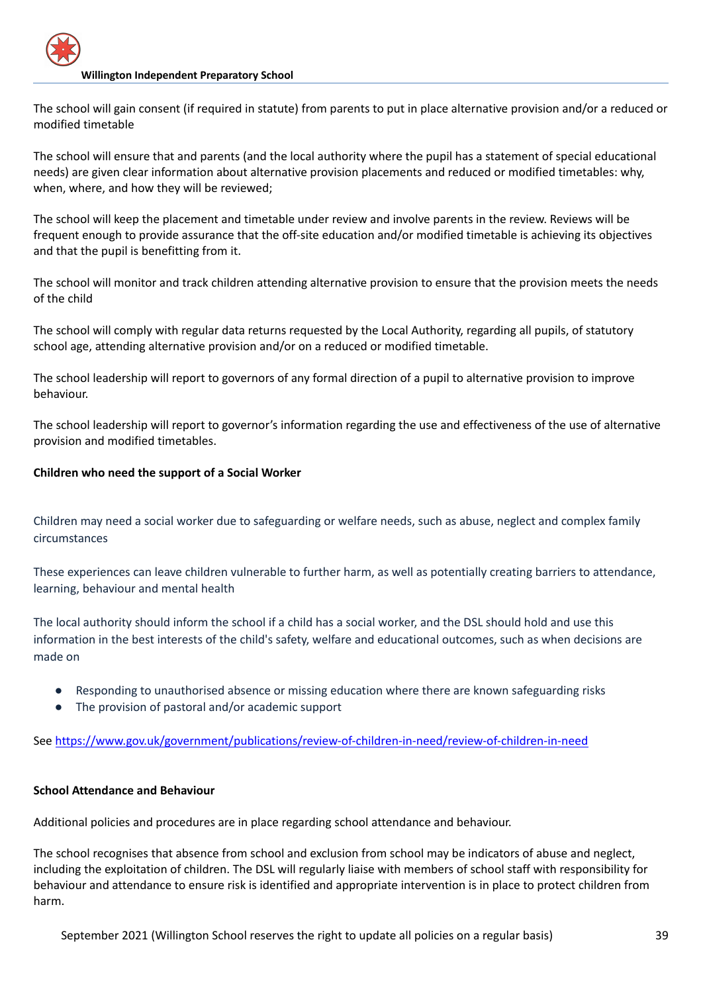The school will gain consent (if required in statute) from parents to put in place alternative provision and/or a reduced or modified timetable

The school will ensure that and parents (and the local authority where the pupil has a statement of special educational needs) are given clear information about alternative provision placements and reduced or modified timetables: why, when, where, and how they will be reviewed;

The school will keep the placement and timetable under review and involve parents in the review. Reviews will be frequent enough to provide assurance that the off-site education and/or modified timetable is achieving its objectives and that the pupil is benefitting from it.

The school will monitor and track children attending alternative provision to ensure that the provision meets the needs of the child

The school will comply with regular data returns requested by the Local Authority, regarding all pupils, of statutory school age, attending alternative provision and/or on a reduced or modified timetable.

The school leadership will report to governors of any formal direction of a pupil to alternative provision to improve behaviour.

The school leadership will report to governor's information regarding the use and effectiveness of the use of alternative provision and modified timetables.

## **Children who need the support of a Social Worker**

Children may need a social worker due to safeguarding or welfare needs, such as abuse, neglect and complex family circumstances

These experiences can leave children vulnerable to further harm, as well as potentially creating barriers to attendance, learning, behaviour and mental health

The local authority should inform the school if a child has a social worker, and the DSL should hold and use this information in the best interests of the child's safety, welfare and educational outcomes, such as when decisions are made on

- Responding to unauthorised absence or missing education where there are known safeguarding risks
- The provision of pastoral and/or academic support

See https://www.gov.uk/government/publications/review-of-children-in-need/review-of-children-in-need

## **School Attendance and Behaviour**

Additional policies and procedures are in place regarding school attendance and behaviour.

The school recognises that absence from school and exclusion from school may be indicators of abuse and neglect, including the exploitation of children. The DSL will regularly liaise with members of school staff with responsibility for behaviour and attendance to ensure risk is identified and appropriate intervention is in place to protect children from harm.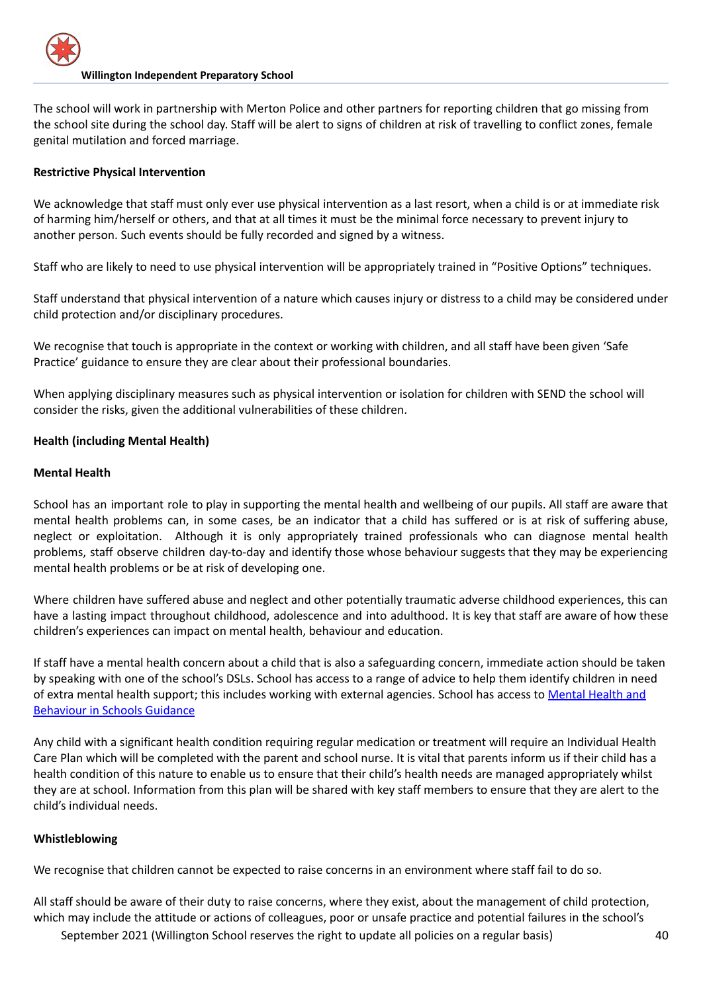The school will work in partnership with Merton Police and other partners for reporting children that go missing from the school site during the school day. Staff will be alert to signs of children at risk of travelling to conflict zones, female genital mutilation and forced marriage.

## **Restrictive Physical Intervention**

We acknowledge that staff must only ever use physical intervention as a last resort, when a child is or at immediate risk of harming him/herself or others, and that at all times it must be the minimal force necessary to prevent injury to another person. Such events should be fully recorded and signed by a witness.

Staff who are likely to need to use physical intervention will be appropriately trained in "Positive Options" techniques.

Staff understand that physical intervention of a nature which causes injury or distress to a child may be considered under child protection and/or disciplinary procedures.

We recognise that touch is appropriate in the context or working with children, and all staff have been given 'Safe Practice' guidance to ensure they are clear about their professional boundaries.

When applying disciplinary measures such as physical intervention or isolation for children with SEND the school will consider the risks, given the additional vulnerabilities of these children.

## **Health (including Mental Health)**

## **Mental Health**

School has an important role to play in supporting the mental health and wellbeing of our pupils. All staff are aware that mental health problems can, in some cases, be an indicator that a child has suffered or is at risk of suffering abuse, neglect or exploitation. Although it is only appropriately trained professionals who can diagnose mental health problems, staff observe children day-to-day and identify those whose behaviour suggests that they may be experiencing mental health problems or be at risk of developing one.

Where children have suffered abuse and neglect and other potentially traumatic adverse childhood experiences, this can have a lasting impact throughout childhood, adolescence and into adulthood. It is key that staff are aware of how these children's experiences can impact on mental health, behaviour and education.

If staff have a mental health concern about a child that is also a safeguarding concern, immediate action should be taken by speaking with one of the school's DSLs. School has access to a range of advice to help them identify children in need of extra mental health support; this includes working with external agencies. School has access to [Mental](https://www.gov.uk/government/publications/mental-health-and-behaviour-in-schools--2) Health and [Behaviour](https://www.gov.uk/government/publications/mental-health-and-behaviour-in-schools--2) in Schools Guidance

Any child with a significant health condition requiring regular medication or treatment will require an Individual Health Care Plan which will be completed with the parent and school nurse. It is vital that parents inform us if their child has a health condition of this nature to enable us to ensure that their child's health needs are managed appropriately whilst they are at school. Information from this plan will be shared with key staff members to ensure that they are alert to the child's individual needs.

## **Whistleblowing**

We recognise that children cannot be expected to raise concerns in an environment where staff fail to do so.

All staff should be aware of their duty to raise concerns, where they exist, about the management of child protection, which may include the attitude or actions of colleagues, poor or unsafe practice and potential failures in the school's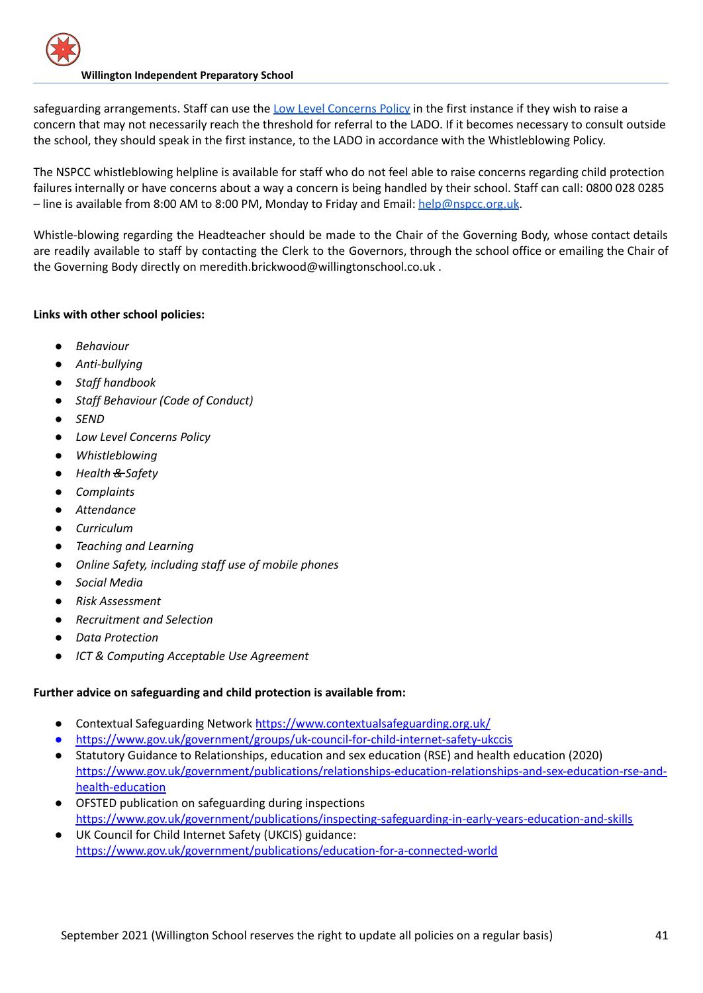safeguarding arrangements. Staff can use the Low Level [Concerns](https://docs.google.com/document/d/1h1MgnXg5wBGfLmVYJRjmTa1eMuMynJB2WZkCOzGlqrI/edit) Policy in the first instance if they wish to raise a concern that may not necessarily reach the threshold for referral to the LADO. If it becomes necessary to consult outside the school, they should speak in the first instance, to the LADO in accordance with the Whistleblowing Policy.

The NSPCC whistleblowing helpline is available for staff who do not feel able to raise concerns regarding child protection failures internally or have concerns about a way a concern is being handled by their school. Staff can call: 0800 028 0285 – line is available from 8:00 AM to 8:00 PM, Monday to Friday and Email: [help@nspcc.org.uk](mailto:help@nspcc.org.uk).

Whistle-blowing regarding the Headteacher should be made to the Chair of the Governing Body, whose contact details are readily available to staff by contacting the Clerk to the Governors, through the school office or emailing the Chair of the Governing Body directly on meredith.brickwood@willingtonschool.co.uk .

# **Links with other school policies:**

- *● Behaviour*
- *● Anti-bullying*
- *● Staff handbook*
- *● Staff Behaviour (Code of Conduct)*
- *● SEND*
- *● Low Level Concerns Policy*
- *● Whistleblowing*
- *● Health & Safety*
- *● Complaints*
- *● Attendance*
- *● Curriculum*
- *● Teaching and Learning*
- *● Online Safety, including staff use of mobile phones*
- *● Social Media*
- *● Risk Assessment*
- *● Recruitment and Selection*
- *● Data Protection*
- *● ICT & Computing Acceptable Use Agreement*

## **Further advice on safeguarding and child protection is available from:**

- Contextual Safeguarding Network <https://www.contextualsafeguarding.org.uk/>
- <https://www.gov.uk/government/groups/uk-council-for-child-internet-safety-ukccis>
- Statutory Guidance to Relationships, education and sex education (RSE) and health education (2020) [https://www.gov.uk/government/publications/relationships-education-relationships-and-sex-education-rse-and](https://www.gov.uk/government/publications/relationships-education-relationships-and-sex-education-rse-and-health-education)[health-education](https://www.gov.uk/government/publications/relationships-education-relationships-and-sex-education-rse-and-health-education)
- OFSTED publication on safeguarding during inspections <https://www.gov.uk/government/publications/inspecting-safeguarding-in-early-years-education-and-skills>
- UK Council for Child Internet Safety (UKCIS) guidance: <https://www.gov.uk/government/publications/education-for-a-connected-world>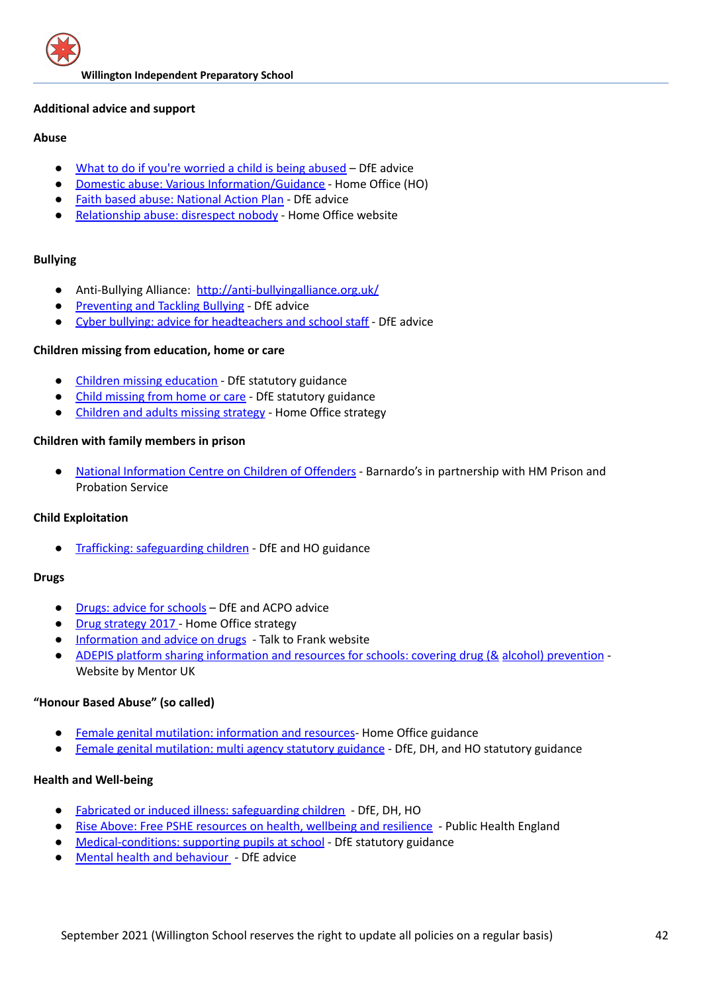#### **Additional advice and support**

## **Abuse**

- What to do if you're [worried](https://www.gov.uk/government/publications/what-to-do-if-youre-worried-a-child-is-being-abused--2) a child is being abused DfE advice
- Domestic abuse: Various [Information/Guidance](https://www.gov.uk/domestic-violence-and-abuse) Home Office (HO)
- Faith based abuse: [National](https://www.gov.uk/government/publications/national-action-plan-to-tackle-child-abuse-linked-to-faith-or-belief) Action Plan DfE advice
- [Relationship](https://www.disrespectnobody.co.uk/relationship-abuse/what-is-relationship-abuse/) abuse: disrespect nobody Home Office website

## **Bullying**

- Anti-Bullying Alliance: <http://anti-bullyingalliance.org.uk/>
- [Preventing](https://www.gov.uk/government/publications/preventing-and-tackling-bullying) and Tackling Bullying DfE advice
- Cyber bullying: advice for [headteachers](https://www.gov.uk/government/publications/preventing-and-tackling-bullying) and school staff DfE advice

## **Children missing from education, home or care**

- Children missing [education](https://www.gov.uk/government/publications/children-missing-education) DfE statutory guidance
- Child [missing](https://www.gov.uk/government/publications/children-who-run-away-or-go-missing-from-home-or-care) from home or care DfE statutory guidance
- [Children](https://www.gov.uk/government/publications/missing-children-and-adults-strategy) and adults missing strategy Home Office strategy

## **Children with family members in prison**

● National [Information](https://www.nicco.org.uk/) Centre on Children of Offenders - Barnardo's in partnership with HM Prison and Probation Service

## **Child Exploitation**

Trafficking: [safeguarding](https://www.gov.uk/government/publications/safeguarding-children-who-may-have-been-trafficked-practice-guidance) children - DfE and HO guidance

## **Drugs**

- Drugs: advice for [schools](https://www.gov.uk/government/publications/drugs-advice-for-schools) DfE and ACPO advice
- Drug [strategy](https://www.gov.uk/government/publications/drug-strategy-2017) 2017 Home Office strategy
- [Information](http://www.talktofrank.com/) and advice on drugs Talk to Frank website
- ADEPIS platform sharing [information](http://mentor-adepis.org/) and resources for schools: covering drug (& alcohol) prevention -Website by Mentor UK

## **"Honour Based Abuse" (so called)**

- Female genital mutilation: [information](https://www.gov.uk/government/collections/female-genital-mutilation) and resources- Home Office guidance
- Female genital [mutilation:](https://www.gov.uk/government/publications/multi-agency-statutory-guidance-on-female-genital-mutilation) multi agency statutory guidance DfE, DH, and HO statutory guidance

## **Health and Well-being**

- Fabricated or induced illness: [safeguarding](https://www.gov.uk/government/publications/safeguarding-children-in-whom-illness-is-fabricated-or-induced) children DfE, DH, HO
- Rise Above: Free PSHE [resources](https://www.pshe-association.org.uk/curriculum-and-resources/resources/rise-above-schools-teaching-resources) on health, wellbeing and resilience Public Health England
- [Medical-conditions:](https://www.gov.uk/government/publications/supporting-pupils-at-school-with-medical-conditions--3) supporting pupils at school DfE statutory guidance
- Mental health and [behaviour](https://www.gov.uk/government/publications/mental-health-and-behaviour-in-schools--2) DfE advice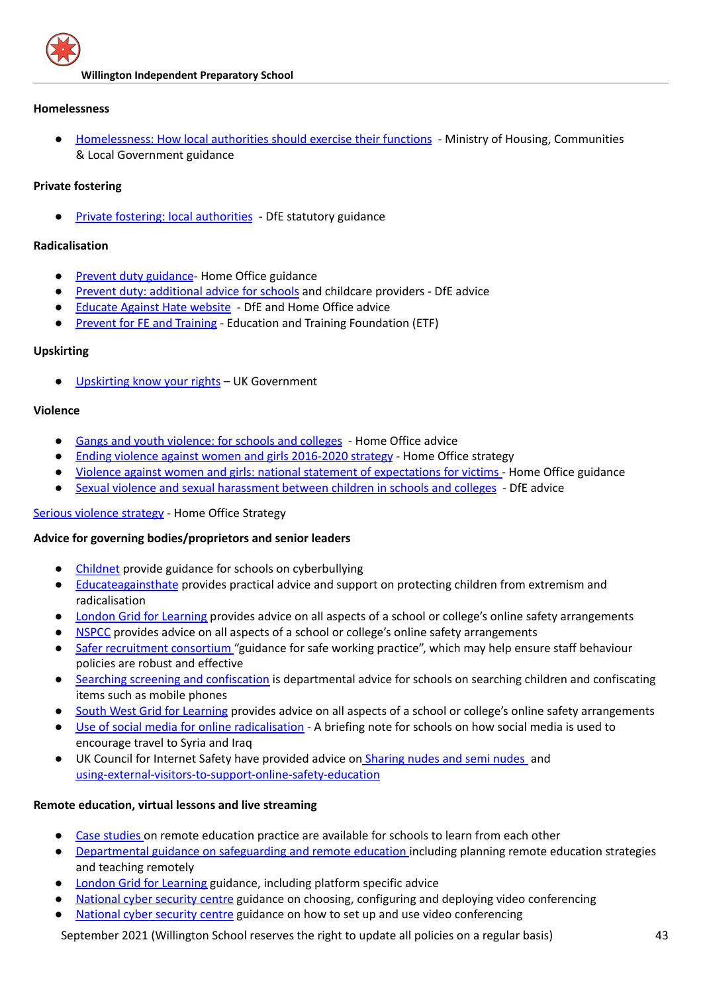

#### **Homelessness**

● [Homelessness:](https://www.gov.uk/guidance/homelessness-code-of-guidance-for-local-authorities) How local authorities should exercise their functions - Ministry of Housing, Communities & Local Government guidance

#### **Private fostering**

● Private fostering: local [authorities](https://www.gov.uk/government/publications/children-act-1989-private-fostering) - DfE statutory guidance

## **Radicalisation**

- Prevent duty guidance Home Office guidance
- Prevent duty: [additional](https://www.gov.uk/government/publications/protecting-children-from-radicalisation-the-prevent-duty) advice for schools and childcare providers DfE advice
- [Educate](http://educateagainsthate.com/) Against Hate website DfE and Home Office advice
- Prevent for FE and [Training](http://preventforfeandtraining.org.uk/) Education and Training Foundation (ETF)

#### **Upskirting**

[Upskirting](https://www.gov.uk/government/news/upskirting-know-your-rights) know your rights – UK Government

#### **Violence**

- Gangs and youth [violence:](https://www.gov.uk/government/publications/advice-to-schools-and-colleges-on-gangs-and-youth-violence) for schools and colleges Home Office advice
- Ending violence against women and girls [2016-2020](https://www.gov.uk/government/publications/strategy-to-end-violence-against-women-and-girls-2016-to-2020) strategy Home Office strategy
- Violence against women and girls: national statement of [expectations](https://www.gov.uk/government/publications/violence-against-women-and-girls-national-statement-of-expectations) for victims Home Office guidance
- Sexual violence and sexual [harassment](https://assets.publishing.service.gov.uk/government/uploads/system/uploads/attachment_data/file/999239/SVSH_2021.pdf) between children in [s](https://www.gov.uk/government/publications/sexual-violence-and-sexual-harassment-between-children-in-schools-and-colleges)chools and colleges DfE advice

## Serious [violence](https://www.gov.uk/government/publications/serious-violence-strategy) strategy - Home Office Strategy

## **Advice for governing bodies/proprietors and senior leaders**

- [Childnet](http://www.childnet.com/cyberbullying-guidance) provide guidance for schools on cyberbullying
- [Educateagainsthate](http://www.educateagainsthate.com/) provides practical advice and support on protecting children from extremism and radicalisation
- London Grid for [Learning](https://www.lgfl.net/) provides advice on all aspects of a school or college's online safety arrangements
- [NSPCC](https://learning.nspcc.org.uk/research-resources/schools/e-safety-for-schools) provides advice on all aspects of a school or college's online safety arrangements
- Safer [recruitment](https://www.saferrecruitmentconsortium.org/) consortium "guidance for safe working practice", which may help ensure staff behaviour policies are robust and effective
- Searching screening and [confiscation](http://www.gov.uk/government/publications/searching-screening-and-confiscation) is departmental advice for schools on searching children and confiscating items such as mobile phones
- South West Grid for [Learning](http://www.swgfl.org.uk/) provides advice on all aspects of a school or college's online safety arrangements
- Use of social media for online [radicalisation](https://www.gov.uk/government/publications/the-use-of-social-media-for-online-radicalisation) A briefing note for schools on how social media is used to encourage travel to Syria and Iraq
- UK Council for Internet Safety have provided advice on [Sharing](https://www.gov.uk/government/publications/sexting-in-schools-and-colleges) nudes and semi nudes and [using-external-visitors-to-support-online-safety-education](https://www.gov.uk/government/publications/using-external-visitors-to-support-online-safety-education-guidance-for-educational-settings)

## **Remote education, virtual lessons and live streaming**

- Case [studies](https://www.gov.uk/government/collections/case-studies-remote-education-practice-for-schools-during-coronavirus-covid-19) on remote education practice are available for schools to learn from each other
- [Departmental](https://www.gov.uk/guidance/safeguarding-and-remote-education-during-coronavirus-covid-19) guidance on safeguarding and remote education including planning remote education strategies and teaching remotely
- London Grid for [Learning](https://coronavirus.lgfl.net/safeguarding) guidance, including platform specific advice
- [National](https://www.ncsc.gov.uk/guidance/video-conferencing-services-security-guidance-organisations) cyber security centre guidance on choosing, configuring and deploying video conferencing
- [National](https://www.ncsc.gov.uk/guidance/video-conferencing-services-using-them-securely) cyber security centre guidance on how to set up and use video conferencing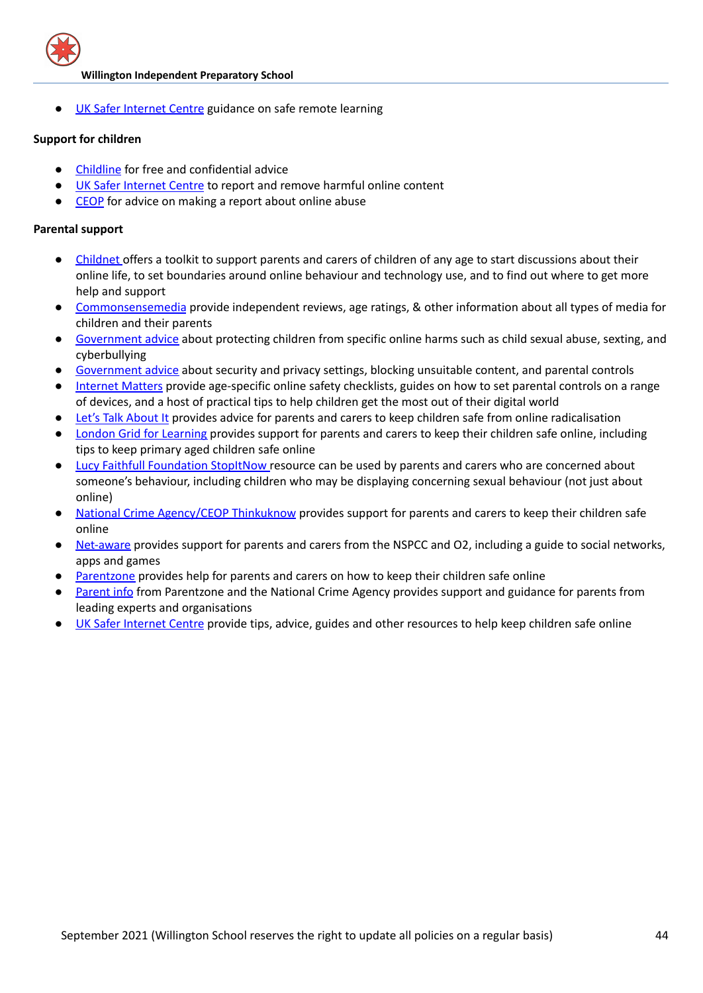

UK Safer [Internet](https://swgfl.org.uk/resources/safe-remote-learning/) Centre guidance on safe remote learning

#### **Support for children**

- [Childline](https://www.childline.org.uk/?utm_source=google&utm_medium=cpc&utm_campaign=UK_GO_S_B_BND_Grant_Childline_Information&utm_term=role_of_childline&gclsrc=aw.ds&&gclid=EAIaIQobChMIlfLRh-ez6AIVRrDtCh1N9QR2EAAYASAAEgLc-vD_BwE&gclsrc=aw.ds) for free and confidential advice
- UK Safer [Internet](https://reportharmfulcontent.com/) Centre to report and remove harmful online content
- [CEOP](https://www.ceop.police.uk/safety-centre/) for advice on making a report about online abuse

## **Parental support**

- [Childnet](https://www.childnet.com/parents-and-carers/parent-and-carer-toolkit) offers a toolkit to support parents and carers of children of any age to start discussions about their online life, to set boundaries around online behaviour and technology use, and to find out where to get more help and support
- [Commonsensemedia](http://www.commonsensemedia.org/) provide independent reviews, age ratings, & other information about all types of media for children and their parents
- [Government](https://www.gov.uk/government/publications/coronavirus-covid-19-keeping-children-safe-online/coronavirus-covid-19-support-for-parents-and-carers-to-keep-children-safe-online) advice about protecting children from specific online harms such as child sexual abuse, sexting, and cyberbullying
- [Government](https://www.gov.uk/guidance/covid-19-staying-safe-online) advice about security and privacy settings, blocking unsuitable content, and parental controls
- [Internet](https://www.internetmatters.org/?gclid=EAIaIQobChMIktuA5LWK2wIVRYXVCh2afg2aEAAYASAAEgIJ5vD_BwE) Matters provide age-specific online safety checklists, guides on how to set parental controls on a range of devices, and a host of practical tips to help children get the most out of their digital world
- Let's Talk [About](https://www.ltai.info/staying-safe-online/) It provides advice for parents and carers to keep children safe from online radicalisation
- London Grid for [Learning](http://www.lgfl.net/online-safety/) provides support for parents and carers to keep their children safe online, including tips to keep primary aged children safe online
- Lucy Faithfull [Foundation](https://www.stopitnow.org.uk/) StopItNow resource can be used by parents and carers who are concerned about someone's behaviour, including children who may be displaying concerning sexual behaviour (not just about online)
- National Crime [Agency/CEOP](http://www.thinkuknow.co.uk/) Thinkuknow provides support for parents and carers to keep their children safe online
- [Net-aware](https://www.net-aware.org.uk/) provides support for parents and carers from the NSPCC and O2, including a guide to social networks, apps and games
- [Parentzone](https://parentzone.org.uk/) provides help for parents and carers on how to keep their children safe online
- [Parent](https://parentinfo.org/) info from Parentzone and the National Crime Agency provides support and guidance for parents from leading experts and organisations
- UK Safer [Internet](https://www.saferinternet.org.uk/advice-centre/parents-and-carers) Centre provide tips, advice, guides and other resources to help keep children safe online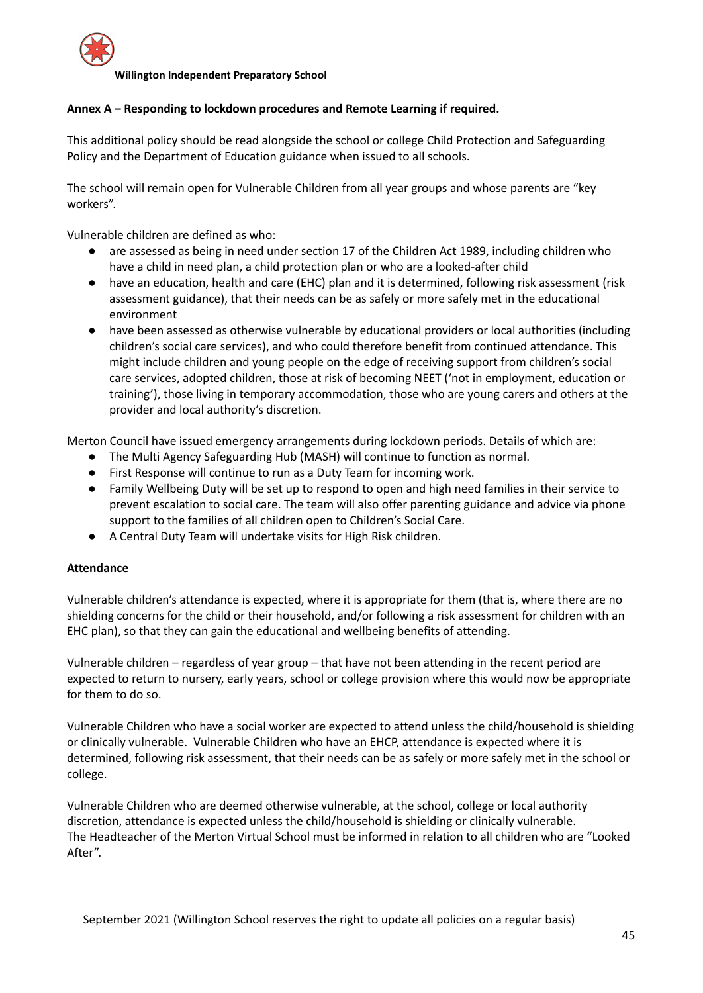## **Annex A – Responding to lockdown procedures and Remote Learning if required.**

This additional policy should be read alongside the school or college Child Protection and Safeguarding Policy and the Department of Education guidance when issued to all schools.

The school will remain open for Vulnerable Children from all year groups and whose parents are "key workers".

Vulnerable children are defined as who:

- are assessed as being in need under section 17 of the Children Act 1989, including children who have a child in need plan, a child protection plan or who are a looked-after child
- have an education, health and care (EHC) plan and it is determined, following risk assessment (risk assessment guidance), that their needs can be as safely or more safely met in the educational environment
- have been assessed as otherwise vulnerable by educational providers or local authorities (including children's social care services), and who could therefore benefit from continued attendance. This might include children and young people on the edge of receiving support from children's social care services, adopted children, those at risk of becoming NEET ('not in employment, education or training'), those living in temporary accommodation, those who are young carers and others at the provider and local authority's discretion.

Merton Council have issued emergency arrangements during lockdown periods. Details of which are:

- The Multi Agency Safeguarding Hub (MASH) will continue to function as normal.
- First Response will continue to run as a Duty Team for incoming work.
- Family Wellbeing Duty will be set up to respond to open and high need families in their service to prevent escalation to social care. The team will also offer parenting guidance and advice via phone support to the families of all children open to Children's Social Care.
- A Central Duty Team will undertake visits for High Risk children.

## **Attendance**

Vulnerable children's attendance is expected, where it is appropriate for them (that is, where there are no shielding concerns for the child or their household, and/or following a risk assessment for children with an EHC plan), so that they can gain the educational and wellbeing benefits of attending.

Vulnerable children – regardless of year group – that have not been attending in the recent period are expected to return to nursery, early years, school or college provision where this would now be appropriate for them to do so.

Vulnerable Children who have a social worker are expected to attend unless the child/household is shielding or clinically vulnerable. Vulnerable Children who have an EHCP, attendance is expected where it is determined, following risk assessment, that their needs can be as safely or more safely met in the school or college.

Vulnerable Children who are deemed otherwise vulnerable, at the school, college or local authority discretion, attendance is expected unless the child/household is shielding or clinically vulnerable. The Headteacher of the Merton Virtual School must be informed in relation to all children who are "Looked After".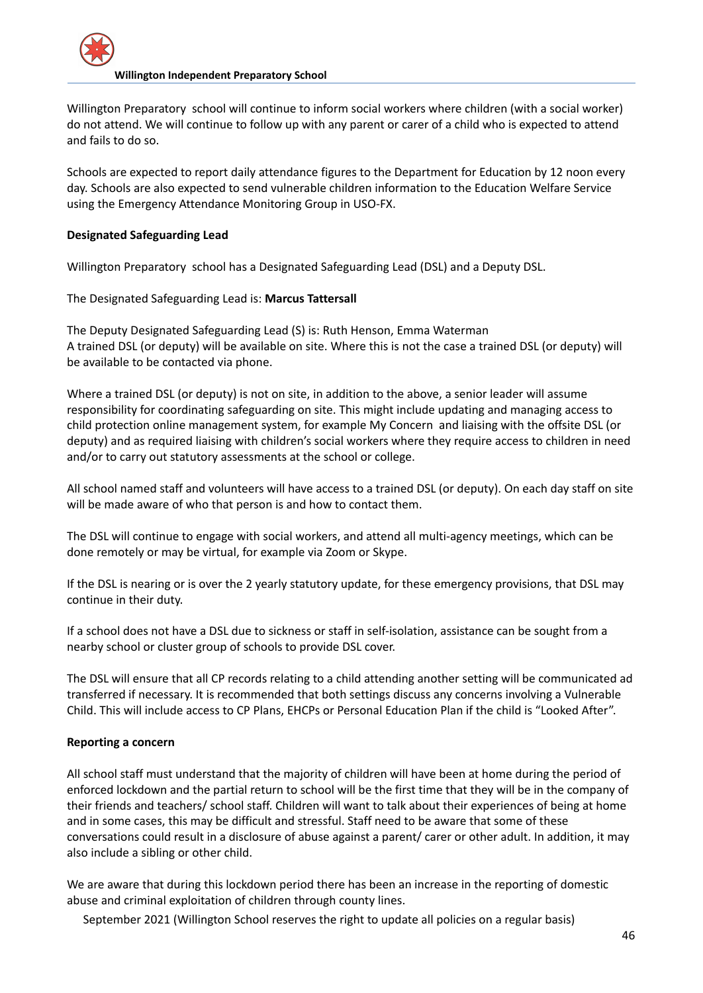

Willington Preparatory school will continue to inform social workers where children (with a social worker) do not attend. We will continue to follow up with any parent or carer of a child who is expected to attend and fails to do so.

Schools are expected to report daily attendance figures to the Department for Education by 12 noon every day. Schools are also expected to send vulnerable children information to the Education Welfare Service using the Emergency Attendance Monitoring Group in USO-FX.

## **Designated Safeguarding Lead**

Willington Preparatory school has a Designated Safeguarding Lead (DSL) and a Deputy DSL.

The Designated Safeguarding Lead is: **Marcus Tattersall**

The Deputy Designated Safeguarding Lead (S) is: Ruth Henson, Emma Waterman A trained DSL (or deputy) will be available on site. Where this is not the case a trained DSL (or deputy) will be available to be contacted via phone.

Where a trained DSL (or deputy) is not on site, in addition to the above, a senior leader will assume responsibility for coordinating safeguarding on site. This might include updating and managing access to child protection online management system, for example My Concern and liaising with the offsite DSL (or deputy) and as required liaising with children's social workers where they require access to children in need and/or to carry out statutory assessments at the school or college.

All school named staff and volunteers will have access to a trained DSL (or deputy). On each day staff on site will be made aware of who that person is and how to contact them.

The DSL will continue to engage with social workers, and attend all multi-agency meetings, which can be done remotely or may be virtual, for example via Zoom or Skype.

If the DSL is nearing or is over the 2 yearly statutory update, for these emergency provisions, that DSL may continue in their duty.

If a school does not have a DSL due to sickness or staff in self-isolation, assistance can be sought from a nearby school or cluster group of schools to provide DSL cover.

The DSL will ensure that all CP records relating to a child attending another setting will be communicated ad transferred if necessary. It is recommended that both settings discuss any concerns involving a Vulnerable Child. This will include access to CP Plans, EHCPs or Personal Education Plan if the child is "Looked After".

## **Reporting a concern**

All school staff must understand that the majority of children will have been at home during the period of enforced lockdown and the partial return to school will be the first time that they will be in the company of their friends and teachers/ school staff. Children will want to talk about their experiences of being at home and in some cases, this may be difficult and stressful. Staff need to be aware that some of these conversations could result in a disclosure of abuse against a parent/ carer or other adult. In addition, it may also include a sibling or other child.

We are aware that during this lockdown period there has been an increase in the reporting of domestic abuse and criminal exploitation of children through county lines.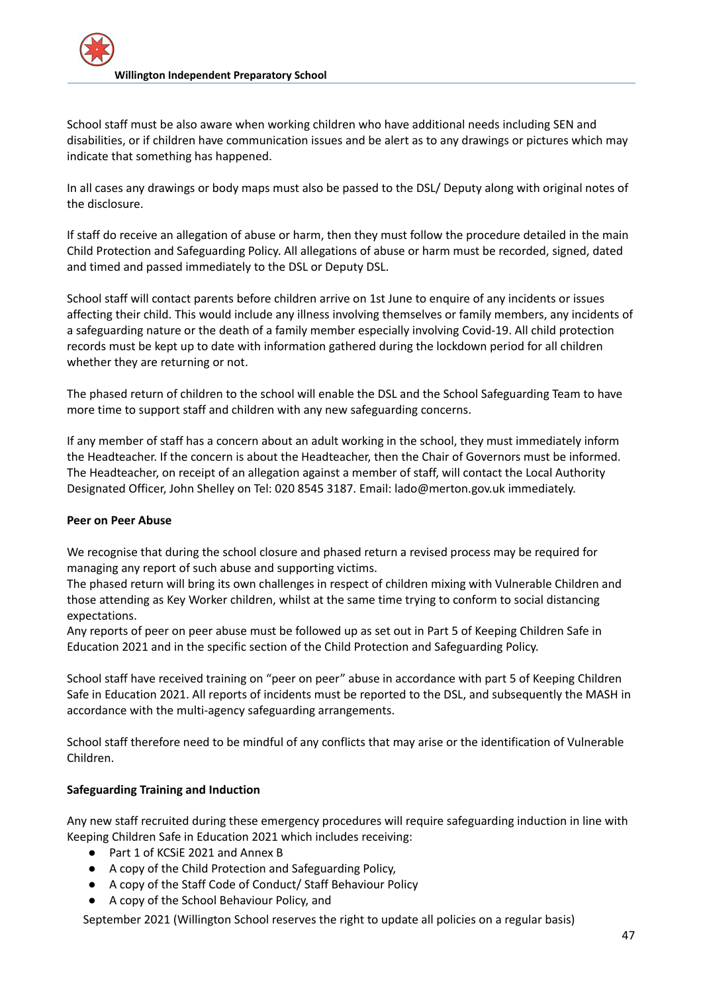School staff must be also aware when working children who have additional needs including SEN and disabilities, or if children have communication issues and be alert as to any drawings or pictures which may indicate that something has happened.

In all cases any drawings or body maps must also be passed to the DSL/ Deputy along with original notes of the disclosure.

If staff do receive an allegation of abuse or harm, then they must follow the procedure detailed in the main Child Protection and Safeguarding Policy. All allegations of abuse or harm must be recorded, signed, dated and timed and passed immediately to the DSL or Deputy DSL.

School staff will contact parents before children arrive on 1st June to enquire of any incidents or issues affecting their child. This would include any illness involving themselves or family members, any incidents of a safeguarding nature or the death of a family member especially involving Covid-19. All child protection records must be kept up to date with information gathered during the lockdown period for all children whether they are returning or not.

The phased return of children to the school will enable the DSL and the School Safeguarding Team to have more time to support staff and children with any new safeguarding concerns.

If any member of staff has a concern about an adult working in the school, they must immediately inform the Headteacher. If the concern is about the Headteacher, then the Chair of Governors must be informed. The Headteacher, on receipt of an allegation against a member of staff, will contact the Local Authority Designated Officer, John Shelley on Tel: 020 8545 3187. Email: lado@merton.gov.uk immediately.

## **Peer on Peer Abuse**

We recognise that during the school closure and phased return a revised process may be required for managing any report of such abuse and supporting victims.

The phased return will bring its own challenges in respect of children mixing with Vulnerable Children and those attending as Key Worker children, whilst at the same time trying to conform to social distancing expectations.

Any reports of peer on peer abuse must be followed up as set out in Part 5 of Keeping Children Safe in Education 2021 and in the specific section of the Child Protection and Safeguarding Policy.

School staff have received training on "peer on peer" abuse in accordance with part 5 of Keeping Children Safe in Education 2021. All reports of incidents must be reported to the DSL, and subsequently the MASH in accordance with the multi-agency safeguarding arrangements.

School staff therefore need to be mindful of any conflicts that may arise or the identification of Vulnerable Children.

## **Safeguarding Training and Induction**

Any new staff recruited during these emergency procedures will require safeguarding induction in line with Keeping Children Safe in Education 2021 which includes receiving:

- Part 1 of KCSiE 2021 and Annex B
- A copy of the Child Protection and Safeguarding Policy,
- A copy of the Staff Code of Conduct/ Staff Behaviour Policy
- A copy of the School Behaviour Policy, and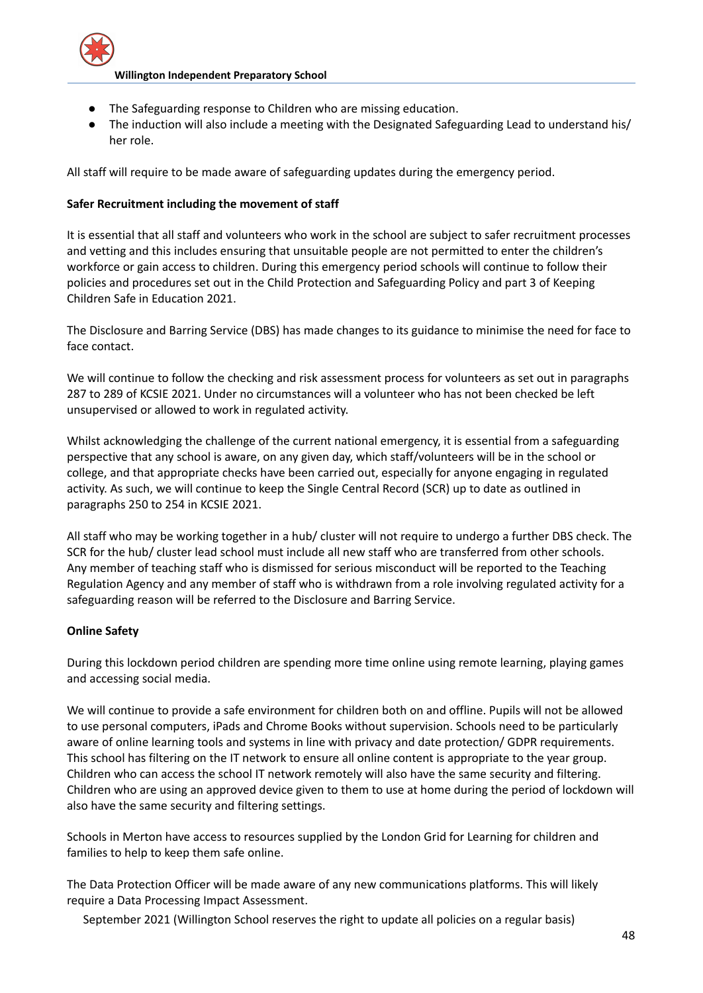

- The Safeguarding response to Children who are missing education.
- The induction will also include a meeting with the Designated Safeguarding Lead to understand his/ her role.

All staff will require to be made aware of safeguarding updates during the emergency period.

## **Safer Recruitment including the movement of staff**

It is essential that all staff and volunteers who work in the school are subject to safer recruitment processes and vetting and this includes ensuring that unsuitable people are not permitted to enter the children's workforce or gain access to children. During this emergency period schools will continue to follow their policies and procedures set out in the Child Protection and Safeguarding Policy and part 3 of Keeping Children Safe in Education 2021.

The Disclosure and Barring Service (DBS) has made changes to its guidance to minimise the need for face to face contact.

We will continue to follow the checking and risk assessment process for volunteers as set out in paragraphs 287 to 289 of KCSIE 2021. Under no circumstances will a volunteer who has not been checked be left unsupervised or allowed to work in regulated activity.

Whilst acknowledging the challenge of the current national emergency, it is essential from a safeguarding perspective that any school is aware, on any given day, which staff/volunteers will be in the school or college, and that appropriate checks have been carried out, especially for anyone engaging in regulated activity. As such, we will continue to keep the Single Central Record (SCR) up to date as outlined in paragraphs 250 to 254 in KCSIE 2021.

All staff who may be working together in a hub/ cluster will not require to undergo a further DBS check. The SCR for the hub/ cluster lead school must include all new staff who are transferred from other schools. Any member of teaching staff who is dismissed for serious misconduct will be reported to the Teaching Regulation Agency and any member of staff who is withdrawn from a role involving regulated activity for a safeguarding reason will be referred to the Disclosure and Barring Service.

## **Online Safety**

During this lockdown period children are spending more time online using remote learning, playing games and accessing social media.

We will continue to provide a safe environment for children both on and offline. Pupils will not be allowed to use personal computers, iPads and Chrome Books without supervision. Schools need to be particularly aware of online learning tools and systems in line with privacy and date protection/ GDPR requirements. This school has filtering on the IT network to ensure all online content is appropriate to the year group. Children who can access the school IT network remotely will also have the same security and filtering. Children who are using an approved device given to them to use at home during the period of lockdown will also have the same security and filtering settings.

Schools in Merton have access to resources supplied by the London Grid for Learning for children and families to help to keep them safe online.

The Data Protection Officer will be made aware of any new communications platforms. This will likely require a Data Processing Impact Assessment.